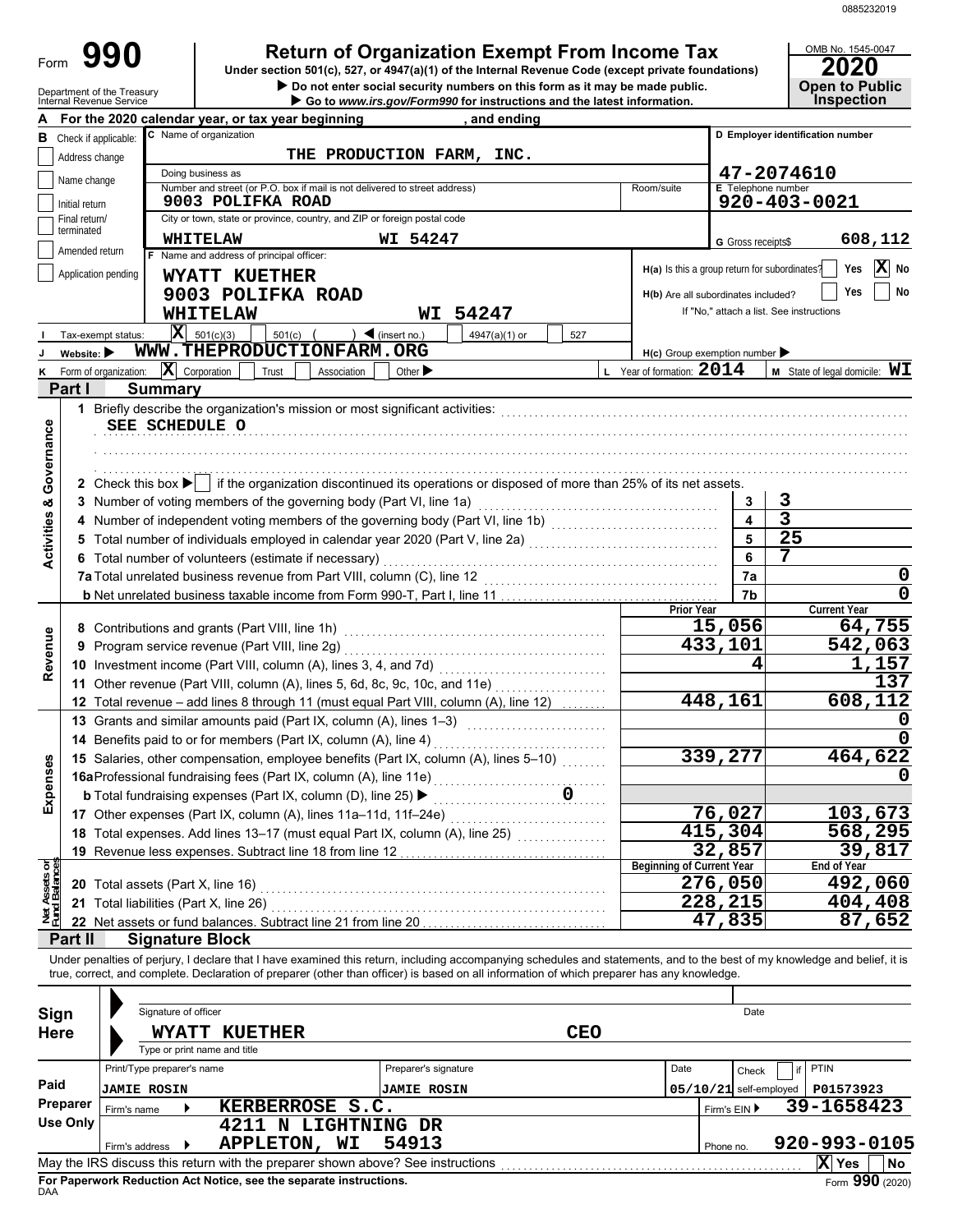| Form<br>Department of the Treasury<br>Internal Revenue Service | <b>Return of Organization Exempt From Income Tax</b><br>Under section 501(c), 527, or 4947(a)(1) of the Internal Revenue Code (except private foundations)<br>Do not enter social security numbers on this form as it may be made public.<br>Go to www.irs.gov/Form990 for instructions and the latest information. |                                               |                           | OMB No. 1545-0047<br>20)<br><b>Open to Public</b><br><b>Inspection</b> |
|----------------------------------------------------------------|---------------------------------------------------------------------------------------------------------------------------------------------------------------------------------------------------------------------------------------------------------------------------------------------------------------------|-----------------------------------------------|---------------------------|------------------------------------------------------------------------|
|                                                                | For the 2020 calendar year, or tax year beginning<br>. and ending                                                                                                                                                                                                                                                   |                                               |                           |                                                                        |
| Check if applicable:<br>в                                      | C Name of organization                                                                                                                                                                                                                                                                                              |                                               |                           | D Employer identification number                                       |
| Address change                                                 | THE PRODUCTION FARM, INC.                                                                                                                                                                                                                                                                                           |                                               |                           |                                                                        |
| Name change                                                    | Doing business as                                                                                                                                                                                                                                                                                                   |                                               |                           | 47-2074610                                                             |
| Initial return                                                 | Number and street (or P.O. box if mail is not delivered to street address)<br>9003 POLIFKA ROAD                                                                                                                                                                                                                     | Room/suite                                    | <b>E</b> Telephone number | 920-403-0021                                                           |
| Final return/                                                  | City or town, state or province, country, and ZIP or foreign postal code                                                                                                                                                                                                                                            |                                               |                           |                                                                        |
| terminated                                                     | WI 54247<br>WHITELAW                                                                                                                                                                                                                                                                                                |                                               | G Gross receipts\$        | 608,112                                                                |
| Amended return                                                 | F Name and address of principal officer:                                                                                                                                                                                                                                                                            |                                               |                           |                                                                        |
| Application pending                                            | WYATT KUETHER                                                                                                                                                                                                                                                                                                       | H(a) Is this a group return for subordinates? |                           | X No<br>Yes                                                            |
|                                                                | 9003 POLIFKA ROAD                                                                                                                                                                                                                                                                                                   | H(b) Are all subordinates included?           |                           | Yes<br>No                                                              |
|                                                                | 54247<br><b>WHITELAW</b><br>WI                                                                                                                                                                                                                                                                                      |                                               |                           | If "No," attach a list. See instructions                               |
| Tax-exempt status:                                             | $ \mathbf{X} $ 501(c)(3)<br>501(c)<br>$\triangleleft$ (insert no.)<br>4947(a)(1) or<br>527                                                                                                                                                                                                                          |                                               |                           |                                                                        |
| Website: $\blacktriangleright$                                 | WWW.THEPRODUCTIONFARM.ORG                                                                                                                                                                                                                                                                                           | $H(c)$ Group exemption number                 |                           |                                                                        |
| Form of organization:<br>ĸ                                     | $ \mathbf{X} $ Corporation<br>Trust<br>Other $\blacktriangleright$<br>Association                                                                                                                                                                                                                                   | L Year of formation: $2014$                   |                           | <b>M</b> State of legal domicile: $WI$                                 |
| Part I<br><b>Summary</b>                                       |                                                                                                                                                                                                                                                                                                                     |                                               |                           |                                                                        |
|                                                                |                                                                                                                                                                                                                                                                                                                     |                                               |                           |                                                                        |
| SEE SCHEDULE O                                                 |                                                                                                                                                                                                                                                                                                                     |                                               |                           |                                                                        |
|                                                                |                                                                                                                                                                                                                                                                                                                     |                                               |                           |                                                                        |
|                                                                |                                                                                                                                                                                                                                                                                                                     |                                               |                           |                                                                        |
| Governance                                                     | 2 Check this box $\blacktriangleright$ if the organization discontinued its operations or disposed of more than 25% of its net assets.                                                                                                                                                                              |                                               |                           |                                                                        |
|                                                                | 3 Number of voting members of the governing body (Part VI, line 1a)                                                                                                                                                                                                                                                 |                                               | 3                         | 3                                                                      |
| <b>Activities &amp;</b>                                        |                                                                                                                                                                                                                                                                                                                     |                                               | $\blacktriangle$          | $\overline{3}$                                                         |
|                                                                | 5 Total number of individuals employed in calendar year 2020 (Part V, line 2a) [10] (10] (10] (10] (10] (10] (10] (Part V, line 2a)                                                                                                                                                                                 |                                               |                           | 25                                                                     |
|                                                                | 6 Total number of volunteers (estimate if necessary)                                                                                                                                                                                                                                                                |                                               | 6                         | 7                                                                      |
|                                                                | 7a Total unrelated business revenue from Part VIII, column (C), line 12                                                                                                                                                                                                                                             |                                               | 7a                        | 0                                                                      |
|                                                                |                                                                                                                                                                                                                                                                                                                     |                                               |                           |                                                                        |
|                                                                |                                                                                                                                                                                                                                                                                                                     | <b>Prior Year</b>                             | 7 <sub>b</sub>            | 0<br><b>Current Year</b>                                               |

| Governance                     |                 | SEE SCHEDULE O                                                                                                                                                             |                         |                         |           |
|--------------------------------|-----------------|----------------------------------------------------------------------------------------------------------------------------------------------------------------------------|-------------------------|-------------------------|-----------|
|                                |                 |                                                                                                                                                                            |                         |                         |           |
|                                |                 | 2 Check this box $\blacktriangleright$ if the organization discontinued its operations or disposed of more than 25% of its net assets.                                     |                         |                         |           |
| <b>Activities &amp;</b>        |                 | 3 Number of voting members of the governing body (Part VI, line 1a)                                                                                                        | 3                       | 3                       |           |
|                                | 4               | Number of independent voting members of the governing body (Part VI, line 1b) [10] [10] [10] [10] [10] [10] [1                                                             | $\overline{\mathbf{4}}$ | $\overline{\mathbf{3}}$ |           |
|                                | 5               | Total number of individuals employed in calendar year 2020 (Part V, line 2a) [[[[[[[[[[[[[[[[[[[[[[[[[[[[[[[[                                                              | 5                       | $\overline{25}$         |           |
|                                |                 | 6 Total number of volunteers (estimate if necessary)                                                                                                                       | 6                       | 7                       |           |
|                                |                 |                                                                                                                                                                            | 7a                      |                         | 0         |
|                                |                 |                                                                                                                                                                            | 7b                      |                         | 0         |
|                                |                 | <b>Prior Year</b>                                                                                                                                                          |                         | <b>Current Year</b>     |           |
|                                |                 | 15,056                                                                                                                                                                     |                         | 64,755                  |           |
| Revenue                        | 9               | 433,101<br>Program service revenue (Part VIII, line 2g)                                                                                                                    |                         | 542,063                 |           |
|                                |                 |                                                                                                                                                                            | 4                       | 1,157                   |           |
|                                |                 | 11 Other revenue (Part VIII, column (A), lines 5, 6d, 8c, 9c, 10c, and 11e)                                                                                                |                         |                         | 137       |
|                                |                 | 448,161<br>12 Total revenue - add lines 8 through 11 (must equal Part VIII, column (A), line 12)                                                                           |                         | 608,112                 |           |
|                                |                 | 13 Grants and similar amounts paid (Part IX, column (A), lines 1-3)<br><u> 1986 - Johann Stoff, Amerikaansk politiker (</u>                                                |                         |                         | 0         |
|                                |                 | 14 Benefits paid to or for members (Part IX, column (A), line 4)                                                                                                           |                         |                         | 0         |
|                                |                 | 339,277<br>15 Salaries, other compensation, employee benefits (Part IX, column (A), lines 5-10)                                                                            |                         | 464,622                 |           |
| Expenses                       |                 |                                                                                                                                                                            |                         |                         |           |
|                                |                 | <b>b</b> Total fundraising expenses (Part IX, column (D), line 25) ▶<br>$\overline{\phantom{a}}$<br>in Library<br>Library Co                                               |                         |                         |           |
|                                |                 | 76,027<br>17 Other expenses (Part IX, column (A), lines 11a-11d, 11f-24e)                                                                                                  |                         | 103,673                 |           |
|                                |                 | 415,304<br>18 Total expenses. Add lines 13-17 (must equal Part IX, column (A), line 25) [[[[[[[[[[[[[[[[[[[[[[[[[[[[[[[                                                    |                         | 568,295                 |           |
|                                |                 | 32,857<br>19 Revenue less expenses. Subtract line 18 from line 12                                                                                                          |                         | 39,817                  |           |
|                                |                 | <b>Beginning of Current Year</b>                                                                                                                                           |                         | End of Year             |           |
|                                |                 | 276,050<br>20 Total assets (Part X, line 16)                                                                                                                               |                         | 492,060                 |           |
|                                |                 | 228,215<br>21 Total liabilities (Part X, line 26)                                                                                                                          |                         | 404,408                 |           |
| Net Assets or<br>Fund Balances |                 | $\overline{47,835}$<br>22 Net assets or fund balances. Subtract line 21 from line 20                                                                                       |                         | 87,652                  |           |
|                                | Part II         | <b>Signature Block</b>                                                                                                                                                     |                         |                         |           |
|                                |                 | Under penalties of perjury, I declare that I have examined this return, including accompanying schedules and statements, and to the best of my knowledge and belief, it is |                         |                         |           |
|                                |                 | true, correct, and complete. Declaration of preparer (other than officer) is based on all information of which preparer has any knowledge.                                 |                         |                         |           |
|                                |                 |                                                                                                                                                                            |                         |                         |           |
| Sign                           |                 | Signature of officer                                                                                                                                                       | Date                    |                         |           |
| <b>Here</b>                    |                 | <b>WYATT KUETHER</b><br><b>CEO</b>                                                                                                                                         |                         |                         |           |
|                                |                 | Type or print name and title                                                                                                                                               |                         |                         |           |
|                                |                 | Print/Type preparer's name<br>Preparer's signature<br>Date                                                                                                                 | Check                   | PTIN<br>if              |           |
| Paid                           |                 | $05/10/21$ self-employed<br><b>JAMIE ROSIN</b><br><b>JAMIE ROSIN</b>                                                                                                       |                         | P01573923               |           |
|                                | Preparer        | KERBERROSE S.C.<br>Firm's EIN ▶<br>Firm's name                                                                                                                             |                         | 39-1658423              |           |
|                                | <b>Use Only</b> | 4211 N LIGHTNING DR                                                                                                                                                        |                         |                         |           |
|                                |                 | APPLETON, WI<br>54913<br>Firm's address<br>Phone no.                                                                                                                       |                         | 920-993-0105            |           |
|                                |                 | May the IRS discuss this return with the preparer shown above? See instructions                                                                                            |                         | X Yes                   | <b>No</b> |
|                                |                 |                                                                                                                                                                            |                         |                         |           |

| Sign            |                            | Signature of officer |                                                                                 |    |                      |            |      |              | Date                     |             |              |
|-----------------|----------------------------|----------------------|---------------------------------------------------------------------------------|----|----------------------|------------|------|--------------|--------------------------|-------------|--------------|
| <b>Here</b>     |                            |                      | WYATT KUETHER<br>Type or print name and title                                   |    |                      | <b>CEO</b> |      |              |                          |             |              |
|                 | Print/Type preparer's name |                      |                                                                                 |    | Preparer's signature |            | Date |              | Check                    | <b>PTIN</b> |              |
| Paid            | <b>JAMIE ROSIN</b>         |                      |                                                                                 |    | <b>JAMIE ROSIN</b>   |            |      |              | $05/10/21$ self-employed | P01573923   |              |
| Preparer        | Firm's name                |                      | KERBERROSE S.C.                                                                 |    |                      |            |      | Firm's $EIN$ |                          | 39-1658423  |              |
| <b>Use Only</b> | Firm's address             |                      | 4211 N LIGHTNING DR<br><b>APPLETON,</b>                                         | WI | 54913                |            |      | Phone no.    |                          |             | 920-993-0105 |
|                 |                            |                      | May the IRS discuss this return with the preparer shown above? See instructions |    |                      |            |      |              |                          | X<br>Yes    | <b>No</b>    |
|                 |                            |                      | Fee Benemical Bediration, Act Notice, and the expense instrumings               |    |                      |            |      |              |                          |             | 0.00         |

**For Paperwork Reduction Act Notice, see the separate instructions.**<br>DAA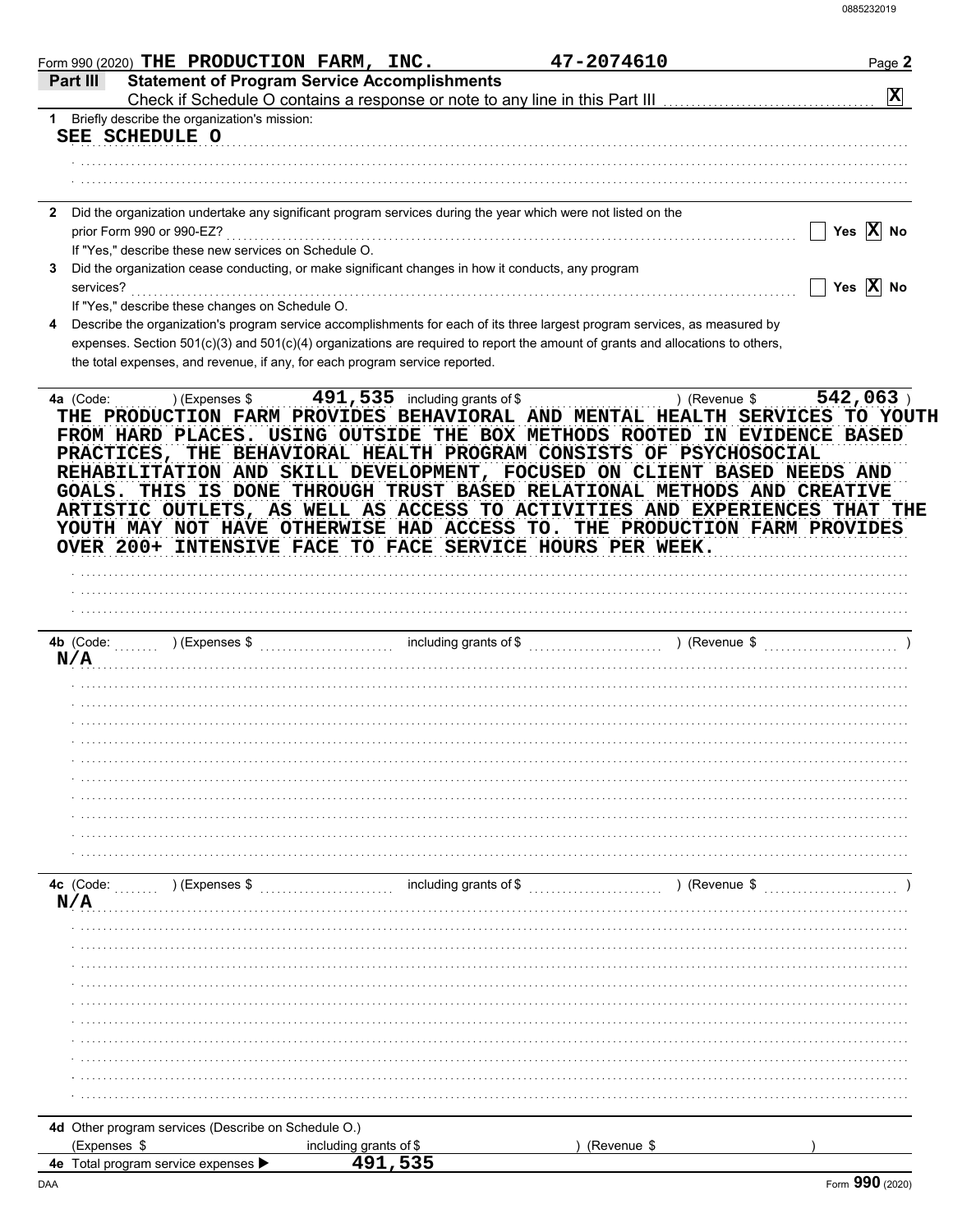| Form 990 (2020) THE PRODUCTION FARM, INC.                                   |                                                                                                                                                                                                                                                              | 47-2074610    | Page 2                |
|-----------------------------------------------------------------------------|--------------------------------------------------------------------------------------------------------------------------------------------------------------------------------------------------------------------------------------------------------------|---------------|-----------------------|
| Part III                                                                    | <b>Statement of Program Service Accomplishments</b><br>Check if Schedule O contains a response or note to any line in this Part III [11] [11] [11] [11] [11] [11] [1                                                                                         |               | $ \mathbf{x} $        |
| Briefly describe the organization's mission:<br>1.                          |                                                                                                                                                                                                                                                              |               |                       |
| SEE SCHEDULE O                                                              |                                                                                                                                                                                                                                                              |               |                       |
|                                                                             |                                                                                                                                                                                                                                                              |               |                       |
|                                                                             |                                                                                                                                                                                                                                                              |               |                       |
|                                                                             |                                                                                                                                                                                                                                                              |               |                       |
|                                                                             | Did the organization undertake any significant program services during the year which were not listed on the                                                                                                                                                 |               |                       |
| prior Form 990 or 990-EZ?                                                   |                                                                                                                                                                                                                                                              |               | Yes $\overline{X}$ No |
| If "Yes," describe these new services on Schedule O.                        |                                                                                                                                                                                                                                                              |               |                       |
|                                                                             | Did the organization cease conducting, or make significant changes in how it conducts, any program                                                                                                                                                           |               |                       |
| services?                                                                   |                                                                                                                                                                                                                                                              |               | Yes $\overline{X}$ No |
| If "Yes," describe these changes on Schedule O.                             |                                                                                                                                                                                                                                                              |               |                       |
|                                                                             | Describe the organization's program service accomplishments for each of its three largest program services, as measured by<br>expenses. Section 501(c)(3) and 501(c)(4) organizations are required to report the amount of grants and allocations to others, |               |                       |
| the total expenses, and revenue, if any, for each program service reported. |                                                                                                                                                                                                                                                              |               |                       |
|                                                                             |                                                                                                                                                                                                                                                              |               |                       |
|                                                                             | YOUTH MAY NOT HAVE OTHERWISE HAD ACCESS TO. THE PRODUCTION FARM PROVIDES<br>OVER 200+ INTENSIVE FACE TO FACE SERVICE HOURS PER WEEK.                                                                                                                         |               |                       |
|                                                                             |                                                                                                                                                                                                                                                              |               |                       |
| 4b $(Code:$<br>) (Expenses \$                                               | including grants of \$                                                                                                                                                                                                                                       | ) (Revenue \$ |                       |
| N/A                                                                         |                                                                                                                                                                                                                                                              |               |                       |
|                                                                             |                                                                                                                                                                                                                                                              |               |                       |
|                                                                             |                                                                                                                                                                                                                                                              |               |                       |
|                                                                             |                                                                                                                                                                                                                                                              |               |                       |
|                                                                             |                                                                                                                                                                                                                                                              |               |                       |
|                                                                             |                                                                                                                                                                                                                                                              |               |                       |
|                                                                             |                                                                                                                                                                                                                                                              |               |                       |
|                                                                             |                                                                                                                                                                                                                                                              |               |                       |
|                                                                             |                                                                                                                                                                                                                                                              |               |                       |
|                                                                             |                                                                                                                                                                                                                                                              |               |                       |
| 4c (Code:<br>) (Expenses \$                                                 | including grants of \$                                                                                                                                                                                                                                       | ) (Revenue \$ |                       |
| N/A                                                                         |                                                                                                                                                                                                                                                              |               |                       |
|                                                                             |                                                                                                                                                                                                                                                              |               |                       |
|                                                                             |                                                                                                                                                                                                                                                              |               |                       |
|                                                                             |                                                                                                                                                                                                                                                              |               |                       |
|                                                                             |                                                                                                                                                                                                                                                              |               |                       |
|                                                                             |                                                                                                                                                                                                                                                              |               |                       |
|                                                                             |                                                                                                                                                                                                                                                              |               |                       |
|                                                                             |                                                                                                                                                                                                                                                              |               |                       |
|                                                                             |                                                                                                                                                                                                                                                              |               |                       |
|                                                                             |                                                                                                                                                                                                                                                              |               |                       |
|                                                                             |                                                                                                                                                                                                                                                              |               |                       |
| 4d Other program services (Describe on Schedule O.)                         |                                                                                                                                                                                                                                                              |               |                       |
| (Expenses \$                                                                | including grants of \$                                                                                                                                                                                                                                       | (Revenue \$   |                       |
| <b>4e</b> Total program service expenses                                    |                                                                                                                                                                                                                                                              |               |                       |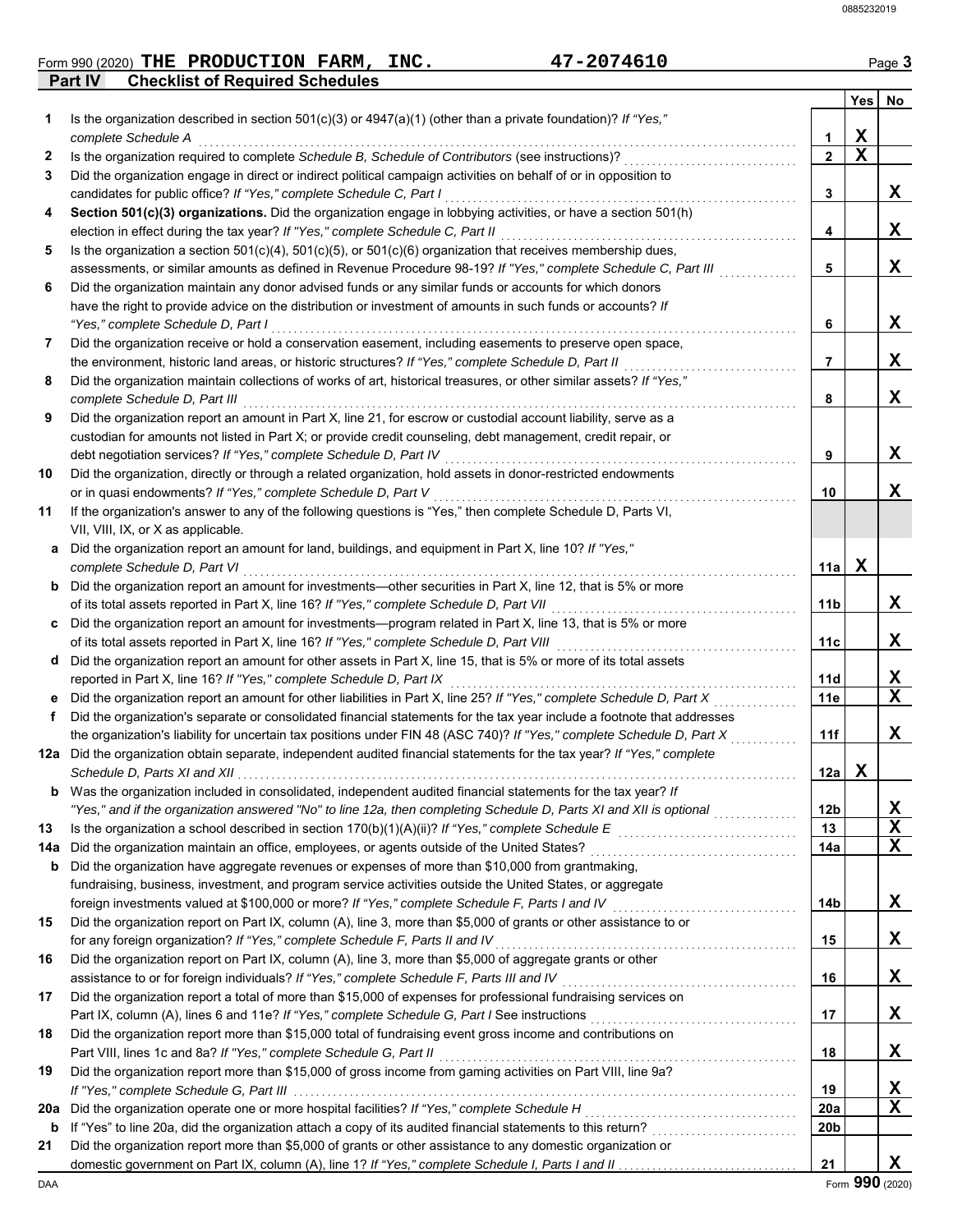## **Form 990 (2020) THE PRODUCTION FARM, INC.** 47-2074610 Page 3

**Part IV Checklist of Required Schedules**

|     |                                                                                                                          |                               | Yes No |   |
|-----|--------------------------------------------------------------------------------------------------------------------------|-------------------------------|--------|---|
| 1   | Is the organization described in section $501(c)(3)$ or $4947(a)(1)$ (other than a private foundation)? If "Yes,"        |                               |        |   |
| 2   | complete Schedule A<br>Is the organization required to complete Schedule B, Schedule of Contributors (see instructions)? | 1<br>$\mathbf{2}$             | x<br>X |   |
| 3   | Did the organization engage in direct or indirect political campaign activities on behalf of or in opposition to         |                               |        |   |
|     | candidates for public office? If "Yes," complete Schedule C, Part I                                                      | 3                             |        | X |
| 4   | Section 501(c)(3) organizations. Did the organization engage in lobbying activities, or have a section 501(h)            |                               |        |   |
|     | election in effect during the tax year? If "Yes," complete Schedule C, Part II                                           | 4                             |        | X |
| 5   | Is the organization a section $501(c)(4)$ , $501(c)(5)$ , or $501(c)(6)$ organization that receives membership dues,     |                               |        |   |
|     | assessments, or similar amounts as defined in Revenue Procedure 98-19? If "Yes," complete Schedule C, Part III           | 5                             |        | X |
| 6   | Did the organization maintain any donor advised funds or any similar funds or accounts for which donors                  |                               |        |   |
|     | have the right to provide advice on the distribution or investment of amounts in such funds or accounts? If              |                               |        |   |
|     | "Yes," complete Schedule D, Part I                                                                                       | 6                             |        | X |
| 7   | Did the organization receive or hold a conservation easement, including easements to preserve open space,                |                               |        |   |
|     | the environment, historic land areas, or historic structures? If "Yes," complete Schedule D, Part II                     | 7                             |        | X |
| 8   | Did the organization maintain collections of works of art, historical treasures, or other similar assets? If "Yes,"      |                               |        |   |
|     | complete Schedule D, Part III                                                                                            | 8                             |        | X |
| 9   | Did the organization report an amount in Part X, line 21, for escrow or custodial account liability, serve as a          |                               |        |   |
|     | custodian for amounts not listed in Part X; or provide credit counseling, debt management, credit repair, or             |                               |        |   |
|     | debt negotiation services? If "Yes," complete Schedule D, Part IV                                                        | 9                             |        | X |
| 10  | Did the organization, directly or through a related organization, hold assets in donor-restricted endowments             |                               |        |   |
|     | or in quasi endowments? If "Yes," complete Schedule D, Part V                                                            | 10                            |        | X |
| 11  | If the organization's answer to any of the following questions is "Yes," then complete Schedule D, Parts VI,             |                               |        |   |
|     | VII, VIII, IX, or X as applicable.                                                                                       |                               |        |   |
| а   | Did the organization report an amount for land, buildings, and equipment in Part X, line 10? If "Yes,"                   |                               |        |   |
|     | complete Schedule D, Part VI                                                                                             | 11a                           | X      |   |
|     | <b>b</b> Did the organization report an amount for investments—other securities in Part X, line 12, that is 5% or more   |                               |        |   |
|     | of its total assets reported in Part X, line 16? If "Yes," complete Schedule D, Part VII                                 | 11b                           |        | X |
| C   | Did the organization report an amount for investments—program related in Part X, line 13, that is 5% or more             |                               |        |   |
|     | of its total assets reported in Part X, line 16? If "Yes," complete Schedule D, Part VIII                                | 11c                           |        | X |
| d   | Did the organization report an amount for other assets in Part X, line 15, that is 5% or more of its total assets        |                               |        |   |
|     | reported in Part X, line 16? If "Yes," complete Schedule D, Part IX                                                      | 11d                           |        | X |
| е   | Did the organization report an amount for other liabilities in Part X, line 25? If "Yes," complete Schedule D, Part X    | 11e                           |        | X |
| f   | Did the organization's separate or consolidated financial statements for the tax year include a footnote that addresses  |                               |        |   |
|     | the organization's liability for uncertain tax positions under FIN 48 (ASC 740)? If "Yes," complete Schedule D, Part X   | 11f                           |        | X |
|     | 12a Did the organization obtain separate, independent audited financial statements for the tax year? If "Yes," complete  |                               |        |   |
|     |                                                                                                                          | 12a                           | X      |   |
|     | <b>b</b> Was the organization included in consolidated, independent audited financial statements for the tax year? If    |                               |        |   |
|     | "Yes," and if the organization answered "No" to line 12a, then completing Schedule D, Parts XI and XII is optional       | 12 <sub>b</sub>               |        | X |
| 13  |                                                                                                                          | 13                            |        | X |
| 14a | Did the organization maintain an office, employees, or agents outside of the United States?                              | 14a                           |        | X |
| b   | Did the organization have aggregate revenues or expenses of more than \$10,000 from grantmaking,                         |                               |        |   |
|     | fundraising, business, investment, and program service activities outside the United States, or aggregate                |                               |        |   |
|     | foreign investments valued at \$100,000 or more? If "Yes," complete Schedule F, Parts I and IV [[[[[[[[[[[[[[[           | 14b                           |        | X |
| 15  | Did the organization report on Part IX, column (A), line 3, more than \$5,000 of grants or other assistance to or        |                               |        |   |
|     | for any foreign organization? If "Yes," complete Schedule F, Parts II and IV                                             | 15                            |        | X |
| 16  | Did the organization report on Part IX, column (A), line 3, more than \$5,000 of aggregate grants or other               |                               |        |   |
|     | assistance to or for foreign individuals? If "Yes," complete Schedule F, Parts III and IV [[[[[[[[[[[[[[[[[[[            | 16                            |        | X |
| 17  | Did the organization report a total of more than \$15,000 of expenses for professional fundraising services on           |                               |        |   |
|     | Part IX, column (A), lines 6 and 11e? If "Yes," complete Schedule G, Part I See instructions [[[[[[[[[[[[[[[[            | 17                            |        | X |
| 18  | Did the organization report more than \$15,000 total of fundraising event gross income and contributions on              |                               |        |   |
|     |                                                                                                                          | 18                            |        | X |
| 19  | Did the organization report more than \$15,000 of gross income from gaming activities on Part VIII, line 9a?             |                               |        |   |
|     |                                                                                                                          | 19                            |        | X |
| 20a | Did the organization operate one or more hospital facilities? If "Yes," complete Schedule H                              | <b>20a</b><br>20 <sub>b</sub> |        | X |
| b   |                                                                                                                          |                               |        |   |
| 21  | Did the organization report more than \$5,000 of grants or other assistance to any domestic organization or              |                               |        | X |
|     |                                                                                                                          | 21                            |        |   |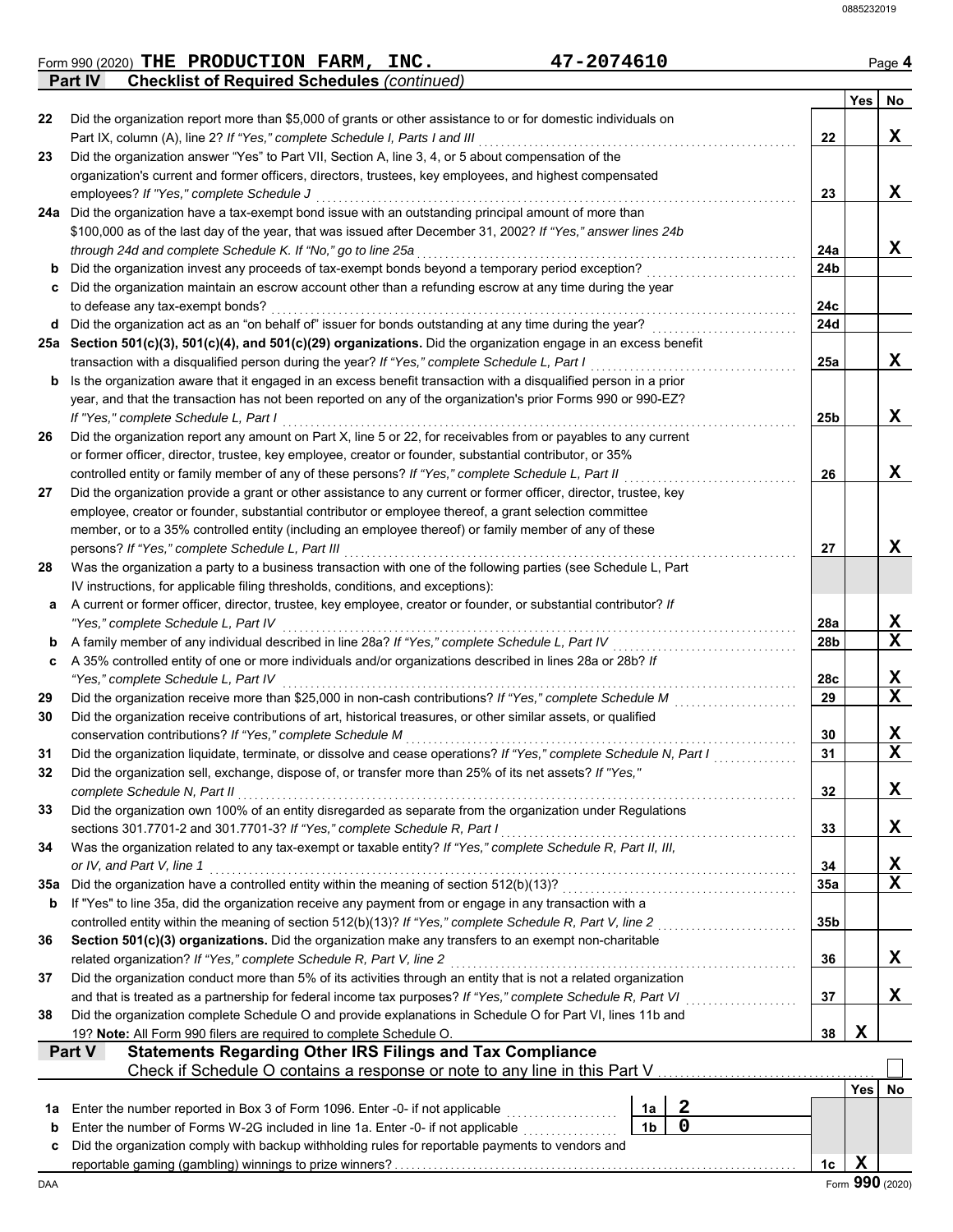|     | 47-2074610<br>Form 990 (2020) THE PRODUCTION FARM, INC.                                                                                             |                 |            | Page 4                          |
|-----|-----------------------------------------------------------------------------------------------------------------------------------------------------|-----------------|------------|---------------------------------|
|     | <b>Checklist of Required Schedules (continued)</b><br><b>Part IV</b>                                                                                |                 |            |                                 |
|     |                                                                                                                                                     |                 | <b>Yes</b> | No                              |
| 22  | Did the organization report more than \$5,000 of grants or other assistance to or for domestic individuals on                                       |                 |            |                                 |
|     | Part IX, column (A), line 2? If "Yes," complete Schedule I, Parts I and III                                                                         | 22              |            | X                               |
| 23  | Did the organization answer "Yes" to Part VII, Section A, line 3, 4, or 5 about compensation of the                                                 |                 |            |                                 |
|     | organization's current and former officers, directors, trustees, key employees, and highest compensated                                             |                 |            |                                 |
|     | employees? If "Yes," complete Schedule J<br>24a Did the organization have a tax-exempt bond issue with an outstanding principal amount of more than | 23              |            | X                               |
|     | \$100,000 as of the last day of the year, that was issued after December 31, 2002? If "Yes," answer lines 24b                                       |                 |            |                                 |
|     | through 24d and complete Schedule K. If "No," go to line 25a                                                                                        | 24a             |            | X                               |
|     | Did the organization invest any proceeds of tax-exempt bonds beyond a temporary period exception?                                                   | 24b             |            |                                 |
|     | Did the organization maintain an escrow account other than a refunding escrow at any time during the year                                           |                 |            |                                 |
|     | to defease any tax-exempt bonds?                                                                                                                    | 24c             |            |                                 |
| d   | Did the organization act as an "on behalf of" issuer for bonds outstanding at any time during the year?                                             | 24d             |            |                                 |
|     | 25a Section 501(c)(3), 501(c)(4), and 501(c)(29) organizations. Did the organization engage in an excess benefit                                    |                 |            |                                 |
|     | transaction with a disqualified person during the year? If "Yes," complete Schedule L, Part I                                                       | 25a             |            | X                               |
| b   | Is the organization aware that it engaged in an excess benefit transaction with a disqualified person in a prior                                    |                 |            |                                 |
|     | year, and that the transaction has not been reported on any of the organization's prior Forms 990 or 990-EZ?                                        |                 |            |                                 |
|     | If "Yes," complete Schedule L, Part I                                                                                                               | 25 <sub>b</sub> |            | X                               |
| 26  | Did the organization report any amount on Part X, line 5 or 22, for receivables from or payables to any current                                     |                 |            |                                 |
|     | or former officer, director, trustee, key employee, creator or founder, substantial contributor, or 35%                                             |                 |            |                                 |
|     | controlled entity or family member of any of these persons? If "Yes," complete Schedule L, Part II                                                  | 26              |            | X                               |
| 27  | Did the organization provide a grant or other assistance to any current or former officer, director, trustee, key                                   |                 |            |                                 |
|     | employee, creator or founder, substantial contributor or employee thereof, a grant selection committee                                              |                 |            |                                 |
|     | member, or to a 35% controlled entity (including an employee thereof) or family member of any of these                                              |                 |            |                                 |
|     | persons? If "Yes," complete Schedule L, Part III                                                                                                    | 27              |            | X                               |
| 28  | Was the organization a party to a business transaction with one of the following parties (see Schedule L, Part                                      |                 |            |                                 |
|     | IV instructions, for applicable filing thresholds, conditions, and exceptions):                                                                     |                 |            |                                 |
| а   | A current or former officer, director, trustee, key employee, creator or founder, or substantial contributor? If                                    |                 |            |                                 |
|     | "Yes," complete Schedule L, Part IV                                                                                                                 | 28a             |            |                                 |
| b   | A family member of any individual described in line 28a? If "Yes," complete Schedule L, Part IV                                                     | 28b             |            | $\frac{\mathbf{x}}{\mathbf{x}}$ |
| c   | A 35% controlled entity of one or more individuals and/or organizations described in lines 28a or 28b? If                                           |                 |            |                                 |
|     | "Yes," complete Schedule L, Part IV                                                                                                                 | 28c             |            |                                 |
| 29  | Did the organization receive more than \$25,000 in non-cash contributions? If "Yes," complete Schedule M                                            | 29              |            | $\frac{\mathbf{X}}{\mathbf{X}}$ |
| 30  | Did the organization receive contributions of art, historical treasures, or other similar assets, or qualified                                      |                 |            |                                 |
|     | conservation contributions? If "Yes," complete Schedule M                                                                                           | 30              |            |                                 |
| 31  | Did the organization liquidate, terminate, or dissolve and cease operations? If "Yes," complete Schedule N, Part I                                  | 31              |            | $\frac{\mathbf{X}}{\mathbf{X}}$ |
| 32  | Did the organization sell, exchange, dispose of, or transfer more than 25% of its net assets? If "Yes,"                                             |                 |            |                                 |
|     | complete Schedule N, Part II                                                                                                                        | 32              |            | X                               |
| 33  | Did the organization own 100% of an entity disregarded as separate from the organization under Regulations                                          |                 |            |                                 |
|     | sections 301.7701-2 and 301.7701-3? If "Yes," complete Schedule R, Part I                                                                           | 33              |            | X                               |
| 34  | Was the organization related to any tax-exempt or taxable entity? If "Yes," complete Schedule R, Part II, III,                                      |                 |            |                                 |
|     | or IV, and Part V, line 1                                                                                                                           | 34              |            |                                 |
| 35a | Did the organization have a controlled entity within the meaning of section 512(b)(13)?                                                             | 35a             |            | $\frac{\mathbf{x}}{\mathbf{x}}$ |
| b   | If "Yes" to line 35a, did the organization receive any payment from or engage in any transaction with a                                             |                 |            |                                 |
|     | controlled entity within the meaning of section 512(b)(13)? If "Yes," complete Schedule R, Part V, line 2                                           | 35b             |            |                                 |
| 36  | Section 501(c)(3) organizations. Did the organization make any transfers to an exempt non-charitable                                                |                 |            |                                 |
|     | related organization? If "Yes," complete Schedule R, Part V, line 2                                                                                 | 36              |            | X                               |
| 37  | Did the organization conduct more than 5% of its activities through an entity that is not a related organization                                    |                 |            |                                 |
|     | and that is treated as a partnership for federal income tax purposes? If "Yes," complete Schedule R, Part VI                                        | 37              |            | X                               |
| 38  | Did the organization complete Schedule O and provide explanations in Schedule O for Part VI, lines 11b and                                          |                 |            |                                 |
|     | 19? Note: All Form 990 filers are required to complete Schedule O.                                                                                  | 38              | X          |                                 |
|     | <b>Statements Regarding Other IRS Filings and Tax Compliance</b><br>Part V                                                                          |                 |            |                                 |
|     | Check if Schedule O contains a response or note to any line in this Part V                                                                          |                 |            |                                 |
|     |                                                                                                                                                     |                 | Yes        | No                              |
| 1а  | 2<br>Enter the number reported in Box 3 of Form 1096. Enter -0- if not applicable<br>1a                                                             |                 |            |                                 |
| b   | $\mathbf 0$<br>1 <sub>b</sub><br>Enter the number of Forms W-2G included in line 1a. Enter -0- if not applicable                                    |                 |            |                                 |
| c   | Did the organization comply with backup withholding rules for reportable payments to vendors and                                                    |                 |            |                                 |

reportable gaming (gambling) winnings to prize winners? . . . . . . . . . . . . . . . . . . . . . . . . . . . . . . . . . . . . . . . . . . . . . . . . . . . . . . . . . . . . . . . . . . . . . . . . **1c**

DAA Form **990** (2020)  $\frac{1c \mid X \mid}{\text{Form } 990 \text{ (2020)}}$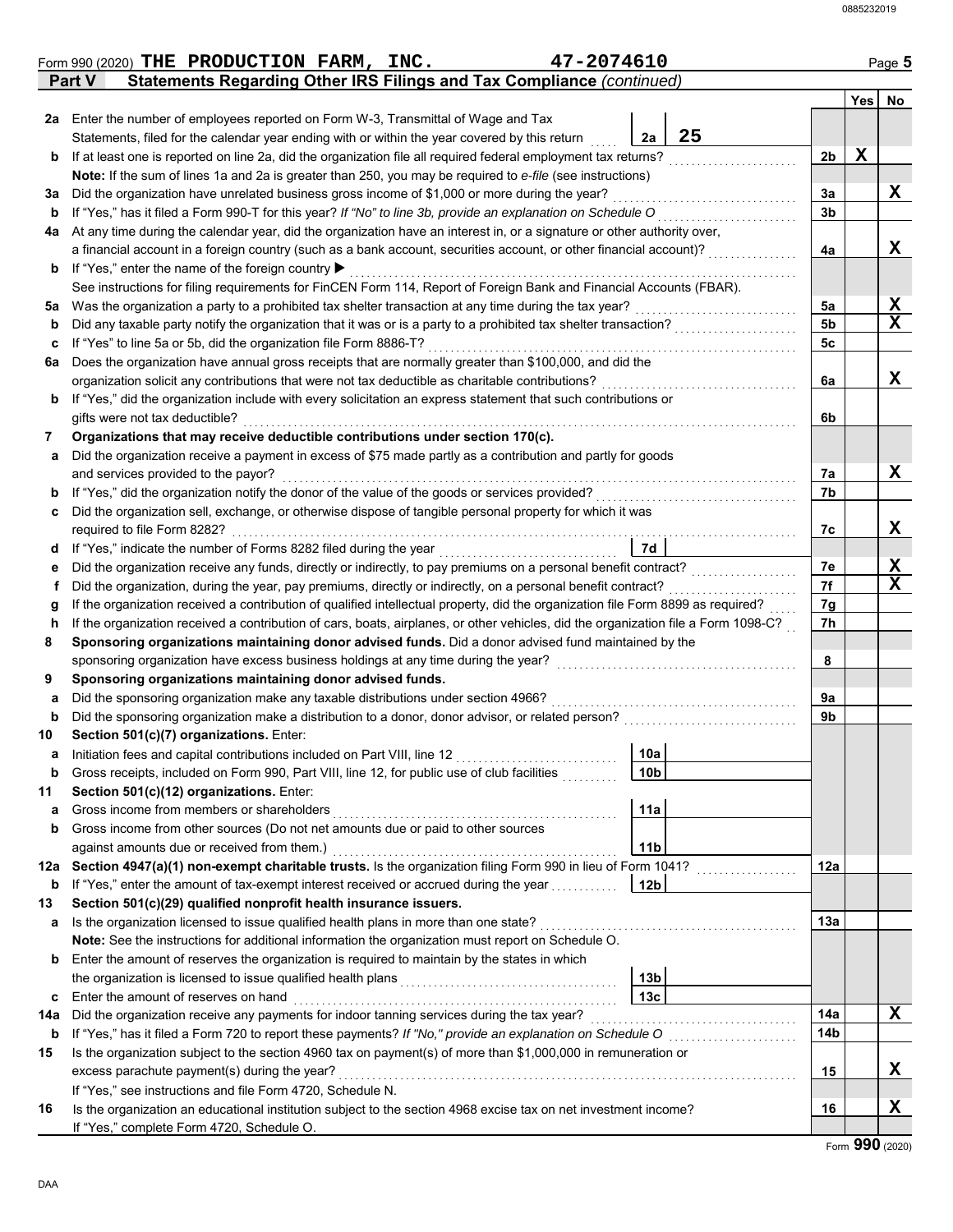|        | 47-2074610<br>Form 990 (2020) THE PRODUCTION FARM, INC.                                                                                         |                 |             | Page 5      |
|--------|-------------------------------------------------------------------------------------------------------------------------------------------------|-----------------|-------------|-------------|
|        | Statements Regarding Other IRS Filings and Tax Compliance (continued)<br><b>Part V</b>                                                          |                 |             |             |
|        |                                                                                                                                                 |                 |             | Yes No      |
|        | 2a Enter the number of employees reported on Form W-3, Transmittal of Wage and Tax                                                              |                 |             |             |
|        | 25<br>Statements, filed for the calendar year ending with or within the year covered by this return<br>2a                                       |                 |             |             |
| b      | If at least one is reported on line 2a, did the organization file all required federal employment tax returns?                                  | 2 <sub>b</sub>  | $\mathbf X$ |             |
|        | Note: If the sum of lines 1a and 2a is greater than 250, you may be required to e-file (see instructions)                                       |                 |             |             |
| За     | Did the organization have unrelated business gross income of \$1,000 or more during the year?                                                   | За              |             | X           |
| b      | If "Yes," has it filed a Form 990-T for this year? If "No" to line 3b, provide an explanation on Schedule O                                     | 3 <sub>b</sub>  |             |             |
| 4a     | At any time during the calendar year, did the organization have an interest in, or a signature or other authority over,                         |                 |             |             |
|        | a financial account in a foreign country (such as a bank account, securities account, or other financial account)?                              | 4a              |             | X.          |
| b      | If "Yes," enter the name of the foreign country ▶                                                                                               |                 |             |             |
|        | See instructions for filing requirements for FinCEN Form 114, Report of Foreign Bank and Financial Accounts (FBAR).                             |                 |             |             |
| 5a     | Was the organization a party to a prohibited tax shelter transaction at any time during the tax year?                                           | 5a              |             | X           |
| b      | Did any taxable party notify the organization that it was or is a party to a prohibited tax shelter transaction?                                | 5 <sub>b</sub>  |             | $\mathbf x$ |
| c      | If "Yes" to line 5a or 5b, did the organization file Form 8886-T?                                                                               | 5c              |             |             |
| 6a     | Does the organization have annual gross receipts that are normally greater than \$100,000, and did the                                          |                 |             |             |
|        | organization solicit any contributions that were not tax deductible as charitable contributions?                                                | 6a              |             | X.          |
| b      | If "Yes," did the organization include with every solicitation an express statement that such contributions or                                  |                 |             |             |
|        | gifts were not tax deductible?                                                                                                                  | 6b              |             |             |
| 7      | Organizations that may receive deductible contributions under section 170(c).                                                                   |                 |             |             |
| а      | Did the organization receive a payment in excess of \$75 made partly as a contribution and partly for goods                                     |                 |             |             |
|        | and services provided to the payor?                                                                                                             | 7а              |             | X           |
| b      | If "Yes," did the organization notify the donor of the value of the goods or services provided?                                                 | 7b              |             |             |
| с      | Did the organization sell, exchange, or otherwise dispose of tangible personal property for which it was                                        |                 |             |             |
|        | required to file Form 8282?                                                                                                                     | 7c              |             | X.          |
| a      | If "Yes," indicate the number of Forms 8282 filed during the year<br>7d                                                                         |                 |             |             |
|        | Did the organization receive any funds, directly or indirectly, to pay premiums on a personal benefit contract?                                 | 7e              |             | X           |
|        | Did the organization, during the year, pay premiums, directly or indirectly, on a personal benefit contract?                                    | 7f              |             | $\mathbf x$ |
| g      | If the organization received a contribution of qualified intellectual property, did the organization file Form 8899 as required?                | 7g              |             |             |
| h      | If the organization received a contribution of cars, boats, airplanes, or other vehicles, did the organization file a Form 1098-C?              | 7h              |             |             |
| 8      | Sponsoring organizations maintaining donor advised funds. Did a donor advised fund maintained by the                                            |                 |             |             |
|        | sponsoring organization have excess business holdings at any time during the year?<br>Sponsoring organizations maintaining donor advised funds. | 8               |             |             |
| 9      | Did the sponsoring organization make any taxable distributions under section 4966?                                                              | 9а              |             |             |
| а<br>b | Did the sponsoring organization make a distribution to a donor, donor advisor, or related person?                                               | 9b              |             |             |
| 10     | Section 501(c)(7) organizations. Enter:                                                                                                         |                 |             |             |
| а      | 10a<br>Initiation fees and capital contributions included on Part VIII, line 12                                                                 |                 |             |             |
| b      | Gross receipts, included on Form 990, Part VIII, line 12, for public use of club facilities<br>10 <sub>b</sub>                                  |                 |             |             |
| 11     | Section 501(c)(12) organizations. Enter:                                                                                                        |                 |             |             |
| a      | 11a<br>Gross income from members or shareholders                                                                                                |                 |             |             |
| b      | Gross income from other sources (Do not net amounts due or paid to other sources                                                                |                 |             |             |
|        | against amounts due or received from them.)<br>11 <sub>b</sub>                                                                                  |                 |             |             |
| 12a    | Section 4947(a)(1) non-exempt charitable trusts. Is the organization filing Form 990 in lieu of Form 1041?                                      | 12a             |             |             |
| b      | If "Yes," enter the amount of tax-exempt interest received or accrued during the year<br>12 <sub>b</sub>                                        |                 |             |             |
| 13     | Section 501(c)(29) qualified nonprofit health insurance issuers.                                                                                |                 |             |             |
| а      | Is the organization licensed to issue qualified health plans in more than one state?                                                            | 13a             |             |             |
|        | Note: See the instructions for additional information the organization must report on Schedule O.                                               |                 |             |             |
| b      | Enter the amount of reserves the organization is required to maintain by the states in which                                                    |                 |             |             |
|        | 13 <sub>b</sub><br>the organization is licensed to issue qualified health plans                                                                 |                 |             |             |
| c      | 13 <sub>c</sub><br>Enter the amount of reserves on hand                                                                                         |                 |             |             |
| 14a    | Did the organization receive any payments for indoor tanning services during the tax year?                                                      | 14a             |             | X           |
| b      | If "Yes," has it filed a Form 720 to report these payments? If "No," provide an explanation on Schedule O                                       | 14 <sub>b</sub> |             |             |
| 15     | Is the organization subject to the section 4960 tax on payment(s) of more than \$1,000,000 in remuneration or                                   |                 |             |             |
|        | excess parachute payment(s) during the year?                                                                                                    | 15              |             | X           |
|        | If "Yes," see instructions and file Form 4720, Schedule N.                                                                                      |                 |             |             |
| 16     | Is the organization an educational institution subject to the section 4968 excise tax on net investment income?                                 | 16              |             | X           |
|        | If "Yes," complete Form 4720, Schedule O.                                                                                                       |                 |             |             |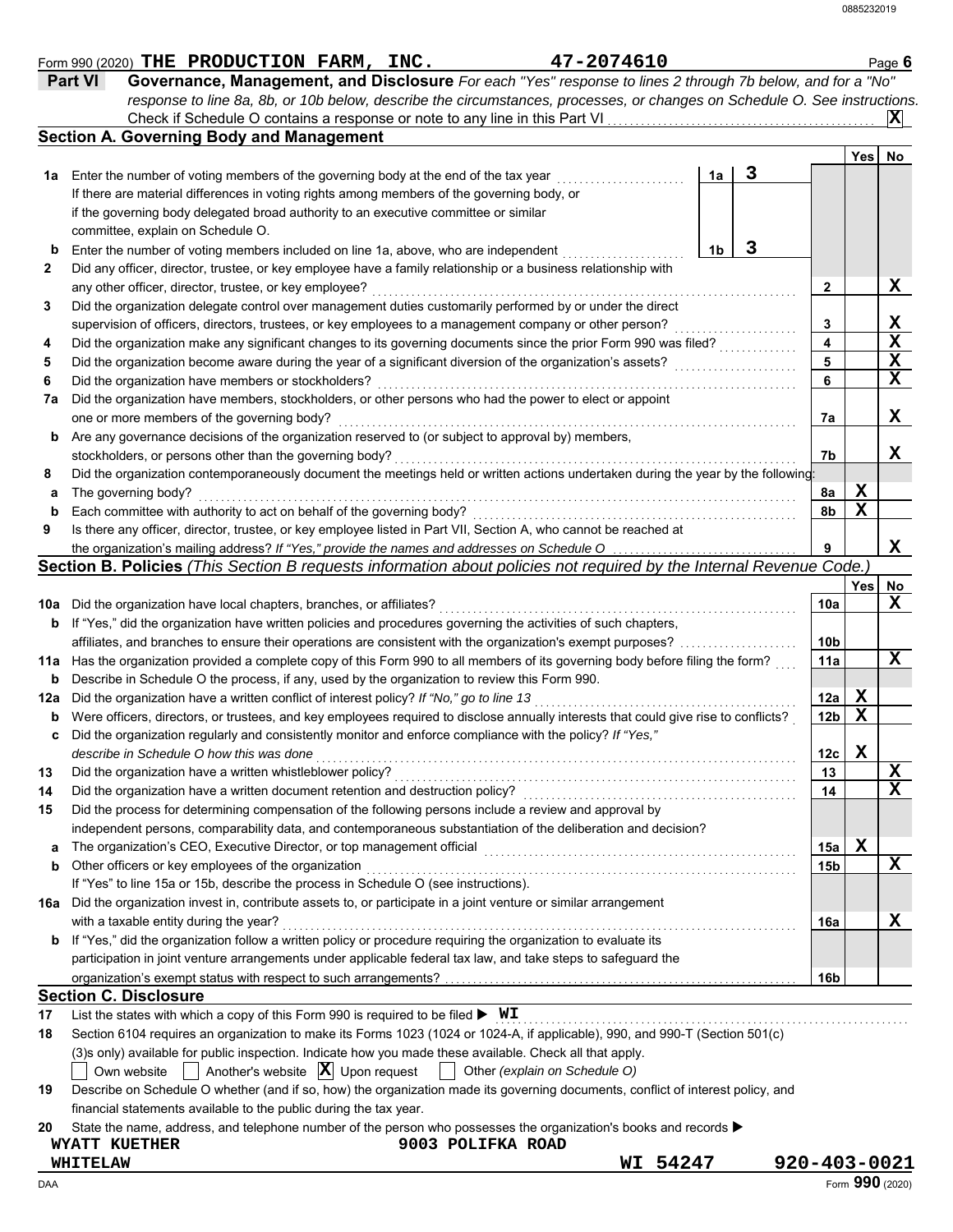|            | 47-2074610<br>Form 990 (2020) THE PRODUCTION FARM, INC.                                                                             |                |   |              |                 |             | Page 6          |
|------------|-------------------------------------------------------------------------------------------------------------------------------------|----------------|---|--------------|-----------------|-------------|-----------------|
|            | Governance, Management, and Disclosure For each "Yes" response to lines 2 through 7b below, and for a "No"<br>Part VI               |                |   |              |                 |             |                 |
|            | response to line 8a, 8b, or 10b below, describe the circumstances, processes, or changes on Schedule O. See instructions.           |                |   |              |                 |             |                 |
|            | Check if Schedule O contains a response or note to any line in this Part VI                                                         |                |   |              |                 |             | IХ              |
|            | <b>Section A. Governing Body and Management</b>                                                                                     |                |   |              |                 |             |                 |
|            |                                                                                                                                     |                |   |              |                 | Yes         | No              |
|            | 1a Enter the number of voting members of the governing body at the end of the tax year                                              | 1a             | 3 |              |                 |             |                 |
|            | If there are material differences in voting rights among members of the governing body, or                                          |                |   |              |                 |             |                 |
|            | if the governing body delegated broad authority to an executive committee or similar                                                |                |   |              |                 |             |                 |
|            | committee, explain on Schedule O.                                                                                                   |                |   |              |                 |             |                 |
| b          | Enter the number of voting members included on line 1a, above, who are independent                                                  | 1 <sub>b</sub> | 3 |              |                 |             |                 |
| 2          | Did any officer, director, trustee, or key employee have a family relationship or a business relationship with                      |                |   |              |                 |             |                 |
|            | any other officer, director, trustee, or key employee?                                                                              |                |   |              | $\mathbf{2}$    |             | X               |
| 3          | Did the organization delegate control over management duties customarily performed by or under the direct                           |                |   |              |                 |             |                 |
|            | supervision of officers, directors, trustees, or key employees to a management company or other person?                             |                |   |              | 3               |             | X               |
| 4          | Did the organization make any significant changes to its governing documents since the prior Form 990 was filed?                    |                |   |              | 4               |             | X               |
| 5          | Did the organization become aware during the year of a significant diversion of the organization's assets?                          |                |   |              | 5               |             | X               |
| 6          | Did the organization have members or stockholders?                                                                                  |                |   |              | 6               |             | $\mathbf x$     |
| 7a         | Did the organization have members, stockholders, or other persons who had the power to elect or appoint                             |                |   |              |                 |             |                 |
|            | one or more members of the governing body?                                                                                          |                |   |              | 7a              |             | X               |
| b          | Are any governance decisions of the organization reserved to (or subject to approval by) members,                                   |                |   |              |                 |             |                 |
|            | stockholders, or persons other than the governing body?                                                                             |                |   |              | 7b              |             | X               |
| 8          | Did the organization contemporaneously document the meetings held or written actions undertaken during the year by the following:   |                |   |              |                 |             |                 |
| а          | The governing body?                                                                                                                 |                |   |              | 8a              | X           |                 |
| b          | Each committee with authority to act on behalf of the governing body?                                                               |                |   |              | 8b              | $\mathbf x$ |                 |
| 9          | Is there any officer, director, trustee, or key employee listed in Part VII, Section A, who cannot be reached at                    |                |   |              |                 |             |                 |
|            | the organization's mailing address? If "Yes," provide the names and addresses on Schedule O                                         |                |   |              | 9               |             | X               |
|            | Section B. Policies (This Section B requests information about policies not required by the Internal Revenue Code.)                 |                |   |              |                 |             |                 |
|            |                                                                                                                                     |                |   |              |                 | Yes         | No              |
|            | 10a Did the organization have local chapters, branches, or affiliates?                                                              |                |   |              | 10a             |             | X               |
| b          | If "Yes," did the organization have written policies and procedures governing the activities of such chapters,                      |                |   |              |                 |             |                 |
|            | affiliates, and branches to ensure their operations are consistent with the organization's exempt purposes?                         |                |   |              | 10 <sub>b</sub> |             |                 |
| 11a        | Has the organization provided a complete copy of this Form 990 to all members of its governing body before filing the form?         |                |   |              | 11a             |             | X               |
| b          | Describe in Schedule O the process, if any, used by the organization to review this Form 990.                                       |                |   |              |                 |             |                 |
| 12a        | Did the organization have a written conflict of interest policy? If "No," go to line 13                                             |                |   |              | 12a             | X           |                 |
| b          | Were officers, directors, or trustees, and key employees required to disclose annually interests that could give rise to conflicts? |                |   |              | 12 <sub>b</sub> | $\mathbf x$ |                 |
| c          | Did the organization regularly and consistently monitor and enforce compliance with the policy? If "Yes,"                           |                |   |              |                 |             |                 |
|            | describe in Schedule O how this was done                                                                                            |                |   |              | 12c             | v<br>▵      |                 |
| 13         | Did the organization have a written whistleblower policy?                                                                           |                |   |              | 13              |             | X               |
| 14         | Did the organization have a written document retention and destruction policy?                                                      |                |   |              | 14              |             | $\mathbf X$     |
| 15         | Did the process for determining compensation of the following persons include a review and approval by                              |                |   |              |                 |             |                 |
|            | independent persons, comparability data, and contemporaneous substantiation of the deliberation and decision?                       |                |   |              |                 |             |                 |
| a          | The organization's CEO, Executive Director, or top management official                                                              |                |   |              | 15a             | $\mathbf x$ |                 |
| b          | Other officers or key employees of the organization                                                                                 |                |   |              | 15 <sub>b</sub> |             | X               |
|            | If "Yes" to line 15a or 15b, describe the process in Schedule O (see instructions).                                                 |                |   |              |                 |             |                 |
|            | 16a Did the organization invest in, contribute assets to, or participate in a joint venture or similar arrangement                  |                |   |              |                 |             |                 |
|            | with a taxable entity during the year?                                                                                              |                |   |              | 16a             |             | X               |
| b          | If "Yes," did the organization follow a written policy or procedure requiring the organization to evaluate its                      |                |   |              |                 |             |                 |
|            | participation in joint venture arrangements under applicable federal tax law, and take steps to safeguard the                       |                |   |              |                 |             |                 |
|            |                                                                                                                                     |                |   |              | 16 <sub>b</sub> |             |                 |
|            | <b>Section C. Disclosure</b>                                                                                                        |                |   |              |                 |             |                 |
| 17         | List the states with which a copy of this Form 990 is required to be filed $\blacktriangleright$ WI                                 |                |   |              |                 |             |                 |
| 18         | Section 6104 requires an organization to make its Forms 1023 (1024 or 1024-A, if applicable), 990, and 990-T (Section 501(c)        |                |   |              |                 |             |                 |
|            | (3)s only) available for public inspection. Indicate how you made these available. Check all that apply.                            |                |   |              |                 |             |                 |
|            | Another's website $ \mathbf{X} $ Upon request<br>Other (explain on Schedule O)<br>Own website                                       |                |   |              |                 |             |                 |
| 19         | Describe on Schedule O whether (and if so, how) the organization made its governing documents, conflict of interest policy, and     |                |   |              |                 |             |                 |
|            | financial statements available to the public during the tax year.                                                                   |                |   |              |                 |             |                 |
| 20         | State the name, address, and telephone number of the person who possesses the organization's books and records ▶                    |                |   |              |                 |             |                 |
|            | 9003 POLIFKA ROAD<br><b>WYATT KUETHER</b>                                                                                           |                |   |              |                 |             |                 |
|            | WI 54247<br><b>WHITELAW</b>                                                                                                         |                |   | 920-403-0021 |                 |             |                 |
| <b>DAA</b> |                                                                                                                                     |                |   |              |                 |             | Form 990 (2020) |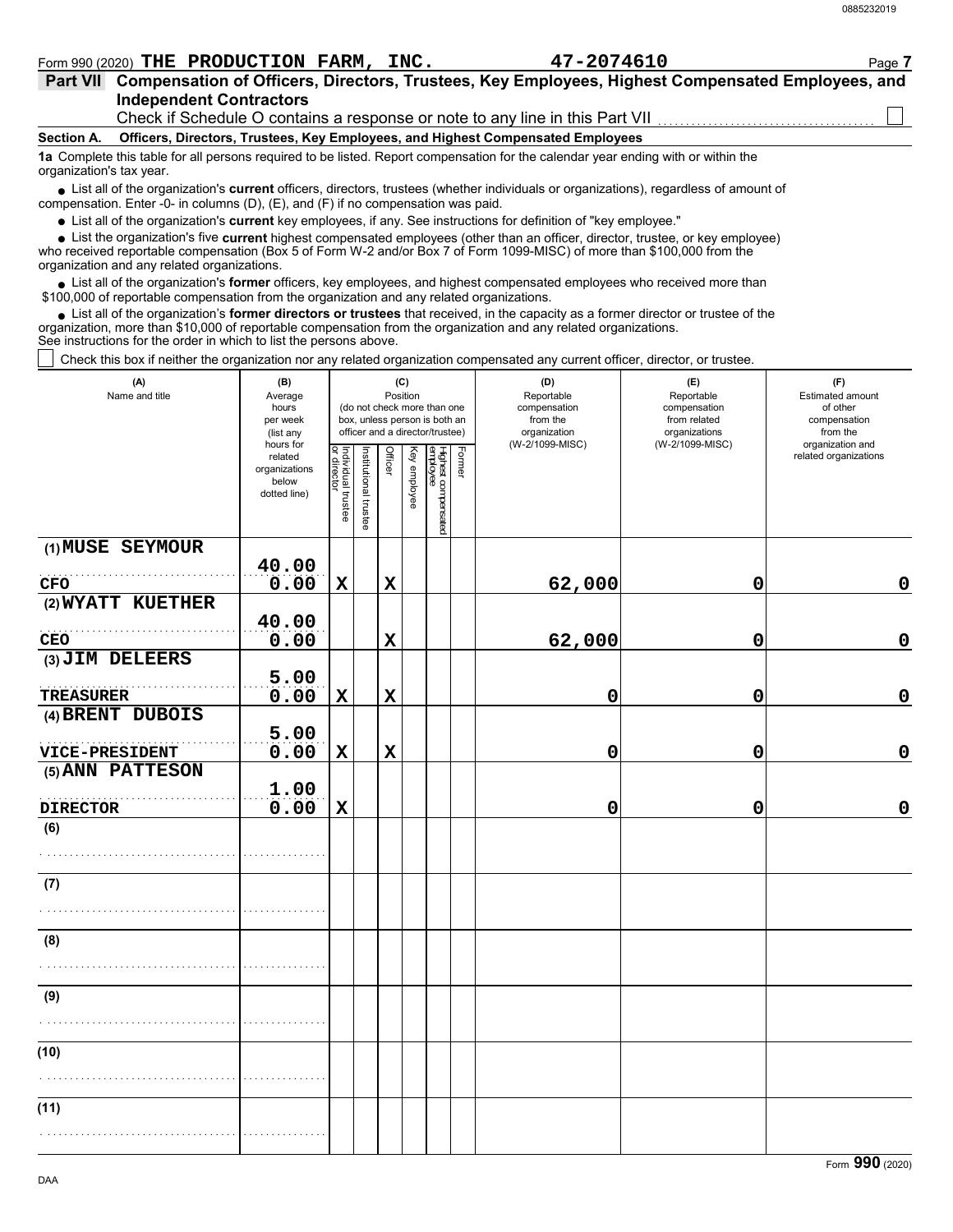|                          | Form 990 (2020) THE PRODUCTION FARM, INC. | 47-2074610                                                                                                                             | Page 7 |
|--------------------------|-------------------------------------------|----------------------------------------------------------------------------------------------------------------------------------------|--------|
| <b>Part VII</b>          |                                           | Compensation of Officers, Directors, Trustees, Key Employees, Highest Compensated Employees, and                                       |        |
|                          | <b>Independent Contractors</b>            |                                                                                                                                        |        |
|                          |                                           | Check if Schedule O contains a response or note to any line in this Part VII                                                           |        |
| Section A.               |                                           | Officers, Directors, Trustees, Key Employees, and Highest Compensated Employees                                                        |        |
| organization's tax year. |                                           | 1a Complete this table for all persons required to be listed. Report compensation for the calendar year ending with or within the      |        |
|                          |                                           | • List all of the organization's current officers, directors, trustees (whether individuals or organizations), regardless of amount of |        |

● List all of the organization's **current** officers, directors, trustees (whether ind compensation. Enter -0- in columns (D), (E), and (F) if no compensation was paid.

List all of the organization's **current** key employees, if any. See instructions for definition of "key employee."

■ List all of the organization's **current** key employees, if any. See instructions for definition of "key employee."<br>■ List the organization's five **current** highest compensated employees (other than an officer, director,

who received reportable compensation (Box 5 of Form W-2 and/or Box 7 of Form 1099-MISC) of more than \$100,000 from the organization and any related organizations.

• List all of the organization's **former** officers, key employees, and highest compensated employees who received more than<br>00,000 of reportable compensation from the erganization and any related erganizations. \$100,000 of reportable compensation from the organization and any related organizations.

• List all of the organization's **former directors or trustees** that received, in the capacity as a former director or trustee of the prization more than \$10,000 of reportable compensation from the organization and any rel organization, more than \$10,000 of reportable compensation from the organization and any related organizations. See instructions for the order in which to list the persons above.

Check this box if neither the organization nor any related organization compensated any current officer, director, or trustee.

| (A)<br>Name and title  | (B)<br>Average<br>hours<br>per week<br>(list any               |                                   |                       |             | (C)<br>Position | (do not check more than one<br>box, unless person is both an<br>officer and a director/trustee) |        | (D)<br>Reportable<br>compensation<br>from the<br>organization<br>(W-2/1099-MISC) | (E)<br>Reportable<br>compensation<br>from related<br>organizations<br>(W-2/1099-MISC) | (F)<br>Estimated amount<br>of other<br>compensation<br>from the<br>organization and |
|------------------------|----------------------------------------------------------------|-----------------------------------|-----------------------|-------------|-----------------|-------------------------------------------------------------------------------------------------|--------|----------------------------------------------------------------------------------|---------------------------------------------------------------------------------------|-------------------------------------------------------------------------------------|
|                        | hours for<br>related<br>organizations<br>below<br>dotted line) | Individual trustee<br>or director | Institutional trustee | Officer     | Key employee    | Highest compensated<br>employee                                                                 | Former |                                                                                  |                                                                                       | related organizations                                                               |
| (1) MUSE SEYMOUR       |                                                                |                                   |                       |             |                 |                                                                                                 |        |                                                                                  |                                                                                       |                                                                                     |
| CFO                    | 40.00<br>0.00                                                  | $\mathbf x$                       |                       | $\mathbf x$ |                 |                                                                                                 |        | 62,000                                                                           | 0                                                                                     | $\mathbf 0$                                                                         |
| (2) WYATT KUETHER      |                                                                |                                   |                       |             |                 |                                                                                                 |        |                                                                                  |                                                                                       |                                                                                     |
|                        | 40.00                                                          |                                   |                       |             |                 |                                                                                                 |        |                                                                                  |                                                                                       |                                                                                     |
| CEO<br>(3) JIM DELEERS | 0.00                                                           |                                   |                       | X           |                 |                                                                                                 |        | 62,000                                                                           | 0                                                                                     | $\pmb{0}$                                                                           |
| <b>TREASURER</b>       | 5.00<br>0.00                                                   | $\mathbf x$                       |                       | $\mathbf x$ |                 |                                                                                                 |        | 0                                                                                | 0                                                                                     | $\mathbf 0$                                                                         |
| (4) BRENT DUBOIS       |                                                                |                                   |                       |             |                 |                                                                                                 |        |                                                                                  |                                                                                       |                                                                                     |
| VICE-PRESIDENT         | 5.00<br>0.00                                                   | $\mathbf x$                       |                       | $\mathbf x$ |                 |                                                                                                 |        | 0                                                                                | 0                                                                                     | $\mathbf 0$                                                                         |
| (5) ANN PATTESON       |                                                                |                                   |                       |             |                 |                                                                                                 |        |                                                                                  |                                                                                       |                                                                                     |
| <b>DIRECTOR</b>        | 1.00<br>0.00                                                   | $\mathbf X$                       |                       |             |                 |                                                                                                 |        | 0                                                                                | 0                                                                                     | $\mathbf 0$                                                                         |
| (6)                    |                                                                |                                   |                       |             |                 |                                                                                                 |        |                                                                                  |                                                                                       |                                                                                     |
|                        |                                                                |                                   |                       |             |                 |                                                                                                 |        |                                                                                  |                                                                                       |                                                                                     |
| (7)                    |                                                                |                                   |                       |             |                 |                                                                                                 |        |                                                                                  |                                                                                       |                                                                                     |
|                        |                                                                |                                   |                       |             |                 |                                                                                                 |        |                                                                                  |                                                                                       |                                                                                     |
| (8)                    |                                                                |                                   |                       |             |                 |                                                                                                 |        |                                                                                  |                                                                                       |                                                                                     |
|                        |                                                                |                                   |                       |             |                 |                                                                                                 |        |                                                                                  |                                                                                       |                                                                                     |
| (9)                    |                                                                |                                   |                       |             |                 |                                                                                                 |        |                                                                                  |                                                                                       |                                                                                     |
|                        |                                                                |                                   |                       |             |                 |                                                                                                 |        |                                                                                  |                                                                                       |                                                                                     |
| (10)                   |                                                                |                                   |                       |             |                 |                                                                                                 |        |                                                                                  |                                                                                       |                                                                                     |
|                        |                                                                |                                   |                       |             |                 |                                                                                                 |        |                                                                                  |                                                                                       |                                                                                     |
| (11)                   |                                                                |                                   |                       |             |                 |                                                                                                 |        |                                                                                  |                                                                                       |                                                                                     |
|                        |                                                                |                                   |                       |             |                 |                                                                                                 |        |                                                                                  |                                                                                       |                                                                                     |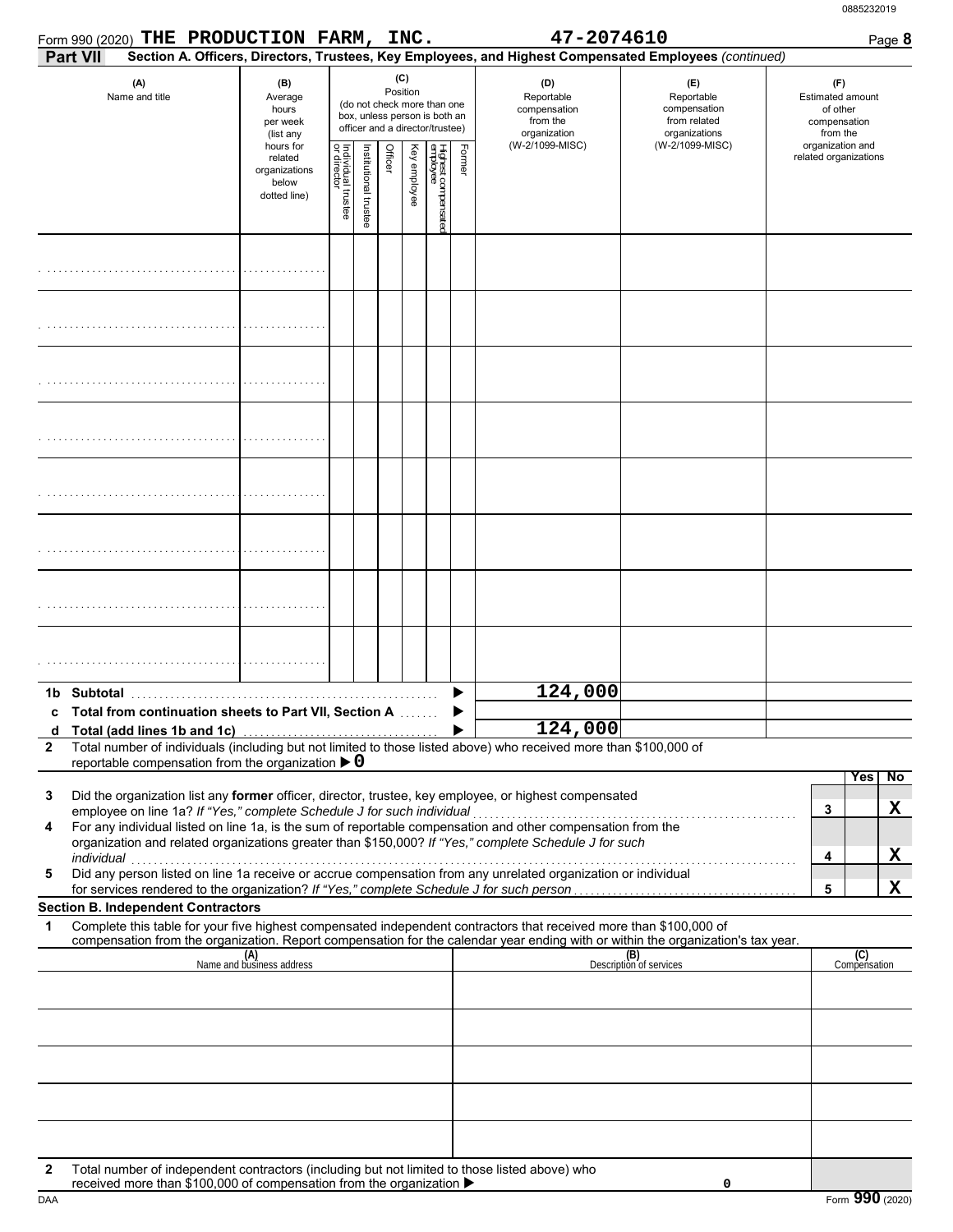|                   | Form 990 (2020) THE PRODUCTION FARM, INC.                                                                                                                                                                                                              |                                                                |                                   |                       |         |                 |                                                                                                 |        | 47-2074610                                                                       |                                                                                                        | Page 8                                                                                     |
|-------------------|--------------------------------------------------------------------------------------------------------------------------------------------------------------------------------------------------------------------------------------------------------|----------------------------------------------------------------|-----------------------------------|-----------------------|---------|-----------------|-------------------------------------------------------------------------------------------------|--------|----------------------------------------------------------------------------------|--------------------------------------------------------------------------------------------------------|--------------------------------------------------------------------------------------------|
|                   | <b>Part VII</b>                                                                                                                                                                                                                                        |                                                                |                                   |                       |         |                 |                                                                                                 |        |                                                                                  | Section A. Officers, Directors, Trustees, Key Employees, and Highest Compensated Employees (continued) |                                                                                            |
|                   | (A)<br>Name and title                                                                                                                                                                                                                                  | (B)<br>Average<br>hours<br>per week<br>(list any               |                                   |                       |         | (C)<br>Position | (do not check more than one<br>box, unless person is both an<br>officer and a director/trustee) |        | (D)<br>Reportable<br>compensation<br>from the<br>organization<br>(W-2/1099-MISC) | (E)<br>Reportable<br>compensation<br>from related<br>organizations<br>(W-2/1099-MISC)                  | (F)<br><b>Estimated amount</b><br>of other<br>compensation<br>from the<br>organization and |
|                   |                                                                                                                                                                                                                                                        | hours for<br>related<br>organizations<br>below<br>dotted line) | Individual trustee<br>or director | Institutional trustee | Officer | Key employee    | Highest compensated<br>employee                                                                 | Former |                                                                                  |                                                                                                        | related organizations                                                                      |
|                   |                                                                                                                                                                                                                                                        |                                                                |                                   |                       |         |                 |                                                                                                 |        |                                                                                  |                                                                                                        |                                                                                            |
|                   |                                                                                                                                                                                                                                                        |                                                                |                                   |                       |         |                 |                                                                                                 |        |                                                                                  |                                                                                                        |                                                                                            |
|                   |                                                                                                                                                                                                                                                        |                                                                |                                   |                       |         |                 |                                                                                                 |        |                                                                                  |                                                                                                        |                                                                                            |
|                   |                                                                                                                                                                                                                                                        |                                                                |                                   |                       |         |                 |                                                                                                 |        |                                                                                  |                                                                                                        |                                                                                            |
|                   |                                                                                                                                                                                                                                                        |                                                                |                                   |                       |         |                 |                                                                                                 |        |                                                                                  |                                                                                                        |                                                                                            |
|                   |                                                                                                                                                                                                                                                        |                                                                |                                   |                       |         |                 |                                                                                                 |        |                                                                                  |                                                                                                        |                                                                                            |
|                   |                                                                                                                                                                                                                                                        |                                                                |                                   |                       |         |                 |                                                                                                 |        |                                                                                  |                                                                                                        |                                                                                            |
|                   |                                                                                                                                                                                                                                                        |                                                                |                                   |                       |         |                 |                                                                                                 |        |                                                                                  |                                                                                                        |                                                                                            |
|                   |                                                                                                                                                                                                                                                        |                                                                |                                   |                       |         |                 |                                                                                                 |        | 124,000                                                                          |                                                                                                        |                                                                                            |
|                   | c Total from continuation sheets to Part VII, Section A                                                                                                                                                                                                |                                                                |                                   |                       |         |                 |                                                                                                 |        | 124,000                                                                          |                                                                                                        |                                                                                            |
| d<br>$\mathbf{2}$ | Total (add lines 1b and 1c)<br>Total number of individuals (including but not limited to those listed above) who received more than \$100,000 of                                                                                                       |                                                                |                                   |                       |         |                 |                                                                                                 |        |                                                                                  |                                                                                                        |                                                                                            |
|                   | reportable compensation from the organization $\triangleright$ 0                                                                                                                                                                                       |                                                                |                                   |                       |         |                 |                                                                                                 |        |                                                                                  |                                                                                                        |                                                                                            |
| 3                 | Did the organization list any former officer, director, trustee, key employee, or highest compensated                                                                                                                                                  |                                                                |                                   |                       |         |                 |                                                                                                 |        |                                                                                  |                                                                                                        | Yes<br>No                                                                                  |
|                   | employee on line 1a? If "Yes," complete Schedule J for such individual                                                                                                                                                                                 |                                                                |                                   |                       |         |                 |                                                                                                 |        |                                                                                  |                                                                                                        | X<br>3                                                                                     |
| 4                 | For any individual listed on line 1a, is the sum of reportable compensation and other compensation from the<br>organization and related organizations greater than \$150,000? If "Yes," complete Schedule J for such                                   |                                                                |                                   |                       |         |                 |                                                                                                 |        |                                                                                  |                                                                                                        |                                                                                            |
|                   | individual<br>Did any person listed on line 1a receive or accrue compensation from any unrelated organization or individual                                                                                                                            |                                                                |                                   |                       |         |                 |                                                                                                 |        |                                                                                  |                                                                                                        | X<br>4                                                                                     |
| 5                 |                                                                                                                                                                                                                                                        |                                                                |                                   |                       |         |                 |                                                                                                 |        |                                                                                  |                                                                                                        | X<br>5                                                                                     |
|                   | <b>Section B. Independent Contractors</b>                                                                                                                                                                                                              |                                                                |                                   |                       |         |                 |                                                                                                 |        |                                                                                  |                                                                                                        |                                                                                            |
| 1                 | Complete this table for your five highest compensated independent contractors that received more than \$100,000 of<br>compensation from the organization. Report compensation for the calendar year ending with or within the organization's tax year. |                                                                |                                   |                       |         |                 |                                                                                                 |        |                                                                                  |                                                                                                        |                                                                                            |
|                   |                                                                                                                                                                                                                                                        | (A)<br>Name and business address                               |                                   |                       |         |                 |                                                                                                 |        |                                                                                  | (B)<br>Description of services                                                                         | (C)<br>Compensation                                                                        |
|                   |                                                                                                                                                                                                                                                        |                                                                |                                   |                       |         |                 |                                                                                                 |        |                                                                                  |                                                                                                        |                                                                                            |
|                   |                                                                                                                                                                                                                                                        |                                                                |                                   |                       |         |                 |                                                                                                 |        |                                                                                  |                                                                                                        |                                                                                            |
|                   |                                                                                                                                                                                                                                                        |                                                                |                                   |                       |         |                 |                                                                                                 |        |                                                                                  |                                                                                                        |                                                                                            |
|                   |                                                                                                                                                                                                                                                        |                                                                |                                   |                       |         |                 |                                                                                                 |        |                                                                                  |                                                                                                        |                                                                                            |
| $\mathbf{2}$      | Total number of independent contractors (including but not limited to those listed above) who                                                                                                                                                          |                                                                |                                   |                       |         |                 |                                                                                                 |        |                                                                                  |                                                                                                        |                                                                                            |

received more than \$100,000 of compensation from the organization  $\blacktriangleright$ 

**0**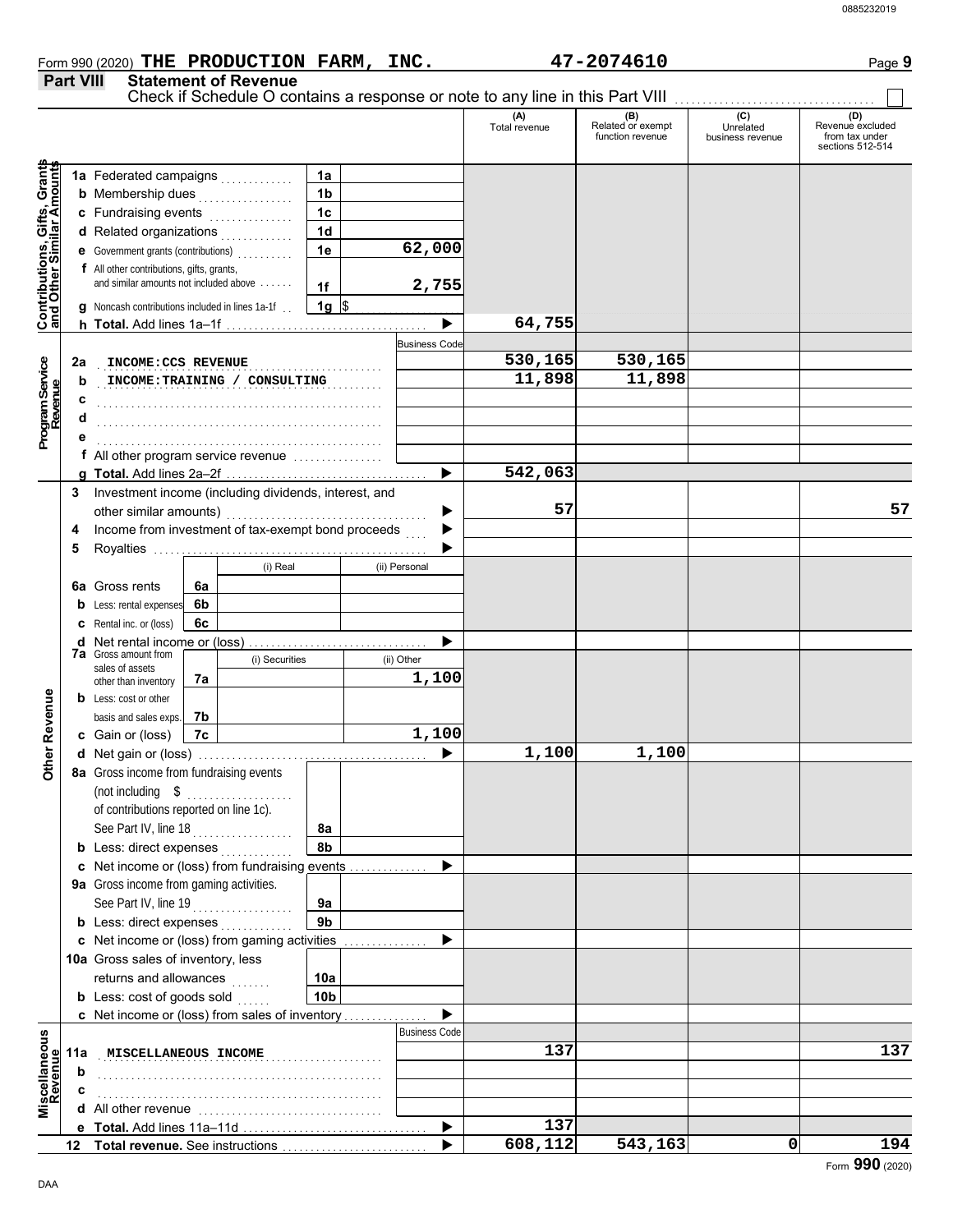**Part VIII Statement of Revenue**

#### Check if Schedule O contains a response or note to any line in this Part VIII **(A) (B) (C) (D)** Total revenue Related or exempt Unrelated Revenue excluded function revenue business revenue from tax under sections 512-514 **Contributions, Gifts, Grants** Gifts, Grants<br>ilar Amounts **and Other Similar Amounts 1a 1a** Federated campaigns **. . . . . . . . . . 1b b** Membership dues <sub>. . .</sub> . . . . . . . . . . . **c** Fundraising events **. . . . . . . . . . . . 1c 1d d** Related organizations <sub>. . .</sub> . . . . . . . . **Contributions,<br>and Other Simi 1e 62,000 e** Government grants (contributions) . . . . . . . . . . **f** All other contributions, gifts, grants, and similar amounts not included above . . . . . . **2,755 1f 1g g** Noncash contributions included in lines 1a-1f . .  $\frac{1}{2}$ **64,755**  $\blacktriangleright$ **h Total.** Add lines 1a–1f . . . . . . . . . . . . . . . . . . . . . . . . . . . . . . . . . . . . Business Code Program Service<br>Revenue . . . . . . . . . . . . . . . . . . . . . . . . . . . . . . . . . . . . . . . . . . . . . . . . . . . **INCOME:CCS REVENUE 530,165 530,165 Program Service 2a INCOME: TRAINING** / CONSULTING **11,898** 11,898 **b c** . . . . . . . . . . . . . . . . . . . . . . . . . . . . . . . . . . . . . . . . . . . . . . . . . . . **d** . . . . . . . . . . . . . . . . . . . . . . . . . . . . . . . . . . . . . . . . . . . . . . . . . . . **e** . . . . . . . . . . . . . . . . . . . . . . . . . . . . . . . . . . . . . . . . . . . . . . . . . . . **f** All other program service revenue . . . . . . . . . . . . . . . . **542,063 g Total.** Add lines 2a–2f . . . . . . . . . . . . . . . . . . . . . . . . . . . . . . . . . . . . **3** Investment income (including dividends, interest, and other similar amounts) . . . . . . . . . . . . . **57 57** ь Income from investment of tax-exempt bond proceeds **4** ▶ **5** Royalties .... ▶ (i) Real (ii) Personal **6a** Gross rents **6a 6b b** Less: rental expenses **6c c** Rental inc. or (loss) **d** Net rental income or (loss) . . . . . . . . . . . . . . . . . . . . . . . . . . . . . . . . ▶ **7a** Gross amount from (i) Securities (ii) Other sales of assets **1,100 7a** other than inventory Other Revenue **Other Revenue b** Less: cost or other **7b** basis and sales exps. **1,100 7c c** Gain or (loss) **1,100 1,100 d** Net gain or (loss) . . . . . . . . . . . . . . . . . . . . . . . . . . . . . . . . . . . . . . . . . **8a** Gross income from fundraising events (not including \$ . . . . . . . . . . . . . . . . . . . of contributions reported on line 1c). See Part IV, line 18 . . . . . . . . . . . . . . . . . . **8a 8b b** Less: direct expenses <sub>.</sub> . . . . . . . . . . **c** Net income or (loss) from fundraising events . . . . . . . . . . . .  $\blacktriangleright$ **9a** Gross income from gaming activities. See Part IV, line 19 . . . . . . . . . . . . . . . . . . **9a 9b b** Less: direct expenses  $\ldots$ ь **c** Net income or (loss) from gaming activities ............... 10a Gross sales of inventory, less returns and allowances **10a 10b b** Less:  $\cosh$  of goods  $\sinh$ ь Net income or (loss) from sales of inventory . . . . . . . . . . . . . . . **c** Business Code Miscellaneous<br>Revenue **Miscellaneous** . . . . . . . . . . . . . . . . . . . . . . . . . . . . . . . . . . . . . . . . . . . . . . . . . . . **MISCELLANEOUS INCOME 137 137 11a Revenue b** . . . . . . . . . . . . . . . . . . . . . . . . . . . . . . . . . . . . . . . . . . . . . . . . . . . **c** . . . . . . . . . . . . . . . . . . . . . . . . . . . . . . . . . . . . . . . . . . . . . . . . . . . **d** All other revenue . . . . . . . . . . . . . . . . . . . . . . . . . . . . . . . . . Total. Add lines 11a-11d ь **137 e 608,112 543,163 0 194 Total revenue.** See instructions  $\blacktriangleright$ **12**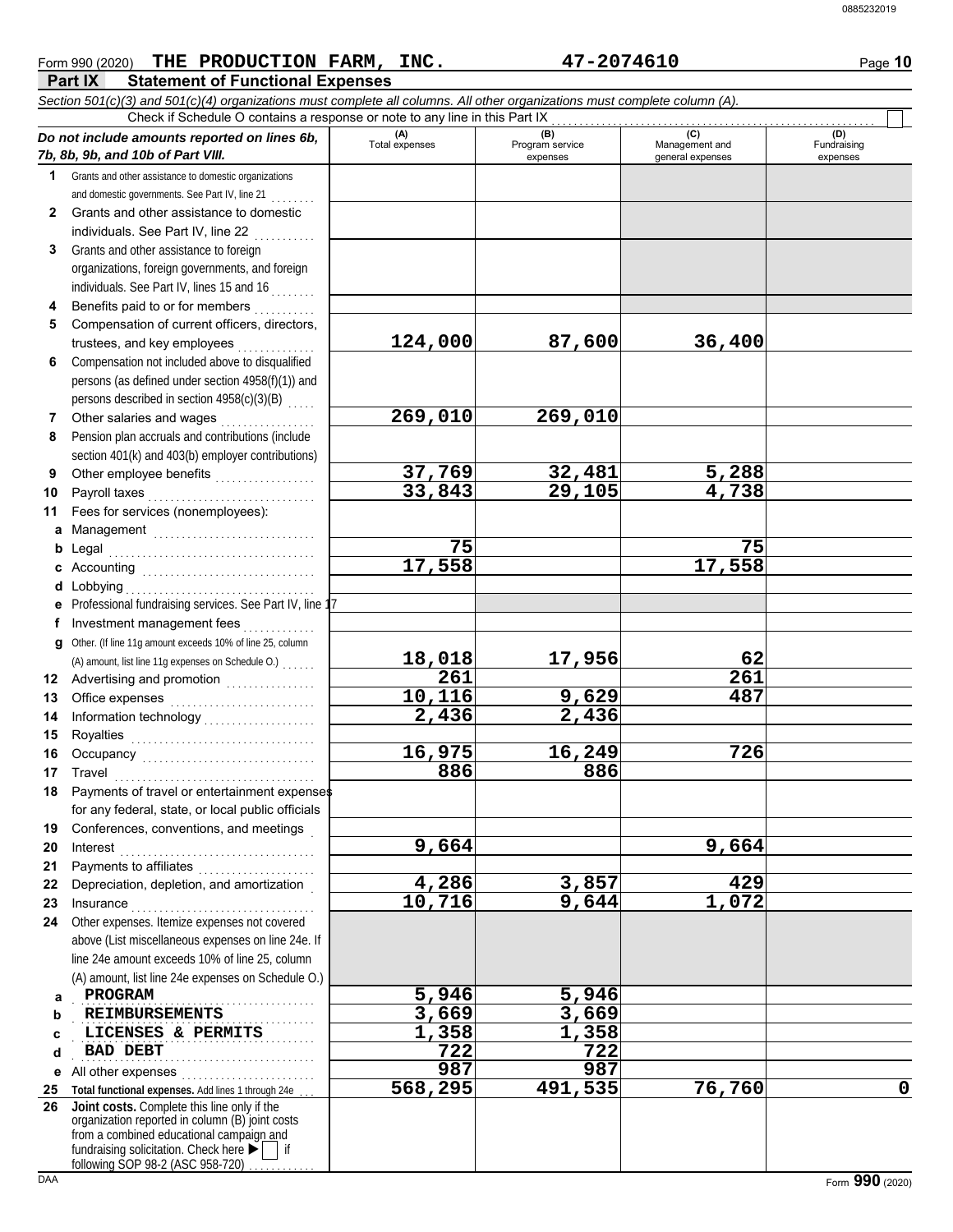|                                                                                                                            |                       |                        |                       | 0885232019         |
|----------------------------------------------------------------------------------------------------------------------------|-----------------------|------------------------|-----------------------|--------------------|
|                                                                                                                            |                       |                        |                       |                    |
|                                                                                                                            |                       |                        |                       |                    |
| THE PRODUCTION FARM, INC.<br>Form 990 (2020)                                                                               |                       | 47-2074610             |                       | Page 10            |
| Part IX<br><b>Statement of Functional Expenses</b>                                                                         |                       |                        |                       |                    |
| Section 501(c)(3) and 501(c)(4) organizations must complete all columns. All other organizations must complete column (A). |                       |                        |                       |                    |
| Check if Schedule O contains a response or note to any line in this Part IX                                                |                       |                        |                       |                    |
| Do not include amounts reported on lines 6b,                                                                               | (A)<br>Total expenses | (B)<br>Program service | (C)<br>Management and | (D)<br>Fundraising |
| 7b, 8b, 9b, and 10b of Part VIII.                                                                                          |                       | expenses               | general expenses      | expenses           |
| Grants and other assistance to domestic organizations<br>$\mathbf 1$                                                       |                       |                        |                       |                    |
| and domestic governments. See Part IV, line 21                                                                             |                       |                        |                       |                    |
| Grants and other assistance to domestic<br>$\mathbf{2}^-$                                                                  |                       |                        |                       |                    |
| individuals. See Part IV, line 22                                                                                          |                       |                        |                       |                    |
| Grants and other assistance to foreign<br>3                                                                                |                       |                        |                       |                    |
| organizations, foreign governments, and foreign                                                                            |                       |                        |                       |                    |
| individuals. See Part IV, lines 15 and 16                                                                                  |                       |                        |                       |                    |
| Benefits paid to or for members                                                                                            |                       |                        |                       |                    |
| Compensation of current officers, directors,<br>5.                                                                         |                       |                        |                       |                    |
| trustees, and key employees                                                                                                | 124,000               | 87,600                 | 36,400                |                    |
| Compensation not included above to disqualified<br>6                                                                       |                       |                        |                       |                    |
| persons (as defined under section 4958(f)(1)) and                                                                          |                       |                        |                       |                    |
| persons described in section 4958(c)(3)(B)                                                                                 |                       |                        |                       |                    |
| Other salaries and wages<br>.                                                                                              | 269,010               | 269,010                |                       |                    |
| Pension plan accruals and contributions (include<br>8                                                                      |                       |                        |                       |                    |
| section 401(k) and 403(b) employer contributions)                                                                          |                       |                        |                       |                    |
| Other employee benefits<br>9                                                                                               | 37,769                | 32,481                 | 5,288                 |                    |
| Payroll taxes<br>10                                                                                                        | 33,843                | 29,105                 | 4,738                 |                    |
| Fees for services (nonemployees):<br>11                                                                                    |                       |                        |                       |                    |
| a Management                                                                                                               | 75                    |                        | 75                    |                    |
| b                                                                                                                          | 17,558                |                        | 17,558                |                    |
| Accounting                                                                                                                 |                       |                        |                       |                    |
| d Lobbying                                                                                                                 |                       |                        |                       |                    |
| e Professional fundraising services. See Part IV, line 17<br>Investment management fees                                    |                       |                        |                       |                    |
| Other. (If line 11g amount exceeds 10% of line 25, column                                                                  |                       |                        |                       |                    |
| g                                                                                                                          | 18,018                | 17,956                 | 62                    |                    |
| (A) amount, list line 11g expenses on Schedule O.)                                                                         | 261                   |                        | $\overline{261}$      |                    |
| 12 Advertising and promotion<br>12 Advertising and promotion                                                               | 10,116                | 9,629                  | 487                   |                    |
| 13                                                                                                                         |                       |                        |                       |                    |

#### **9 10 11 a** Management ............................. **b** Legal **c** Accounting . . . . . . . . . . . . . . . . . . . . . . . . . . . . . . . **d** Lobbying . . . . . . . . . . . . . . . . . . . . . . . . . . . . . . . . . . **e f g** Other. (If line 11g amount exceeds 10% of line 25, column **12** Advertising and promotion . . . . . . . . . . . . . . **13 14 15 16 17 18 19 20 21 22 23 24 a b** Other employee benefit Payroll taxes . . . . . . . . . Fees for services (none Legal . . . . . . . . . . . . . . . . . . . . . . . . . . . . . . . . . . . . . Professional fundraising se Investment managemer Office expenses ...... Information technology **. . . . . . . . . . . . . . .** Royalties . . . . . . . . . . . . . . . . . . . . . . . . . . . . . . . . . Occupancy . . . . . . . . . . . . . . . . . . . . . . . . . . . . . . . Travel . . . . . . . . . . . . . . . . . . . . . . . . . . . . . . . . . . . . Payments of travel or entertainment expenses for any federal, state, or local public officials Conferences, conventions, and meetings . Interest . . . . . . . . . . . . . . . . . . . . . . . . . . . . . . . . . . . Payments to affiliates ...................... Depreciation, depletion, and amortization . Insurance . . . . . . . . . . . . . . . . . . . . . . . . . . . . . . . . . Other expenses. Itemize expenses not covered above (List miscellaneous expenses on line 24e. If line 24e amount exceeds 10% of line 25, column (A) amount, list line 24e expenses on Schedule O.) PROGRAM . . . . . . . . . . . . . . . . . . . . . . . . . . . . . . . . . . . . . . . . . . . **REIMBURSEMENTS 3,669 3,669** (A) amount, list line  $11g$  expense **2,436 2,436 16,975 16,249 726 886 886 9,664 9,664 4,286 3,857 429 10,716 PROGRAM** 5,946 5,946

**c d e** All other expenses . . . . . . . . . . . . . . . . . . . . . . . . **25 Total functional expenses.** Add lines 1 through 24e . . . **26** organization reported in column (B) joint costs **LICENSES & PERMITS 1,358 1,358** . . . . . . . . . . . . . . . . . . . . . . . . . . . . . . . . . . . . . . . . . . . **Joint costs.** Complete this line only if the **BAD DEBT**<br> *BAD DEBT*<br> *BAD DEBT***<br>
<b>1** other expenses 987

fundraising solicitation. Check here  $\blacktriangleright$  | if from a combined educational campaign and following SOP 98-2 (ASC 958-720)

**568,295 491,535 76,760 0**

## **Part IX** Statement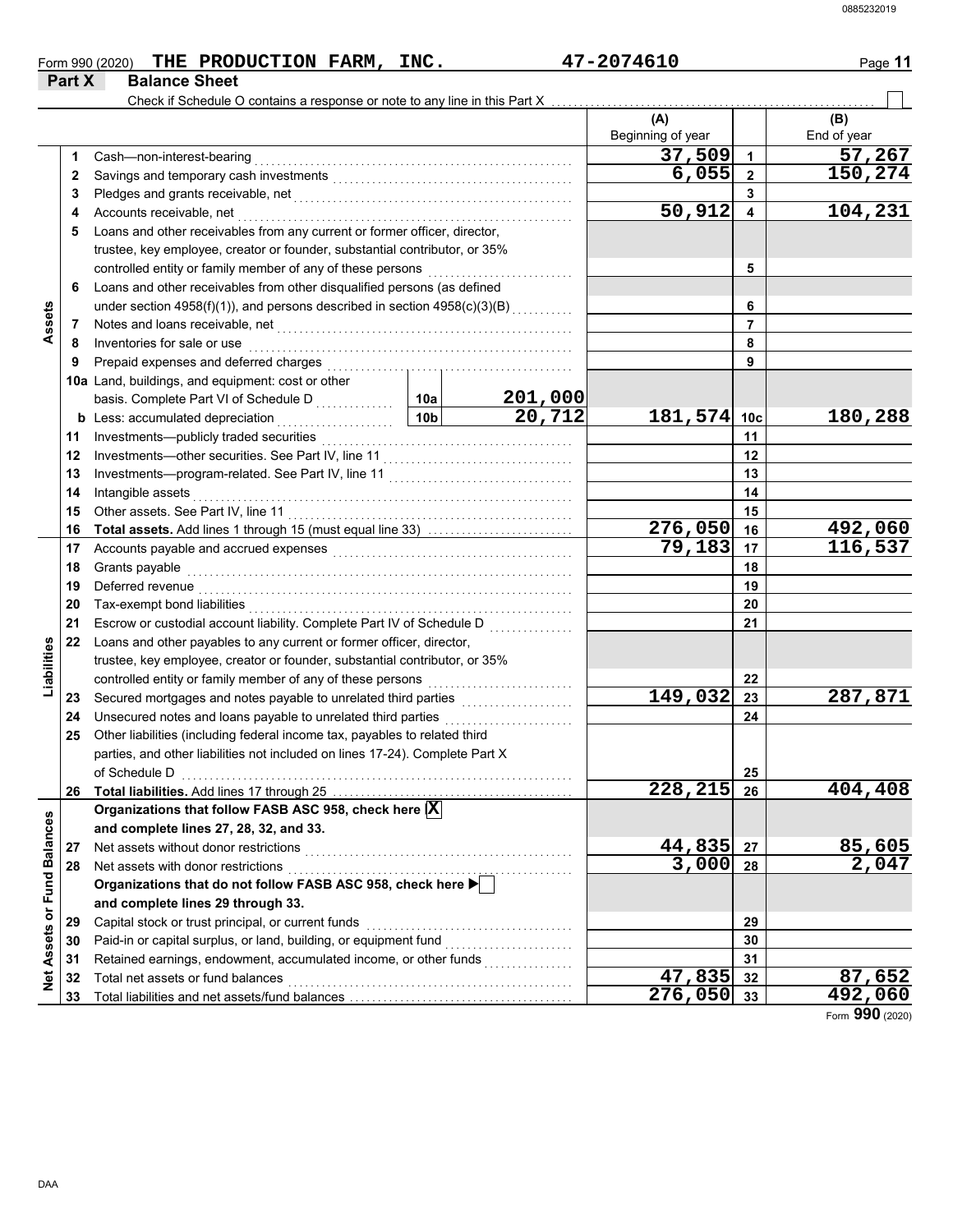| Form 990 (2020) | THE PRODUCTION FARM, | INC. | 7-2074610<br>1 Q | Page |
|-----------------|----------------------|------|------------------|------|
| Part X          | <b>Balance Sheet</b> |      |                  |      |

|                             |    | Check if Schedule O contains a response or note to any line in this Part X                                                              |                 |         |                          |                         |                    |
|-----------------------------|----|-----------------------------------------------------------------------------------------------------------------------------------------|-----------------|---------|--------------------------|-------------------------|--------------------|
|                             |    |                                                                                                                                         |                 |         | (A)<br>Beginning of year |                         | (B)<br>End of year |
|                             | 1  | Cash-non-interest-bearing                                                                                                               |                 |         | 37,509                   | 1                       | 57,267             |
|                             | 2  |                                                                                                                                         |                 |         | 6,055                    | $\overline{2}$          | 150,274            |
|                             | 3  |                                                                                                                                         |                 |         |                          | 3                       |                    |
|                             | 4  | Accounts receivable, net                                                                                                                |                 |         | 50,912                   | $\overline{\mathbf{4}}$ | 104,231            |
|                             | 5  | Loans and other receivables from any current or former officer, director,                                                               |                 |         |                          |                         |                    |
|                             |    | trustee, key employee, creator or founder, substantial contributor, or 35%                                                              |                 |         |                          |                         |                    |
|                             |    |                                                                                                                                         |                 |         |                          | 5                       |                    |
|                             | 6  | Loans and other receivables from other disqualified persons (as defined                                                                 |                 |         |                          |                         |                    |
|                             |    | under section $4958(f)(1)$ ), and persons described in section $4958(c)(3)(B)$                                                          |                 |         |                          | 6                       |                    |
| Assets                      | 7  | Notes and loans receivable, net                                                                                                         |                 |         |                          | 7                       |                    |
|                             | 8  | Inventories for sale or use                                                                                                             |                 |         |                          | 8                       |                    |
|                             | 9  | Prepaid expenses and deferred charges                                                                                                   |                 |         |                          | 9                       |                    |
|                             |    | 10a Land, buildings, and equipment: cost or other                                                                                       |                 |         |                          |                         |                    |
|                             |    | basis. Complete Part VI of Schedule D<br>                                                                                               | 10a             | 201,000 |                          |                         |                    |
|                             |    | <b>b</b> Less: accumulated depreciation<br>.                                                                                            | 10 <sub>b</sub> | 20, 712 | 181,574 10c              |                         | 180,288            |
|                             | 11 | Investments-publicly traded securities                                                                                                  |                 |         |                          | 11                      |                    |
|                             | 12 |                                                                                                                                         |                 |         |                          | 12                      |                    |
|                             | 13 |                                                                                                                                         |                 |         |                          | 13                      |                    |
|                             | 14 | Intangible assets                                                                                                                       |                 |         |                          | 14                      |                    |
|                             | 15 | Other assets. See Part IV, line 11                                                                                                      |                 | 15      |                          |                         |                    |
|                             | 16 |                                                                                                                                         |                 |         | 276,050                  | 16                      | 492,060            |
|                             | 17 |                                                                                                                                         |                 |         | 79,183                   | 17                      | 116,537            |
|                             | 18 | Grants payable                                                                                                                          |                 | 18      |                          |                         |                    |
|                             | 19 | Deferred revenue                                                                                                                        |                 |         |                          | 19                      |                    |
|                             | 20 | Tax-exempt bond liabilities                                                                                                             |                 |         | 20                       |                         |                    |
|                             | 21 | Escrow or custodial account liability. Complete Part IV of Schedule D                                                                   |                 |         |                          | 21                      |                    |
|                             | 22 | Loans and other payables to any current or former officer, director,                                                                    |                 |         |                          |                         |                    |
| Liabilities                 |    | trustee, key employee, creator or founder, substantial contributor, or 35%                                                              |                 |         |                          |                         |                    |
|                             |    | controlled entity or family member of any of these persons                                                                              |                 |         |                          | 22                      |                    |
|                             | 23 | Secured mortgages and notes payable to unrelated third parties                                                                          |                 |         | 149,032                  | 23                      | 287,871            |
|                             | 24 | Unsecured notes and loans payable to unrelated third parties                                                                            |                 |         |                          | 24                      |                    |
|                             | 25 | Other liabilities (including federal income tax, payables to related third                                                              |                 |         |                          |                         |                    |
|                             |    | parties, and other liabilities not included on lines 17-24). Complete Part X                                                            |                 |         |                          |                         |                    |
|                             |    |                                                                                                                                         |                 |         |                          |                         |                    |
|                             | 26 | of Schedule D<br>$\begin{array}{ccc}\n\hline\n\end{array}$<br>Total liabilities. Add lines 17 through 25                                |                 |         | 228,215 26               | 25                      | 404,408            |
|                             |    | Organizations that follow FASB ASC 958, check here $ \overline{X} $                                                                     |                 |         |                          |                         |                    |
|                             |    |                                                                                                                                         |                 |         |                          |                         |                    |
|                             |    | and complete lines 27, 28, 32, and 33.                                                                                                  |                 |         | 44,835                   |                         |                    |
|                             | 27 | Net assets without donor restrictions                                                                                                   |                 |         | 3,000                    | 27                      | 85,605<br>2,047    |
|                             | 28 | Net assets with donor restrictions<br>Net assets with donor restrictions<br>Organizations that do not follow FASB ASC 958, check here ▶ |                 |         |                          | 28                      |                    |
| Net Assets or Fund Balances |    |                                                                                                                                         |                 |         |                          |                         |                    |
|                             |    | and complete lines 29 through 33.                                                                                                       |                 |         |                          |                         |                    |
|                             | 29 | Capital stock or trust principal, or current funds                                                                                      |                 |         |                          | 29                      |                    |
|                             | 30 | Paid-in or capital surplus, or land, building, or equipment fund [[[[[[[[[[[[[[[[[[[[[[[[[[[[[[[[[[[                                    |                 |         |                          | 30                      |                    |
|                             | 31 | Retained earnings, endowment, accumulated income, or other funds                                                                        |                 |         |                          | 31                      |                    |
|                             | 32 | Total net assets or fund balances                                                                                                       |                 |         | 47,835                   | 32                      | 87,652             |
|                             | 33 |                                                                                                                                         |                 |         | $\overline{276,050}$ 33  |                         | 492,060            |

Form **990** (2020)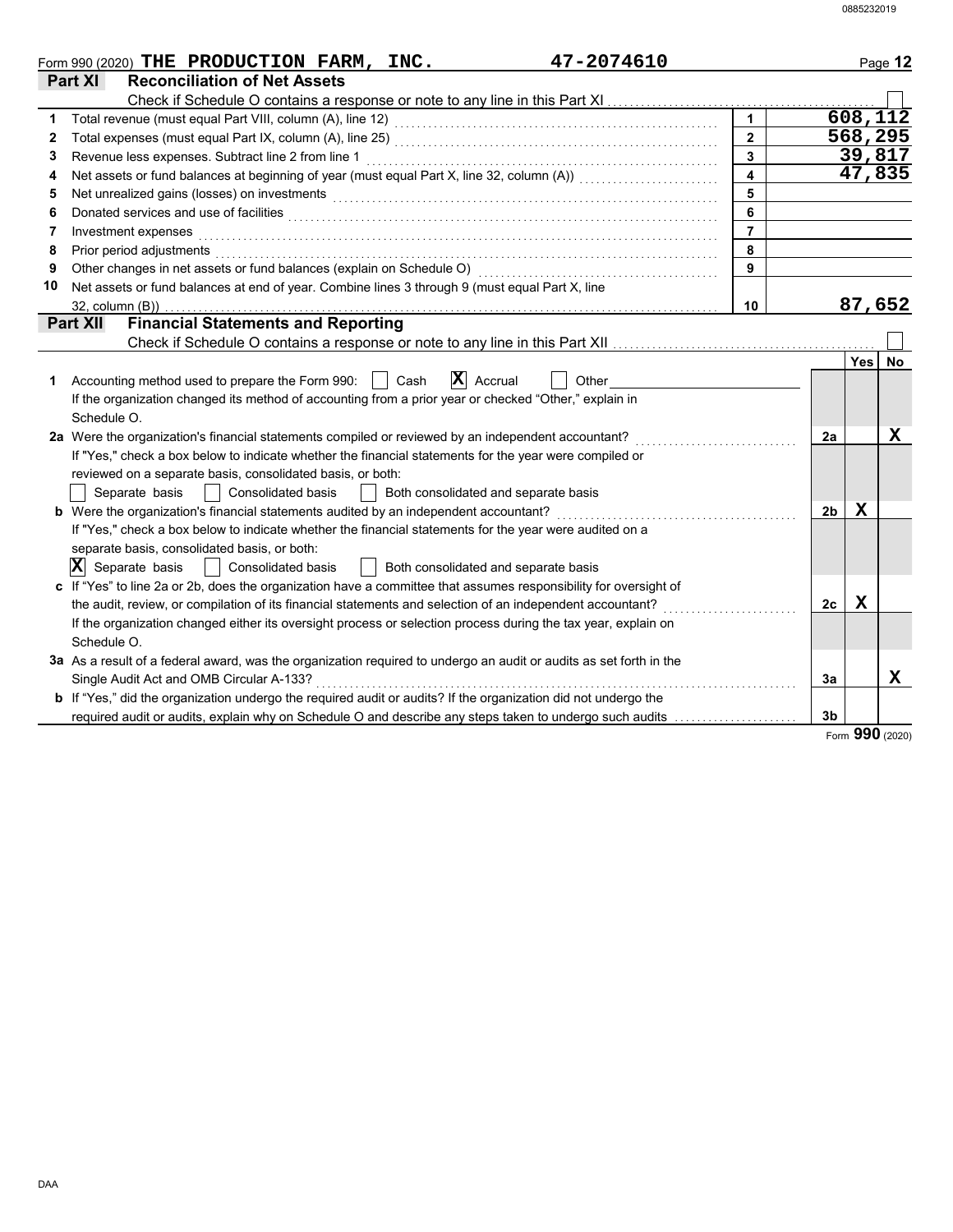|    | 47-2074610<br>Form 990 (2020) THE PRODUCTION FARM, INC.                                                                                                                                                                        |                  |                |            | Page 12   |
|----|--------------------------------------------------------------------------------------------------------------------------------------------------------------------------------------------------------------------------------|------------------|----------------|------------|-----------|
|    | <b>Part XI</b><br><b>Reconciliation of Net Assets</b>                                                                                                                                                                          |                  |                |            |           |
|    |                                                                                                                                                                                                                                |                  |                |            |           |
|    |                                                                                                                                                                                                                                |                  |                |            | 608, 112  |
| 2  |                                                                                                                                                                                                                                | $\overline{2}$   |                |            | 568,295   |
| 3  | Revenue less expenses. Subtract line 2 from line 1                                                                                                                                                                             | $\overline{3}$   |                |            | 39,817    |
| 4  |                                                                                                                                                                                                                                | $\blacktriangle$ |                |            | 47,835    |
| 5  | Net unrealized gains (losses) on investments [1] production contracts and all the set of the set of the set of the set of the set of the set of the set of the set of the set of the set of the set of the set of the set of t | 5                |                |            |           |
| 6  |                                                                                                                                                                                                                                | 6                |                |            |           |
| 7  | Investment expenses                                                                                                                                                                                                            | $\overline{7}$   |                |            |           |
| 8  | Prior period adjustments entertainments and a series of the series of the series of the series of the series of the series of the series of the series of the series of the series of the series of the series of the series o | 8                |                |            |           |
| 9  | Other changes in net assets or fund balances (explain on Schedule O) [[[[[[[[[[[[[[[[[[[[]]]]]]]]]]                                                                                                                            | 9                |                |            |           |
| 10 | Net assets or fund balances at end of year. Combine lines 3 through 9 (must equal Part X, line                                                                                                                                 |                  |                |            |           |
|    | 32, column (B))                                                                                                                                                                                                                | 10               |                |            | 87,652    |
|    | <b>Financial Statements and Reporting</b><br><b>Part XII</b>                                                                                                                                                                   |                  |                |            |           |
|    |                                                                                                                                                                                                                                |                  |                |            |           |
|    |                                                                                                                                                                                                                                |                  |                | <b>Yes</b> | <b>No</b> |
| 1  | $\mathbf{X}$ Accrual<br>Other<br>Accounting method used to prepare the Form 990:<br>Cash                                                                                                                                       |                  |                |            |           |
|    | If the organization changed its method of accounting from a prior year or checked "Other," explain in                                                                                                                          |                  |                |            |           |
|    | Schedule O.                                                                                                                                                                                                                    |                  |                |            |           |
|    | 2a Were the organization's financial statements compiled or reviewed by an independent accountant?                                                                                                                             |                  | 2a             |            | X         |
|    | If "Yes," check a box below to indicate whether the financial statements for the year were compiled or                                                                                                                         |                  |                |            |           |
|    | reviewed on a separate basis, consolidated basis, or both:                                                                                                                                                                     |                  |                |            |           |
|    | Separate basis<br>Both consolidated and separate basis<br><b>Consolidated basis</b>                                                                                                                                            |                  |                |            |           |
|    | b Were the organization's financial statements audited by an independent accountant?                                                                                                                                           |                  | 2 <sub>b</sub> | X          |           |
|    | If "Yes," check a box below to indicate whether the financial statements for the year were audited on a                                                                                                                        |                  |                |            |           |
|    | separate basis, consolidated basis, or both:                                                                                                                                                                                   |                  |                |            |           |
|    | $ \mathbf{X} $ Separate basis<br>Consolidated basis<br>Both consolidated and separate basis                                                                                                                                    |                  |                |            |           |
|    | c If "Yes" to line 2a or 2b, does the organization have a committee that assumes responsibility for oversight of                                                                                                               |                  |                |            |           |
|    | the audit, review, or compilation of its financial statements and selection of an independent accountant?                                                                                                                      |                  | 2c             | х          |           |
|    | If the organization changed either its oversight process or selection process during the tax year, explain on                                                                                                                  |                  |                |            |           |
|    | Schedule O.                                                                                                                                                                                                                    |                  |                |            |           |
|    | 3a As a result of a federal award, was the organization required to undergo an audit or audits as set forth in the                                                                                                             |                  |                |            |           |
|    | Single Audit Act and OMB Circular A-133?                                                                                                                                                                                       |                  | 3a             |            | x         |
|    | <b>b</b> If "Yes," did the organization undergo the required audit or audits? If the organization did not undergo the                                                                                                          |                  |                |            |           |
|    | required audit or audits, explain why on Schedule O and describe any steps taken to undergo such audits                                                                                                                        |                  | 3 <sub>b</sub> |            |           |

Form **990** (2020)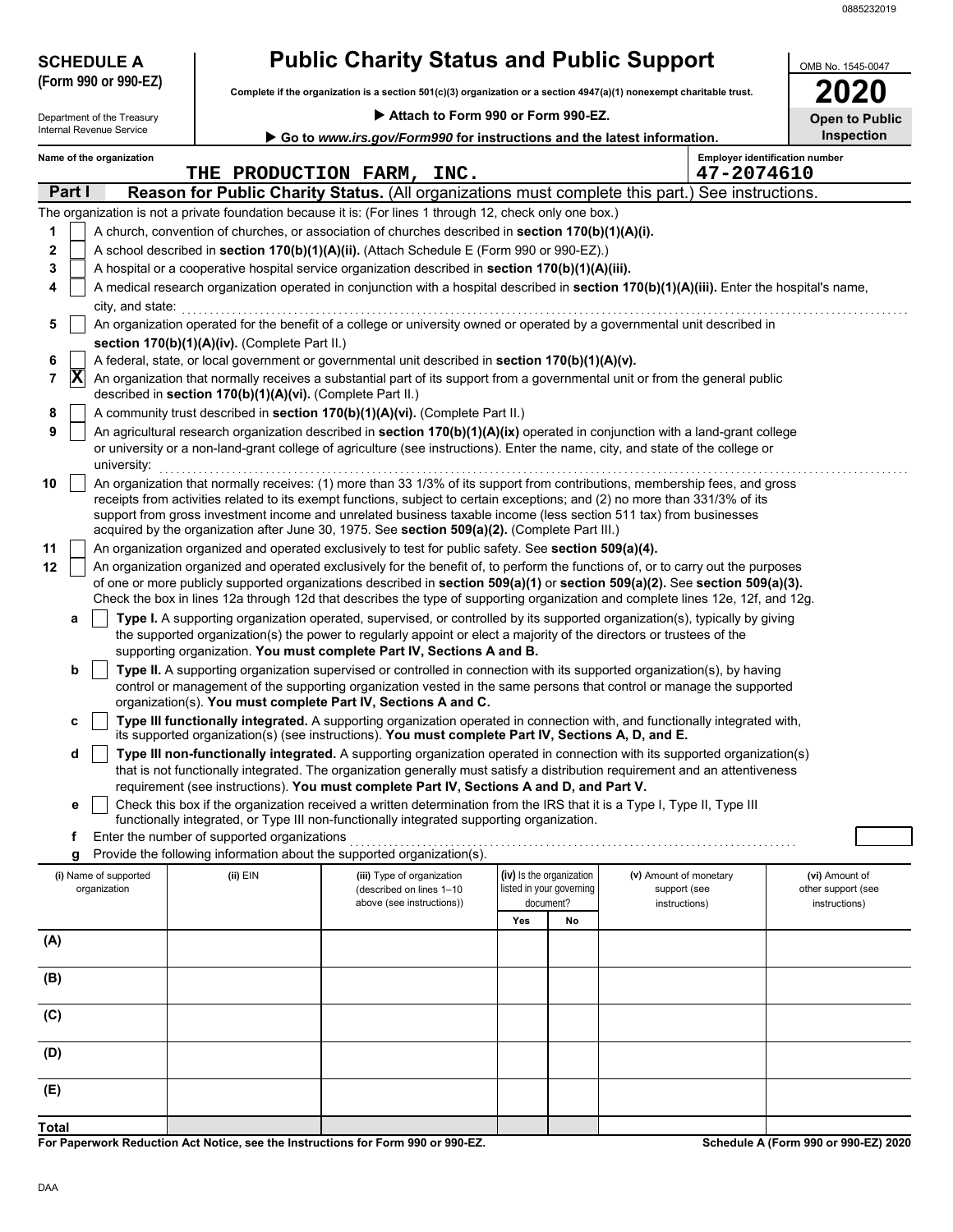| <b>SCHEDULE A</b>          | <b>Public Charity Status and Public Support</b>            | OMB No. 1545-0047                                                                                                                                                                                                                                                                                                                                     |                                                             |                                                                                             |                        |                                                     |                                      |  |  |
|----------------------------|------------------------------------------------------------|-------------------------------------------------------------------------------------------------------------------------------------------------------------------------------------------------------------------------------------------------------------------------------------------------------------------------------------------------------|-------------------------------------------------------------|---------------------------------------------------------------------------------------------|------------------------|-----------------------------------------------------|--------------------------------------|--|--|
| (Form 990 or 990-EZ)       |                                                            | Complete if the organization is a section 501(c)(3) organization or a section 4947(a)(1) nonexempt charitable trust.                                                                                                                                                                                                                                  |                                                             |                                                                                             |                        |                                                     |                                      |  |  |
| Department of the Treasury |                                                            |                                                                                                                                                                                                                                                                                                                                                       | Attach to Form 990 or Form 990-EZ.<br><b>Open to Public</b> |                                                                                             |                        |                                                     |                                      |  |  |
| Internal Revenue Service   |                                                            |                                                                                                                                                                                                                                                                                                                                                       |                                                             | <b>Inspection</b><br>Go to www.irs.gov/Form990 for instructions and the latest information. |                        |                                                     |                                      |  |  |
| Name of the organization   |                                                            | THE PRODUCTION FARM, INC.                                                                                                                                                                                                                                                                                                                             |                                                             |                                                                                             |                        | <b>Employer identification number</b><br>47-2074610 |                                      |  |  |
| Part I                     |                                                            | Reason for Public Charity Status. (All organizations must complete this part.) See instructions.                                                                                                                                                                                                                                                      |                                                             |                                                                                             |                        |                                                     |                                      |  |  |
|                            |                                                            | The organization is not a private foundation because it is: (For lines 1 through 12, check only one box.)                                                                                                                                                                                                                                             |                                                             |                                                                                             |                        |                                                     |                                      |  |  |
| 1                          |                                                            | A church, convention of churches, or association of churches described in section 170(b)(1)(A)(i).                                                                                                                                                                                                                                                    |                                                             |                                                                                             |                        |                                                     |                                      |  |  |
| 2                          |                                                            | A school described in section 170(b)(1)(A)(ii). (Attach Schedule E (Form 990 or 990-EZ).)                                                                                                                                                                                                                                                             |                                                             |                                                                                             |                        |                                                     |                                      |  |  |
| 3                          |                                                            | A hospital or a cooperative hospital service organization described in section 170(b)(1)(A)(iii).                                                                                                                                                                                                                                                     |                                                             |                                                                                             |                        |                                                     |                                      |  |  |
| 4<br>city, and state:      |                                                            | A medical research organization operated in conjunction with a hospital described in section 170(b)(1)(A)(iii). Enter the hospital's name,                                                                                                                                                                                                            |                                                             |                                                                                             |                        |                                                     |                                      |  |  |
| 5                          |                                                            | An organization operated for the benefit of a college or university owned or operated by a governmental unit described in                                                                                                                                                                                                                             |                                                             |                                                                                             |                        |                                                     |                                      |  |  |
|                            | section 170(b)(1)(A)(iv). (Complete Part II.)              |                                                                                                                                                                                                                                                                                                                                                       |                                                             |                                                                                             |                        |                                                     |                                      |  |  |
| 6                          |                                                            | A federal, state, or local government or governmental unit described in section 170(b)(1)(A)(v).                                                                                                                                                                                                                                                      |                                                             |                                                                                             |                        |                                                     |                                      |  |  |
| $ \mathbf{X} $<br>7        | described in section 170(b)(1)(A)(vi). (Complete Part II.) | An organization that normally receives a substantial part of its support from a governmental unit or from the general public                                                                                                                                                                                                                          |                                                             |                                                                                             |                        |                                                     |                                      |  |  |
| 8                          |                                                            | A community trust described in section 170(b)(1)(A)(vi). (Complete Part II.)                                                                                                                                                                                                                                                                          |                                                             |                                                                                             |                        |                                                     |                                      |  |  |
| 9<br>university:           |                                                            | An agricultural research organization described in section 170(b)(1)(A)(ix) operated in conjunction with a land-grant college<br>or university or a non-land-grant college of agriculture (see instructions). Enter the name, city, and state of the college or                                                                                       |                                                             |                                                                                             |                        |                                                     |                                      |  |  |
| 10                         |                                                            | An organization that normally receives: (1) more than 33 1/3% of its support from contributions, membership fees, and gross                                                                                                                                                                                                                           |                                                             |                                                                                             |                        |                                                     |                                      |  |  |
|                            |                                                            | receipts from activities related to its exempt functions, subject to certain exceptions; and (2) no more than 331/3% of its<br>support from gross investment income and unrelated business taxable income (less section 511 tax) from businesses                                                                                                      |                                                             |                                                                                             |                        |                                                     |                                      |  |  |
|                            |                                                            | acquired by the organization after June 30, 1975. See section 509(a)(2). (Complete Part III.)                                                                                                                                                                                                                                                         |                                                             |                                                                                             |                        |                                                     |                                      |  |  |
| 11                         |                                                            | An organization organized and operated exclusively to test for public safety. See section 509(a)(4).                                                                                                                                                                                                                                                  |                                                             |                                                                                             |                        |                                                     |                                      |  |  |
| 12                         |                                                            | An organization organized and operated exclusively for the benefit of, to perform the functions of, or to carry out the purposes                                                                                                                                                                                                                      |                                                             |                                                                                             |                        |                                                     |                                      |  |  |
|                            |                                                            | of one or more publicly supported organizations described in section 509(a)(1) or section 509(a)(2). See section 509(a)(3).<br>Check the box in lines 12a through 12d that describes the type of supporting organization and complete lines 12e, 12f, and 12g.                                                                                        |                                                             |                                                                                             |                        |                                                     |                                      |  |  |
| a                          |                                                            | Type I. A supporting organization operated, supervised, or controlled by its supported organization(s), typically by giving<br>the supported organization(s) the power to regularly appoint or elect a majority of the directors or trustees of the<br>supporting organization. You must complete Part IV, Sections A and B.                          |                                                             |                                                                                             |                        |                                                     |                                      |  |  |
| b                          |                                                            | Type II. A supporting organization supervised or controlled in connection with its supported organization(s), by having                                                                                                                                                                                                                               |                                                             |                                                                                             |                        |                                                     |                                      |  |  |
|                            |                                                            | control or management of the supporting organization vested in the same persons that control or manage the supported                                                                                                                                                                                                                                  |                                                             |                                                                                             |                        |                                                     |                                      |  |  |
|                            |                                                            | organization(s). You must complete Part IV, Sections A and C.                                                                                                                                                                                                                                                                                         |                                                             |                                                                                             |                        |                                                     |                                      |  |  |
| C                          |                                                            | Type III functionally integrated. A supporting organization operated in connection with, and functionally integrated with,<br>its supported organization(s) (see instructions). You must complete Part IV, Sections A, D, and E.                                                                                                                      |                                                             |                                                                                             |                        |                                                     |                                      |  |  |
| d                          |                                                            | Type III non-functionally integrated. A supporting organization operated in connection with its supported organization(s)<br>that is not functionally integrated. The organization generally must satisfy a distribution requirement and an attentiveness<br>requirement (see instructions). You must complete Part IV, Sections A and D, and Part V. |                                                             |                                                                                             |                        |                                                     |                                      |  |  |
| е                          |                                                            | Check this box if the organization received a written determination from the IRS that it is a Type I, Type II, Type III                                                                                                                                                                                                                               |                                                             |                                                                                             |                        |                                                     |                                      |  |  |
|                            |                                                            | functionally integrated, or Type III non-functionally integrated supporting organization.                                                                                                                                                                                                                                                             |                                                             |                                                                                             |                        |                                                     |                                      |  |  |
| f<br>g                     | Enter the number of supported organizations                | Provide the following information about the supported organization(s).                                                                                                                                                                                                                                                                                |                                                             |                                                                                             |                        |                                                     |                                      |  |  |
| (i) Name of supported      | (ii) EIN                                                   | (iii) Type of organization                                                                                                                                                                                                                                                                                                                            | (iv) Is the organization                                    |                                                                                             | (v) Amount of monetary |                                                     | (vi) Amount of                       |  |  |
| organization               |                                                            | (described on lines 1-10                                                                                                                                                                                                                                                                                                                              | listed in your governing                                    |                                                                                             | support (see           |                                                     | other support (see                   |  |  |
|                            |                                                            | above (see instructions))                                                                                                                                                                                                                                                                                                                             | document?<br>Yes                                            |                                                                                             | instructions)          |                                                     | instructions)                        |  |  |
| (A)                        |                                                            |                                                                                                                                                                                                                                                                                                                                                       |                                                             | No                                                                                          |                        |                                                     |                                      |  |  |
|                            |                                                            |                                                                                                                                                                                                                                                                                                                                                       |                                                             |                                                                                             |                        |                                                     |                                      |  |  |
| (B)                        |                                                            |                                                                                                                                                                                                                                                                                                                                                       |                                                             |                                                                                             |                        |                                                     |                                      |  |  |
|                            |                                                            |                                                                                                                                                                                                                                                                                                                                                       |                                                             |                                                                                             |                        |                                                     |                                      |  |  |
| (C)                        |                                                            |                                                                                                                                                                                                                                                                                                                                                       |                                                             |                                                                                             |                        |                                                     |                                      |  |  |
| (D)                        |                                                            |                                                                                                                                                                                                                                                                                                                                                       |                                                             |                                                                                             |                        |                                                     |                                      |  |  |
| (E)                        |                                                            |                                                                                                                                                                                                                                                                                                                                                       |                                                             |                                                                                             |                        |                                                     |                                      |  |  |
|                            |                                                            |                                                                                                                                                                                                                                                                                                                                                       |                                                             |                                                                                             |                        |                                                     |                                      |  |  |
| Total                      |                                                            |                                                                                                                                                                                                                                                                                                                                                       |                                                             |                                                                                             |                        |                                                     |                                      |  |  |
|                            |                                                            | For Panerwork Reduction Act Notice, see the Instructions for Form 990 or 990-FZ                                                                                                                                                                                                                                                                       |                                                             |                                                                                             |                        |                                                     | Schedule A (Form 990 or 990-FZ) 2020 |  |  |

**For Paperwork Reduction Act Notice, see the Instructions for Form 990 or 990-EZ.**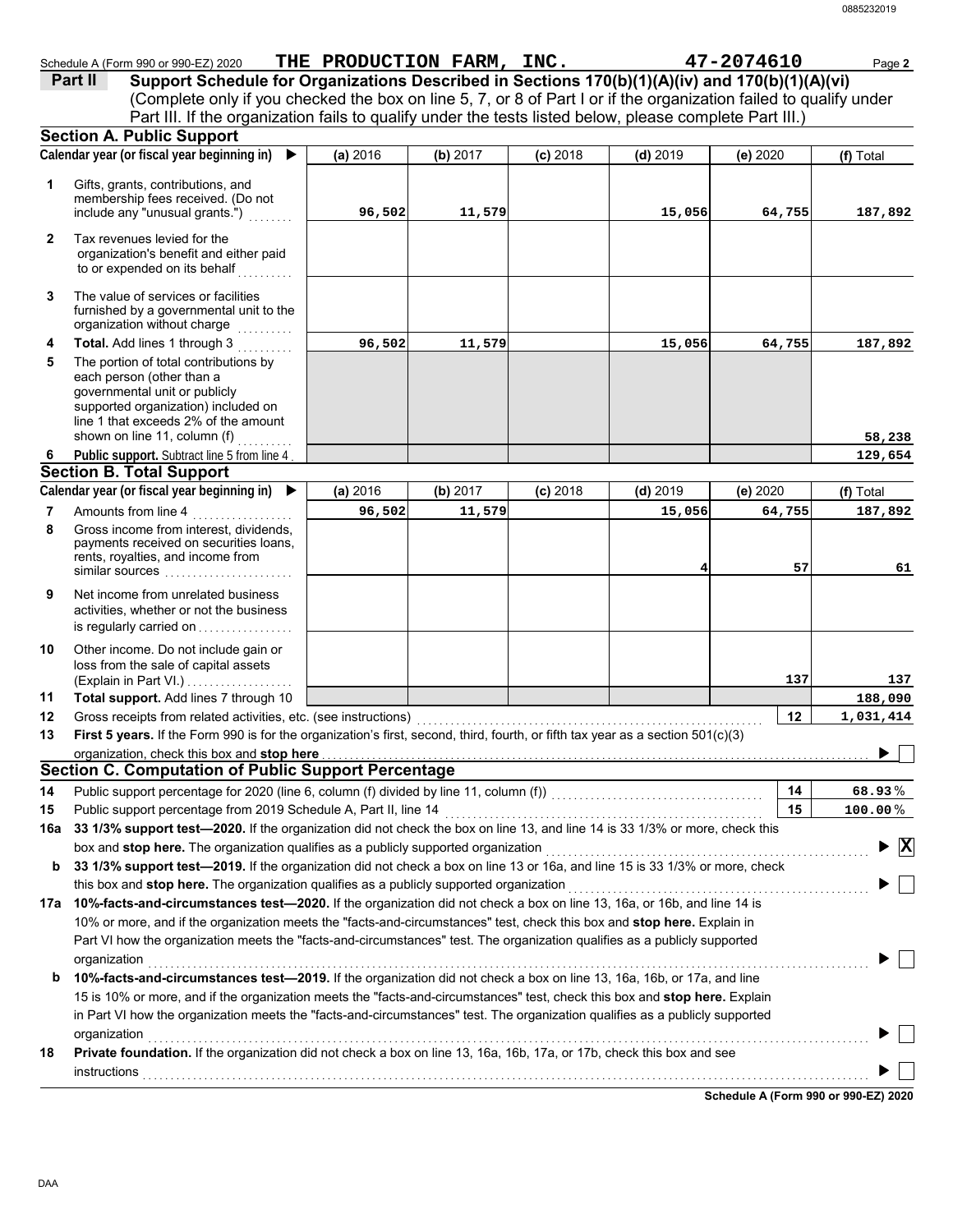|              | Schedule A (Form 990 or 990-EZ) 2020 THE PRODUCTION FARM, INC.                                                                                                                                                                                             |          |          |            |            | 47-2074610 | Page 2                                      |
|--------------|------------------------------------------------------------------------------------------------------------------------------------------------------------------------------------------------------------------------------------------------------------|----------|----------|------------|------------|------------|---------------------------------------------|
|              | Support Schedule for Organizations Described in Sections 170(b)(1)(A)(iv) and 170(b)(1)(A)(vi)<br>Part II                                                                                                                                                  |          |          |            |            |            |                                             |
|              | (Complete only if you checked the box on line 5, 7, or 8 of Part I or if the organization failed to qualify under                                                                                                                                          |          |          |            |            |            |                                             |
|              | Part III. If the organization fails to qualify under the tests listed below, please complete Part III.)                                                                                                                                                    |          |          |            |            |            |                                             |
|              | <b>Section A. Public Support</b>                                                                                                                                                                                                                           |          |          |            |            |            |                                             |
|              | Calendar year (or fiscal year beginning in) $\blacktriangleright$                                                                                                                                                                                          | (a) 2016 | (b) 2017 | $(c)$ 2018 | $(d)$ 2019 | (e) 2020   | (f) Total                                   |
| 1            | Gifts, grants, contributions, and                                                                                                                                                                                                                          |          |          |            |            |            |                                             |
|              | membership fees received. (Do not                                                                                                                                                                                                                          |          |          |            |            |            |                                             |
|              | include any "unusual grants.")                                                                                                                                                                                                                             | 96,502   | 11,579   |            | 15,056     | 64,755     | 187,892                                     |
| $\mathbf{2}$ | Tax revenues levied for the                                                                                                                                                                                                                                |          |          |            |            |            |                                             |
|              | organization's benefit and either paid                                                                                                                                                                                                                     |          |          |            |            |            |                                             |
|              | to or expended on its behalf                                                                                                                                                                                                                               |          |          |            |            |            |                                             |
| 3            | The value of services or facilities                                                                                                                                                                                                                        |          |          |            |            |            |                                             |
|              | furnished by a governmental unit to the                                                                                                                                                                                                                    |          |          |            |            |            |                                             |
|              | organization without charge                                                                                                                                                                                                                                |          |          |            |            |            |                                             |
| 4            | Total. Add lines 1 through 3                                                                                                                                                                                                                               | 96,502   | 11,579   |            | 15,056     | 64,755     | 187,892                                     |
| 5            | The portion of total contributions by<br>each person (other than a                                                                                                                                                                                         |          |          |            |            |            |                                             |
|              | governmental unit or publicly                                                                                                                                                                                                                              |          |          |            |            |            |                                             |
|              | supported organization) included on                                                                                                                                                                                                                        |          |          |            |            |            |                                             |
|              | line 1 that exceeds 2% of the amount<br>shown on line 11, column (f)                                                                                                                                                                                       |          |          |            |            |            |                                             |
| 6            | <u>.</u><br>Public support. Subtract line 5 from line 4                                                                                                                                                                                                    |          |          |            |            |            | 58,238<br>129,654                           |
|              | <b>Section B. Total Support</b>                                                                                                                                                                                                                            |          |          |            |            |            |                                             |
|              | Calendar year (or fiscal year beginning in)                                                                                                                                                                                                                | (a) 2016 | (b) 2017 | $(c)$ 2018 | $(d)$ 2019 | (e) 2020   | (f) Total                                   |
| 7            | Amounts from line 4                                                                                                                                                                                                                                        | 96,502   | 11,579   |            | 15,056     | 64,755     | 187,892                                     |
| 8            | Gross income from interest, dividends,                                                                                                                                                                                                                     |          |          |            |            |            |                                             |
|              | payments received on securities loans,                                                                                                                                                                                                                     |          |          |            |            |            |                                             |
|              | rents, royalties, and income from<br>similar sources                                                                                                                                                                                                       |          |          |            | 4          | 57         | 61                                          |
|              |                                                                                                                                                                                                                                                            |          |          |            |            |            |                                             |
| 9            | Net income from unrelated business<br>activities, whether or not the business                                                                                                                                                                              |          |          |            |            |            |                                             |
|              | is regularly carried on                                                                                                                                                                                                                                    |          |          |            |            |            |                                             |
| 10           | Other income. Do not include gain or                                                                                                                                                                                                                       |          |          |            |            |            |                                             |
|              | loss from the sale of capital assets                                                                                                                                                                                                                       |          |          |            |            |            |                                             |
|              | (Explain in Part VI.)                                                                                                                                                                                                                                      |          |          |            |            | 137        | 137                                         |
| 11           | Total support. Add lines 7 through 10                                                                                                                                                                                                                      |          |          |            |            |            | 188,090                                     |
| 12           | Gross receipts from related activities, etc. (see instructions)                                                                                                                                                                                            |          |          |            |            | 12         | 1,031,414                                   |
| 13           | First 5 years. If the Form 990 is for the organization's first, second, third, fourth, or fifth tax year as a section 501(c)(3)                                                                                                                            |          |          |            |            |            |                                             |
|              | organization, check this box and stop here                                                                                                                                                                                                                 |          |          |            |            |            |                                             |
|              | <b>Section C. Computation of Public Support Percentage</b>                                                                                                                                                                                                 |          |          |            |            |            |                                             |
| 14           |                                                                                                                                                                                                                                                            |          |          |            |            | 14         | 68.93%                                      |
| 15           | Public support percentage from 2019 Schedule A, Part II, line 14                                                                                                                                                                                           |          |          |            |            | 15         | $100.00\,\%$                                |
| 16a          | 33 1/3% support test-2020. If the organization did not check the box on line 13, and line 14 is 33 1/3% or more, check this                                                                                                                                |          |          |            |            |            |                                             |
|              | box and stop here. The organization qualifies as a publicly supported organization                                                                                                                                                                         |          |          |            |            |            | $\blacktriangleright$ $\overline{\text{X}}$ |
| b            | 33 1/3% support test-2019. If the organization did not check a box on line 13 or 16a, and line 15 is 33 1/3% or more, check                                                                                                                                |          |          |            |            |            |                                             |
|              | this box and stop here. The organization qualifies as a publicly supported organization                                                                                                                                                                    |          |          |            |            |            |                                             |
|              | 17a 10%-facts-and-circumstances test-2020. If the organization did not check a box on line 13, 16a, or 16b, and line 14 is                                                                                                                                 |          |          |            |            |            |                                             |
|              | 10% or more, and if the organization meets the "facts-and-circumstances" test, check this box and stop here. Explain in                                                                                                                                    |          |          |            |            |            |                                             |
|              | Part VI how the organization meets the "facts-and-circumstances" test. The organization qualifies as a publicly supported                                                                                                                                  |          |          |            |            |            |                                             |
|              | organization                                                                                                                                                                                                                                               |          |          |            |            |            |                                             |
| b            | 10%-facts-and-circumstances test-2019. If the organization did not check a box on line 13, 16a, 16b, or 17a, and line                                                                                                                                      |          |          |            |            |            |                                             |
|              | 15 is 10% or more, and if the organization meets the "facts-and-circumstances" test, check this box and stop here. Explain<br>in Part VI how the organization meets the "facts-and-circumstances" test. The organization qualifies as a publicly supported |          |          |            |            |            |                                             |
|              | organization                                                                                                                                                                                                                                               |          |          |            |            |            |                                             |
| 18           | Private foundation. If the organization did not check a box on line 13, 16a, 16b, 17a, or 17b, check this box and see                                                                                                                                      |          |          |            |            |            |                                             |
|              |                                                                                                                                                                                                                                                            |          |          |            |            |            |                                             |
|              | <b>instructions</b>                                                                                                                                                                                                                                        |          |          |            |            |            |                                             |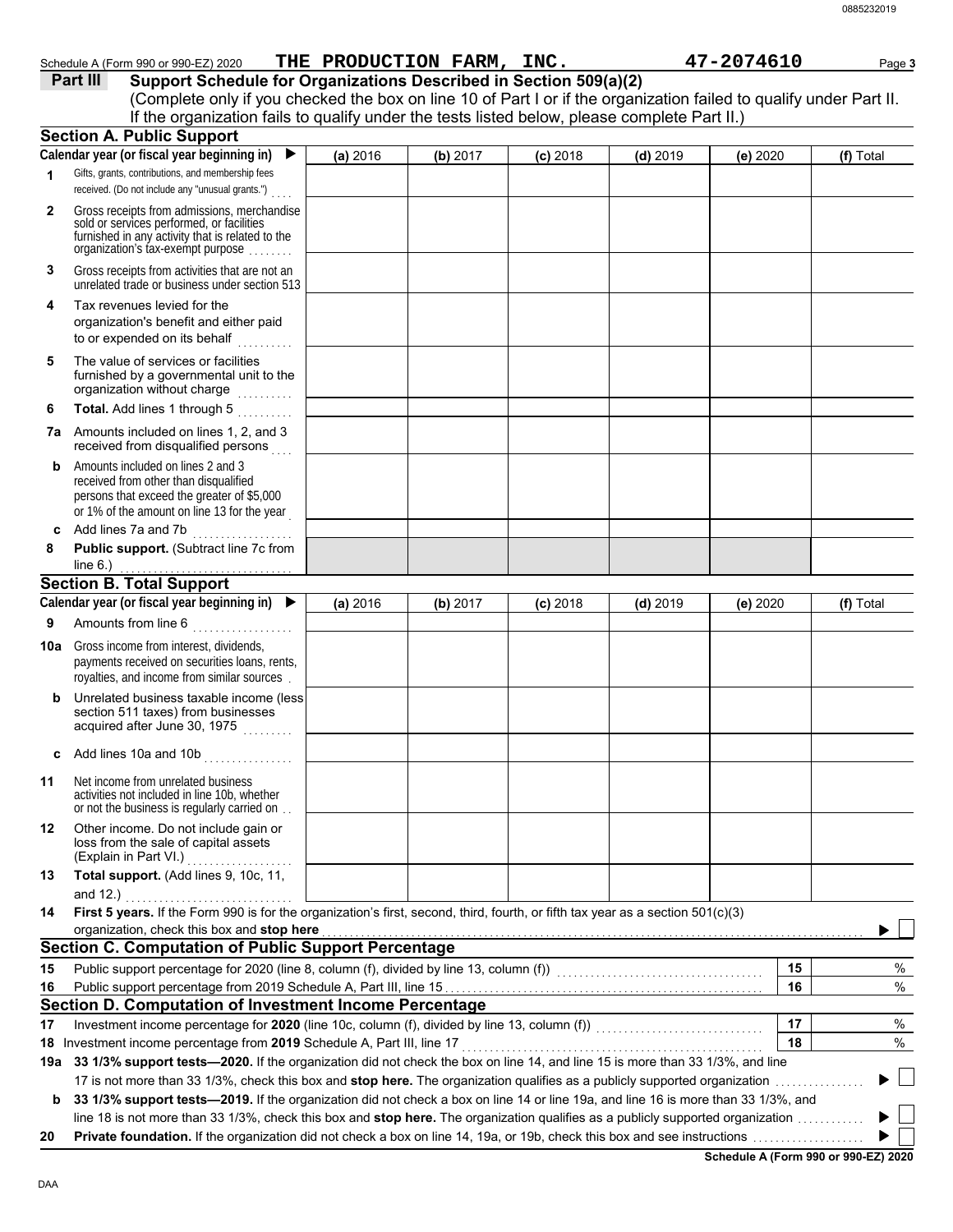|              | Part III<br>Support Schedule for Organizations Described in Section 509(a)(2)                                                                                                                                                                              |          |          |            |            |          |           |  |  |
|--------------|------------------------------------------------------------------------------------------------------------------------------------------------------------------------------------------------------------------------------------------------------------|----------|----------|------------|------------|----------|-----------|--|--|
|              | (Complete only if you checked the box on line 10 of Part I or if the organization failed to qualify under Part II.<br>If the organization fails to qualify under the tests listed below, please complete Part II.)                                         |          |          |            |            |          |           |  |  |
|              |                                                                                                                                                                                                                                                            |          |          |            |            |          |           |  |  |
|              | <b>Section A. Public Support</b><br>Calendar year (or fiscal year beginning in)<br>▶                                                                                                                                                                       |          |          |            |            |          |           |  |  |
| 1            | Gifts, grants, contributions, and membership fees                                                                                                                                                                                                          | (a) 2016 | (b) 2017 | $(c)$ 2018 | $(d)$ 2019 | (e) 2020 | (f) Total |  |  |
|              | received. (Do not include any "unusual grants.")                                                                                                                                                                                                           |          |          |            |            |          |           |  |  |
| $\mathbf{2}$ | Gross receipts from admissions, merchandise<br>sold or services performed, or facilities<br>furnished in any activity that is related to the<br>organization's fax-exempt purpose                                                                          |          |          |            |            |          |           |  |  |
| 3            | Gross receipts from activities that are not an<br>unrelated trade or business under section 513                                                                                                                                                            |          |          |            |            |          |           |  |  |
| 4            | Tax revenues levied for the<br>organization's benefit and either paid<br>to or expended on its behalf<br>a sa sa sal                                                                                                                                       |          |          |            |            |          |           |  |  |
| 5            | The value of services or facilities<br>furnished by a governmental unit to the<br>organization without charge                                                                                                                                              |          |          |            |            |          |           |  |  |
| 6            | Total. Add lines 1 through 5                                                                                                                                                                                                                               |          |          |            |            |          |           |  |  |
| 7a           | Amounts included on lines 1, 2, and 3<br>received from disqualified persons                                                                                                                                                                                |          |          |            |            |          |           |  |  |
| b            | Amounts included on lines 2 and 3<br>received from other than disqualified<br>persons that exceed the greater of \$5,000<br>or 1% of the amount on line 13 for the year                                                                                    |          |          |            |            |          |           |  |  |
| c            | Add lines 7a and 7b<br>.                                                                                                                                                                                                                                   |          |          |            |            |          |           |  |  |
| 8            | Public support. (Subtract line 7c from<br>line $6.$ )                                                                                                                                                                                                      |          |          |            |            |          |           |  |  |
|              | <b>Section B. Total Support</b>                                                                                                                                                                                                                            |          |          |            |            |          |           |  |  |
|              | Calendar year (or fiscal year beginning in) $\blacktriangleright$                                                                                                                                                                                          | (a) 2016 | (b) 2017 | $(c)$ 2018 | $(d)$ 2019 | (e) 2020 | (f) Total |  |  |
| 9            | Amounts from line 6                                                                                                                                                                                                                                        |          |          |            |            |          |           |  |  |
| 10a          | Gross income from interest, dividends,<br>payments received on securities loans, rents,<br>royalties, and income from similar sources.                                                                                                                     |          |          |            |            |          |           |  |  |
| b            | Unrelated business taxable income (less<br>section 511 taxes) from businesses<br>acquired after June 30, 1975                                                                                                                                              |          |          |            |            |          |           |  |  |
| c            | Add lines 10a and 10b<br>.                                                                                                                                                                                                                                 |          |          |            |            |          |           |  |  |
| 11           | Net income from unrelated business<br>activities not included in line 10b, whether<br>or not the business is regularly carried on                                                                                                                          |          |          |            |            |          |           |  |  |
| 12           | Other income. Do not include gain or<br>loss from the sale of capital assets<br>(Explain in Part VI.)<br>.                                                                                                                                                 |          |          |            |            |          |           |  |  |
| 13           | Total support. (Add lines 9, 10c, 11,<br>and $12.$ )                                                                                                                                                                                                       |          |          |            |            |          |           |  |  |
| 14           | First 5 years. If the Form 990 is for the organization's first, second, third, fourth, or fifth tax year as a section 501(c)(3)                                                                                                                            |          |          |            |            |          |           |  |  |
|              | organization, check this box and stop here                                                                                                                                                                                                                 |          |          |            |            |          |           |  |  |
|              | <b>Section C. Computation of Public Support Percentage</b>                                                                                                                                                                                                 |          |          |            |            |          |           |  |  |
| 15           |                                                                                                                                                                                                                                                            |          |          |            |            | 15       | %         |  |  |
| 16           |                                                                                                                                                                                                                                                            |          |          |            |            | 16       | $\%$      |  |  |
|              | Section D. Computation of Investment Income Percentage                                                                                                                                                                                                     |          |          |            |            |          |           |  |  |
| 17           |                                                                                                                                                                                                                                                            |          |          |            |            | 17       | $\%$      |  |  |
|              | 18 Investment income percentage from 2019 Schedule A, Part III, line 17                                                                                                                                                                                    |          |          |            |            | 18       | $\%$      |  |  |
| 19а          | 33 1/3% support tests-2020. If the organization did not check the box on line 14, and line 15 is more than 33 1/3%, and line<br>17 is not more than 33 1/3%, check this box and stop here. The organization qualifies as a publicly supported organization |          |          |            |            |          |           |  |  |
|              |                                                                                                                                                                                                                                                            |          |          |            |            |          |           |  |  |

Schedule A (Form 990 or 990-EZ) 2020 **THE PRODUCTION FARM, INC.** 47-2074610 Page 3

**b** 33 1/3% support tests-2019. If the organization did not check a box on line 14 or line 19a, and line 16 is more than 33 1/3%, and line 18 is not more than 33 1/3%, check this box and stop here. The organization qualifies as a publicly supported organization ............  $\blacktriangleright$  $\blacktriangleright$ 

**20 Private foundation.** If the organization did not check a box on line 14, 19a, or 19b, check this box and see instructions . . . . . . . . . . . . . . . . . . . .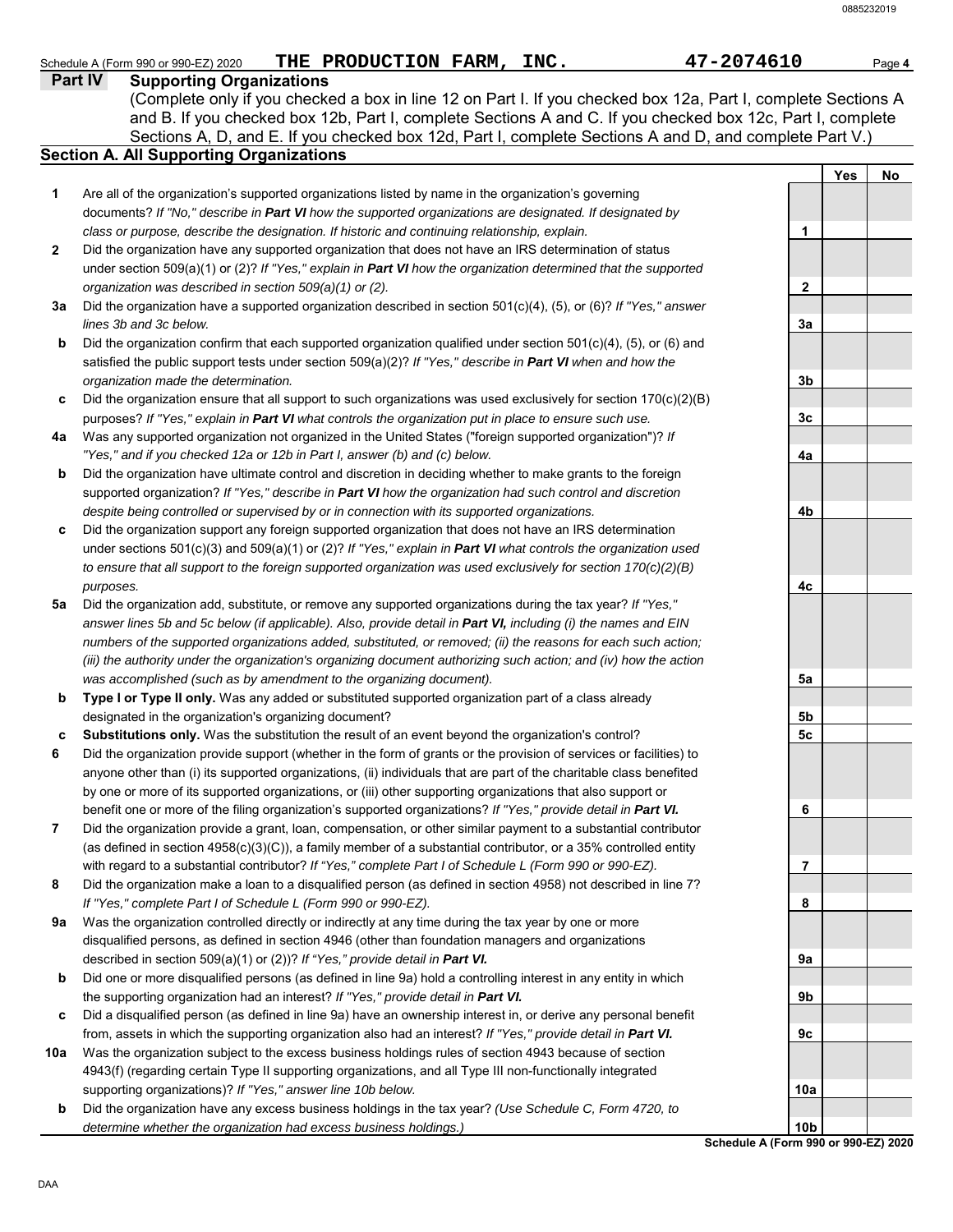| <b>Part IV</b> | THE PRODUCTION FARM, INC.<br>47-2074610<br>Schedule A (Form 990 or 990-EZ) 2020<br><b>Supporting Organizations</b>                                                                                                                                                                                                                    |                |     | Page 4 |
|----------------|---------------------------------------------------------------------------------------------------------------------------------------------------------------------------------------------------------------------------------------------------------------------------------------------------------------------------------------|----------------|-----|--------|
|                | (Complete only if you checked a box in line 12 on Part I. If you checked box 12a, Part I, complete Sections A<br>and B. If you checked box 12b, Part I, complete Sections A and C. If you checked box 12c, Part I, complete<br>Sections A, D, and E. If you checked box 12d, Part I, complete Sections A and D, and complete Part V.) |                |     |        |
|                | <b>Section A. All Supporting Organizations</b>                                                                                                                                                                                                                                                                                        |                |     |        |
|                |                                                                                                                                                                                                                                                                                                                                       |                | Yes | No     |
| 1              | Are all of the organization's supported organizations listed by name in the organization's governing                                                                                                                                                                                                                                  |                |     |        |
|                | documents? If "No," describe in Part VI how the supported organizations are designated. If designated by                                                                                                                                                                                                                              |                |     |        |
|                | class or purpose, describe the designation. If historic and continuing relationship, explain.                                                                                                                                                                                                                                         | 1              |     |        |
| $\mathbf{2}$   | Did the organization have any supported organization that does not have an IRS determination of status                                                                                                                                                                                                                                |                |     |        |
|                | under section 509(a)(1) or (2)? If "Yes," explain in Part VI how the organization determined that the supported                                                                                                                                                                                                                       |                |     |        |
|                | organization was described in section 509(a)(1) or (2).                                                                                                                                                                                                                                                                               | $\mathbf{2}$   |     |        |
| За             | Did the organization have a supported organization described in section 501(c)(4), (5), or (6)? If "Yes," answer                                                                                                                                                                                                                      |                |     |        |
|                | lines 3b and 3c below.                                                                                                                                                                                                                                                                                                                | 3a             |     |        |
| b              | Did the organization confirm that each supported organization qualified under section 501(c)(4), (5), or (6) and                                                                                                                                                                                                                      |                |     |        |
|                | satisfied the public support tests under section $509(a)(2)?$ If "Yes," describe in Part VI when and how the                                                                                                                                                                                                                          |                |     |        |
|                | organization made the determination.                                                                                                                                                                                                                                                                                                  | 3 <sub>b</sub> |     |        |
| c              | Did the organization ensure that all support to such organizations was used exclusively for section 170(c)(2)(B)                                                                                                                                                                                                                      |                |     |        |
|                | purposes? If "Yes," explain in Part VI what controls the organization put in place to ensure such use.                                                                                                                                                                                                                                | 3c             |     |        |
| 4a             | Was any supported organization not organized in the United States ("foreign supported organization")? If                                                                                                                                                                                                                              |                |     |        |
|                | "Yes," and if you checked 12a or 12b in Part I, answer (b) and (c) below.                                                                                                                                                                                                                                                             | 4a             |     |        |
| b              | Did the organization have ultimate control and discretion in deciding whether to make grants to the foreign                                                                                                                                                                                                                           |                |     |        |
|                | supported organization? If "Yes," describe in Part VI how the organization had such control and discretion                                                                                                                                                                                                                            |                |     |        |
|                | despite being controlled or supervised by or in connection with its supported organizations.                                                                                                                                                                                                                                          | 4b             |     |        |
| c              | Did the organization support any foreign supported organization that does not have an IRS determination                                                                                                                                                                                                                               |                |     |        |
|                | under sections $501(c)(3)$ and $509(a)(1)$ or (2)? If "Yes," explain in Part VI what controls the organization used                                                                                                                                                                                                                   |                |     |        |
|                | to ensure that all support to the foreign supported organization was used exclusively for section $170(c)(2)(B)$                                                                                                                                                                                                                      |                |     |        |
| 5а             | purposes.<br>Did the organization add, substitute, or remove any supported organizations during the tax year? If "Yes,"                                                                                                                                                                                                               | 4с             |     |        |
|                | answer lines 5b and 5c below (if applicable). Also, provide detail in Part VI, including (i) the names and EIN                                                                                                                                                                                                                        |                |     |        |
|                | numbers of the supported organizations added, substituted, or removed; (ii) the reasons for each such action;                                                                                                                                                                                                                         |                |     |        |
|                | (iii) the authority under the organization's organizing document authorizing such action; and (iv) how the action                                                                                                                                                                                                                     |                |     |        |
|                | was accomplished (such as by amendment to the organizing document).                                                                                                                                                                                                                                                                   | 5a             |     |        |
| b              | Type I or Type II only. Was any added or substituted supported organization part of a class already                                                                                                                                                                                                                                   |                |     |        |
|                | designated in the organization's organizing document?                                                                                                                                                                                                                                                                                 | 5b             |     |        |
| c              | Substitutions only. Was the substitution the result of an event beyond the organization's control?                                                                                                                                                                                                                                    | 5c             |     |        |
| 6              | Did the organization provide support (whether in the form of grants or the provision of services or facilities) to                                                                                                                                                                                                                    |                |     |        |
|                | anyone other than (i) its supported organizations, (ii) individuals that are part of the charitable class benefited                                                                                                                                                                                                                   |                |     |        |
|                | by one or more of its supported organizations, or (iii) other supporting organizations that also support or                                                                                                                                                                                                                           |                |     |        |
|                | benefit one or more of the filing organization's supported organizations? If "Yes," provide detail in Part VI.                                                                                                                                                                                                                        | 6              |     |        |
| 7              | Did the organization provide a grant, loan, compensation, or other similar payment to a substantial contributor                                                                                                                                                                                                                       |                |     |        |
|                | (as defined in section $4958(c)(3)(C)$ ), a family member of a substantial contributor, or a 35% controlled entity                                                                                                                                                                                                                    |                |     |        |
|                | with regard to a substantial contributor? If "Yes," complete Part I of Schedule L (Form 990 or 990-EZ).                                                                                                                                                                                                                               | 7              |     |        |
| 8              | Did the organization make a loan to a disqualified person (as defined in section 4958) not described in line 7?                                                                                                                                                                                                                       |                |     |        |
|                | If "Yes," complete Part I of Schedule L (Form 990 or 990-EZ).                                                                                                                                                                                                                                                                         | 8              |     |        |
| 9а             | Was the organization controlled directly or indirectly at any time during the tax year by one or more                                                                                                                                                                                                                                 |                |     |        |
|                | disqualified persons, as defined in section 4946 (other than foundation managers and organizations                                                                                                                                                                                                                                    |                |     |        |
|                | described in section 509(a)(1) or (2))? If "Yes," provide detail in Part VI.                                                                                                                                                                                                                                                          | 9а             |     |        |
| b              | Did one or more disqualified persons (as defined in line 9a) hold a controlling interest in any entity in which                                                                                                                                                                                                                       |                |     |        |
|                | the supporting organization had an interest? If "Yes," provide detail in Part VI.                                                                                                                                                                                                                                                     | 9b             |     |        |
| c              | Did a disqualified person (as defined in line 9a) have an ownership interest in, or derive any personal benefit                                                                                                                                                                                                                       |                |     |        |
|                | from, assets in which the supporting organization also had an interest? If "Yes," provide detail in Part VI.                                                                                                                                                                                                                          | 9с             |     |        |
| 10a            | Was the organization subject to the excess business holdings rules of section 4943 because of section                                                                                                                                                                                                                                 |                |     |        |
|                | 4943(f) (regarding certain Type II supporting organizations, and all Type III non-functionally integrated                                                                                                                                                                                                                             |                |     |        |
|                | supporting organizations)? If "Yes," answer line 10b below.                                                                                                                                                                                                                                                                           | 10a            |     |        |

**b** Did the organization have any excess business holdings in the tax year? *(Use Schedule C, Form 4720, to determine whether the organization had excess business holdings.)*

**Schedule A (Form 990 or 990-EZ) 2020 10b**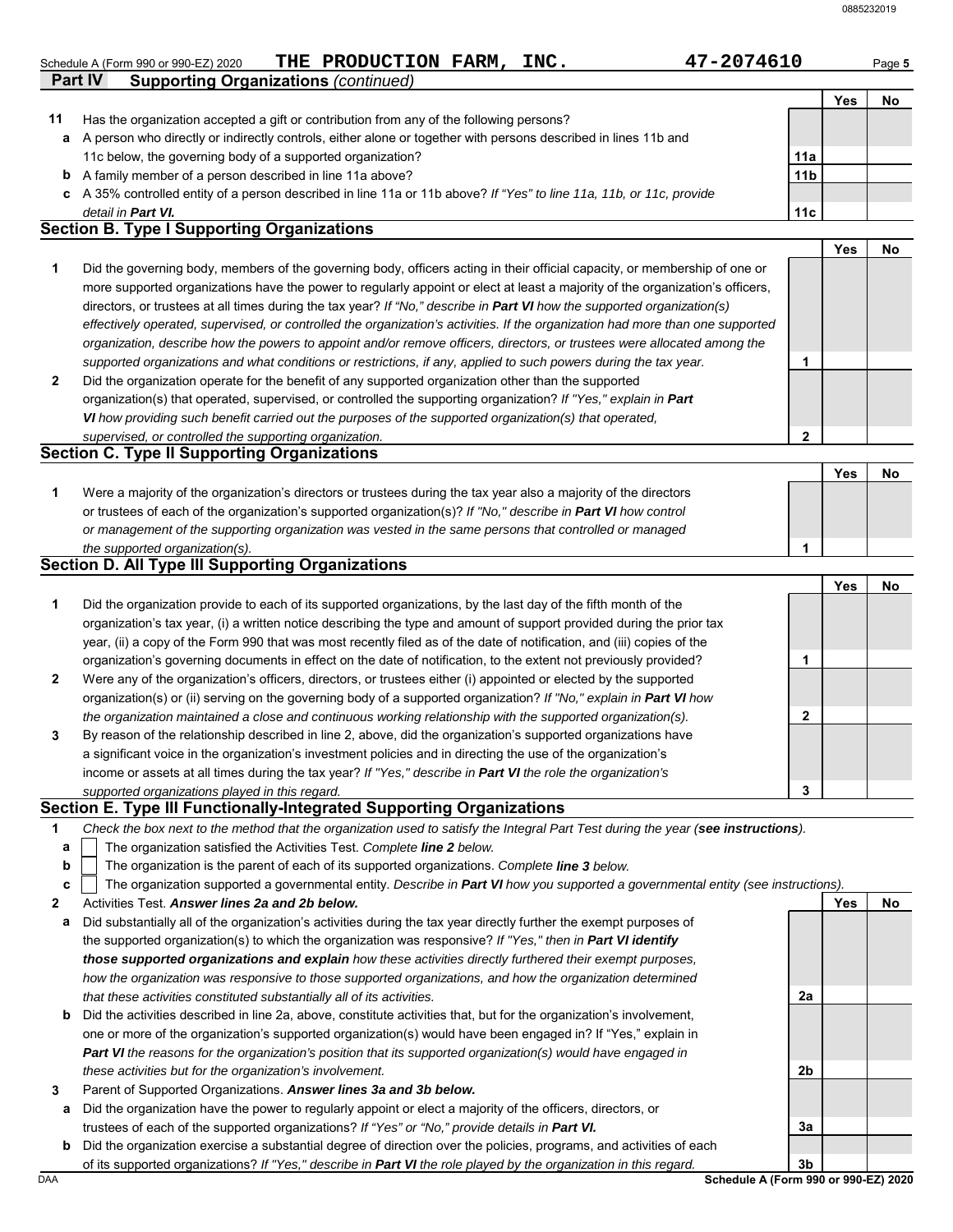| Schedule A (Form 990 or 990-EZ) 2020 | THE PRODUCTION FARM, | INC. | 2074610- | Page 5 |
|--------------------------------------|----------------------|------|----------|--------|
|                                      |                      |      |          |        |

| 47-2074610 |
|------------|
|------------|

| ıc<br>ız<br>۰. |  |
|----------------|--|

|    |                                                                                                                      |                 | Yes | No |
|----|----------------------------------------------------------------------------------------------------------------------|-----------------|-----|----|
| 11 | Has the organization accepted a gift or contribution from any of the following persons?                              |                 |     |    |
| a  | A person who directly or indirectly controls, either alone or together with persons described in lines 11b and       |                 |     |    |
|    | 11c below, the governing body of a supported organization?                                                           | 11a             |     |    |
| b  | A family member of a person described in line 11a above?                                                             | 11 <sub>b</sub> |     |    |
|    | c A 35% controlled entity of a person described in line 11a or 11b above? If "Yes" to line 11a, 11b, or 11c, provide |                 |     |    |
|    | detail in <b>Part VI.</b>                                                                                            | 11c             |     |    |
|    | <b>Section B. Type I Supporting Organizations</b>                                                                    |                 |     |    |
|    |                                                                                                                      |                 |     |    |

|                | Did the governing body, members of the governing body, officers acting in their official capacity, or membership of one or     |  |  |
|----------------|--------------------------------------------------------------------------------------------------------------------------------|--|--|
|                | more supported organizations have the power to regularly appoint or elect at least a majority of the organization's officers,  |  |  |
|                | directors, or trustees at all times during the tax year? If "No," describe in Part VI how the supported organization(s)        |  |  |
|                | effectively operated, supervised, or controlled the organization's activities. If the organization had more than one supported |  |  |
|                | organization, describe how the powers to appoint and/or remove officers, directors, or trustees were allocated among the       |  |  |
|                | supported organizations and what conditions or restrictions, if any, applied to such powers during the tax year.               |  |  |
| $\overline{2}$ | Did the organization operate for the benefit of any supported organization other than the supported                            |  |  |
|                | organization(s) that operated, supervised, or controlled the supporting organization? If "Yes," explain in Part                |  |  |
|                | VI how providing such benefit carried out the purposes of the supported organization(s) that operated,                         |  |  |
|                | supervised, or controlled the supporting organization.                                                                         |  |  |

#### *supervised, or controlled the supporting organization.* **Section C. Type II Supporting Organizations**

**Part IV Supporting Organizations** *(continued)*

|                                                                                                                  |  | No |
|------------------------------------------------------------------------------------------------------------------|--|----|
| Were a majority of the organization's directors or trustees during the tax year also a majority of the directors |  |    |
| or trustees of each of the organization's supported organization(s)? If "No," describe in Part VI how control    |  |    |
| or management of the supporting organization was vested in the same persons that controlled or managed           |  |    |
| the supported organization(s).                                                                                   |  |    |

### **Section D. All Type III Supporting Organizations**

|                |                                                                                                                        |   | Yes | No |
|----------------|------------------------------------------------------------------------------------------------------------------------|---|-----|----|
| 1              | Did the organization provide to each of its supported organizations, by the last day of the fifth month of the         |   |     |    |
|                | organization's tax year, (i) a written notice describing the type and amount of support provided during the prior tax  |   |     |    |
|                | year, (ii) a copy of the Form 990 that was most recently filed as of the date of notification, and (iii) copies of the |   |     |    |
|                | organization's governing documents in effect on the date of notification, to the extent not previously provided?       |   |     |    |
| $\overline{2}$ | Were any of the organization's officers, directors, or trustees either (i) appointed or elected by the supported       |   |     |    |
|                | organization(s) or (ii) serving on the governing body of a supported organization? If "No," explain in Part VI how     |   |     |    |
|                | the organization maintained a close and continuous working relationship with the supported organization(s).            | 2 |     |    |
| 3              | By reason of the relationship described in line 2, above, did the organization's supported organizations have          |   |     |    |
|                | a significant voice in the organization's investment policies and in directing the use of the organization's           |   |     |    |
|                | income or assets at all times during the tax year? If "Yes," describe in Part VI the role the organization's           |   |     |    |
|                | supported organizations played in this regard.                                                                         | 3 |     |    |

#### **Section E. Type III Functionally-Integrated Supporting Organizations**

| Check the box next to the method that the organization used to satisfy the Integral Part Test during the year (see instructions). |  |
|-----------------------------------------------------------------------------------------------------------------------------------|--|
|                                                                                                                                   |  |

- The organization satisfied the Activities Test. *Complete line 2 below.* **a**
- The organization is the parent of each of its supported organizations. *Complete line 3 below.* **b**

|  | $c \,\,\sqrt{\,}$ The organization supported a governmental entity. Describe in Part VI how you supported a governmental entity (see instructions). |  |  |  |  |
|--|-----------------------------------------------------------------------------------------------------------------------------------------------------|--|--|--|--|
|--|-----------------------------------------------------------------------------------------------------------------------------------------------------|--|--|--|--|

- **2** Activities Test. *Answer lines 2a and 2b below.*
- **a** Did substantially all of the organization's activities during the tax year directly further the exempt purposes of the supported organization(s) to which the organization was responsive? *If "Yes," then in Part VI identify those supported organizations and explain how these activities directly furthered their exempt purposes, how the organization was responsive to those supported organizations, and how the organization determined that these activities constituted substantially all of its activities.*
- **b** Did the activities described in line 2a, above, constitute activities that, but for the organization's involvement, one or more of the organization's supported organization(s) would have been engaged in? If "Yes," explain in *Part VI the reasons for the organization's position that its supported organization(s) would have engaged in these activities but for the organization's involvement.*
- **3** Parent of Supported Organizations. *Answer lines 3a and 3b below.*
	- **a** Did the organization have the power to regularly appoint or elect a majority of the officers, directors, or trustees of each of the supported organizations? *If "Yes" or "No," provide details in Part VI.*
- DAA **Schedule A (Form 990 or 990-EZ) 2020 b** Did the organization exercise a substantial degree of direction over the policies, programs, and activities of each of its supported organizations? *If "Yes," describe in Part VI the role played by the organization in this regard.*

**3b**

**2a**

**2b**

**3a**

**Yes No**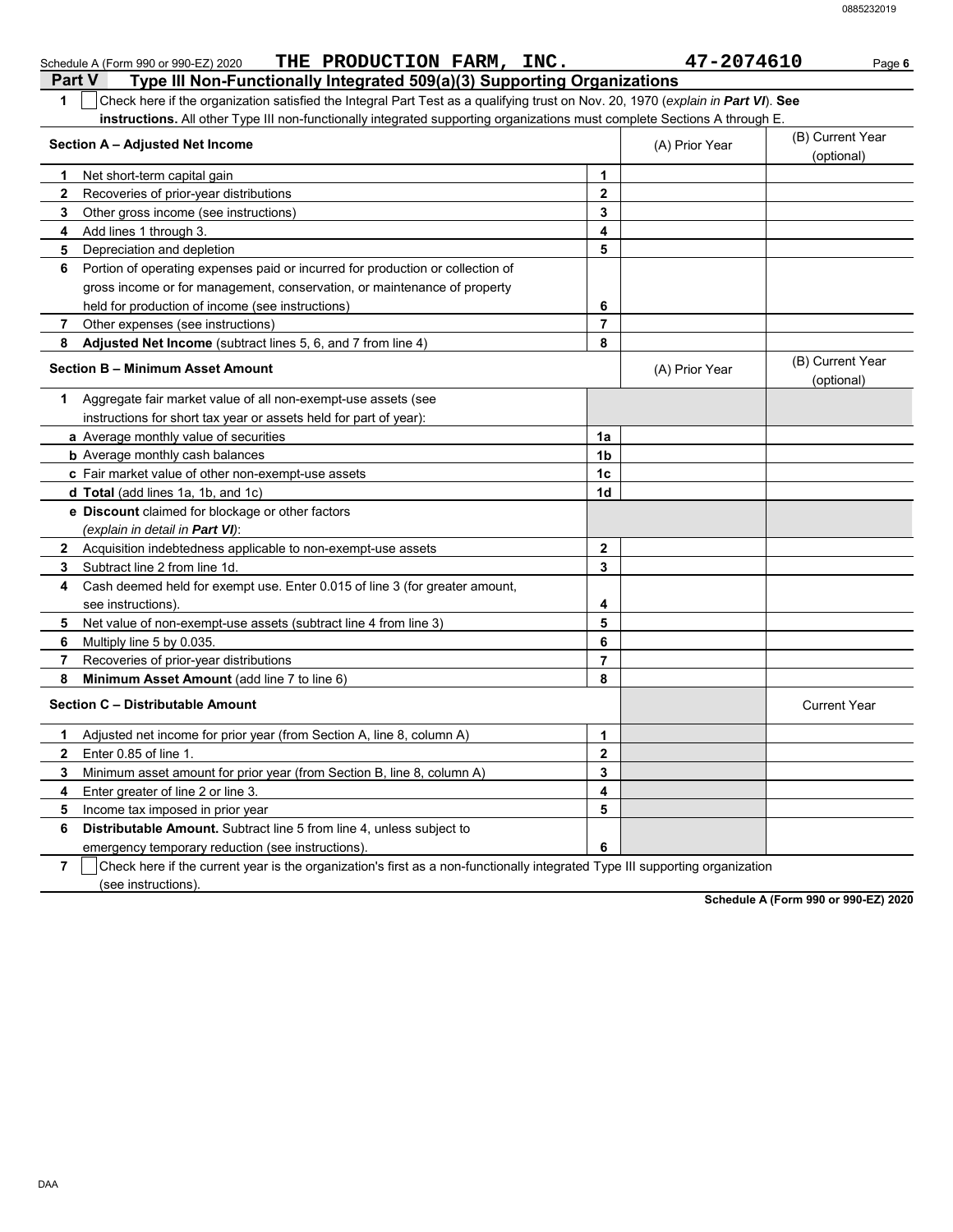|                | THE PRODUCTION FARM, INC.<br>Schedule A (Form 990 or 990-EZ) 2020                                                                |                | 47-2074610     | Page 6                         |
|----------------|----------------------------------------------------------------------------------------------------------------------------------|----------------|----------------|--------------------------------|
|                | Type III Non-Functionally Integrated 509(a)(3) Supporting Organizations<br><b>Part V</b>                                         |                |                |                                |
| 1              | Check here if the organization satisfied the Integral Part Test as a qualifying trust on Nov. 20, 1970 (explain in Part VI). See |                |                |                                |
|                | instructions. All other Type III non-functionally integrated supporting organizations must complete Sections A through E.        |                |                |                                |
|                | Section A - Adjusted Net Income                                                                                                  |                | (A) Prior Year | (B) Current Year<br>(optional) |
| 1              | Net short-term capital gain                                                                                                      | 1              |                |                                |
| 2              | Recoveries of prior-year distributions                                                                                           | $\mathbf{2}$   |                |                                |
| 3              | Other gross income (see instructions)                                                                                            | 3              |                |                                |
| 4              | Add lines 1 through 3.                                                                                                           | 4              |                |                                |
| 5              | Depreciation and depletion                                                                                                       | 5              |                |                                |
| 6              | Portion of operating expenses paid or incurred for production or collection of                                                   |                |                |                                |
|                | gross income or for management, conservation, or maintenance of property                                                         |                |                |                                |
|                | held for production of income (see instructions)                                                                                 | 6              |                |                                |
| 7              | Other expenses (see instructions)                                                                                                | 7              |                |                                |
| 8              | Adjusted Net Income (subtract lines 5, 6, and 7 from line 4)                                                                     | 8              |                |                                |
|                | Section B - Minimum Asset Amount                                                                                                 |                | (A) Prior Year | (B) Current Year<br>(optional) |
|                | 1 Aggregate fair market value of all non-exempt-use assets (see                                                                  |                |                |                                |
|                | instructions for short tax year or assets held for part of year):                                                                |                |                |                                |
|                | a Average monthly value of securities                                                                                            | 1a             |                |                                |
|                | <b>b</b> Average monthly cash balances                                                                                           | 1b             |                |                                |
|                | c Fair market value of other non-exempt-use assets                                                                               | 1c             |                |                                |
|                | d Total (add lines 1a, 1b, and 1c)                                                                                               | 1d             |                |                                |
|                | e Discount claimed for blockage or other factors                                                                                 |                |                |                                |
|                | (explain in detail in <b>Part VI</b> ):                                                                                          |                |                |                                |
| $\mathbf{2}$   | Acquisition indebtedness applicable to non-exempt-use assets                                                                     | $\mathbf{2}$   |                |                                |
| 3              | Subtract line 2 from line 1d.                                                                                                    | 3              |                |                                |
| 4              | Cash deemed held for exempt use. Enter 0.015 of line 3 (for greater amount,                                                      |                |                |                                |
|                | see instructions)                                                                                                                | 4              |                |                                |
| 5              | Net value of non-exempt-use assets (subtract line 4 from line 3)                                                                 | 5              |                |                                |
| 6              | Multiply line 5 by 0.035.                                                                                                        | 6              |                |                                |
| 7              | Recoveries of prior-year distributions                                                                                           | $\overline{7}$ |                |                                |
| 8              | <b>Minimum Asset Amount</b> (add line 7 to line 6)                                                                               | 8              |                |                                |
|                | Section C - Distributable Amount                                                                                                 |                |                | <b>Current Year</b>            |
| 1.             | Adjusted net income for prior year (from Section A, line 8, column A)                                                            | 1              |                |                                |
| 2              | Enter 0.85 of line 1.                                                                                                            | $\mathbf 2$    |                |                                |
| 3              | Minimum asset amount for prior year (from Section B, line 8, column A)                                                           | 3              |                |                                |
| 4              | Enter greater of line 2 or line 3.                                                                                               | 4              |                |                                |
| 5              | Income tax imposed in prior year                                                                                                 | 5              |                |                                |
| 6              | <b>Distributable Amount.</b> Subtract line 5 from line 4, unless subject to                                                      |                |                |                                |
|                | emergency temporary reduction (see instructions)                                                                                 | 6              |                |                                |
| $\overline{ }$ | Chook hara if the ourrant vear is the examination's first as a nep functionally integrated Type III ourporting                   |                |                |                                |

**7** Check here if the current year is the organization's first as a non-functionally integrated Type III supporting organization (see instructions).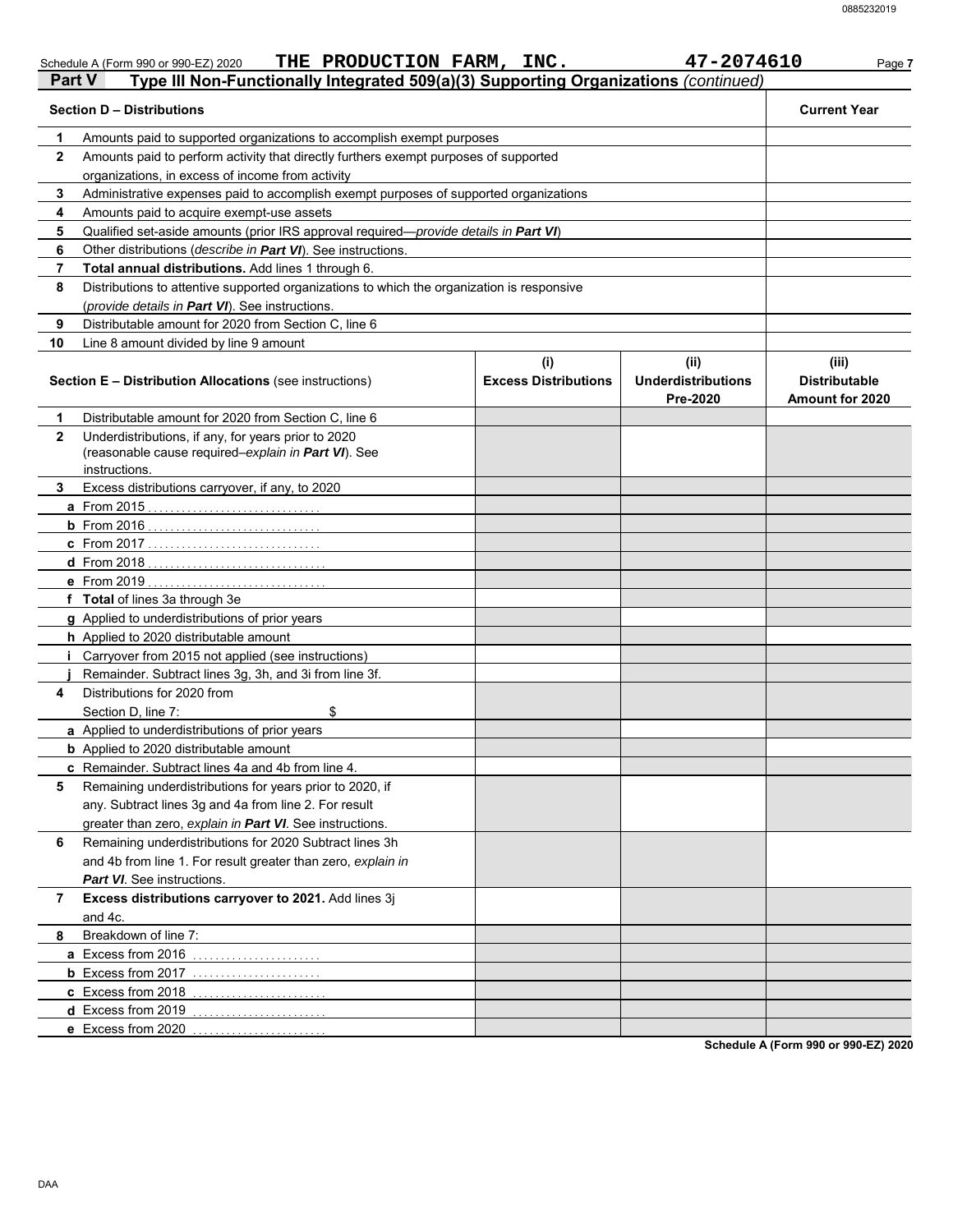|               | THE PRODUCTION FARM, INC.<br>Schedule A (Form 990 or 990-EZ) 2020                                              |                                    | 47-2074610                                    | Page 7                                                  |
|---------------|----------------------------------------------------------------------------------------------------------------|------------------------------------|-----------------------------------------------|---------------------------------------------------------|
| <b>Part V</b> | Type III Non-Functionally Integrated 509(a)(3) Supporting Organizations (continued)                            |                                    |                                               |                                                         |
|               | <b>Section D - Distributions</b>                                                                               |                                    |                                               | <b>Current Year</b>                                     |
| 1             | Amounts paid to supported organizations to accomplish exempt purposes                                          |                                    |                                               |                                                         |
| $\mathbf{2}$  | Amounts paid to perform activity that directly furthers exempt purposes of supported                           |                                    |                                               |                                                         |
|               | organizations, in excess of income from activity                                                               |                                    |                                               |                                                         |
| 3             | Administrative expenses paid to accomplish exempt purposes of supported organizations                          |                                    |                                               |                                                         |
| 4             | Amounts paid to acquire exempt-use assets                                                                      |                                    |                                               |                                                         |
| 5             | Qualified set-aside amounts (prior IRS approval required-provide details in Part VI)                           |                                    |                                               |                                                         |
| 6             | Other distributions (describe in Part VI). See instructions.                                                   |                                    |                                               |                                                         |
| 7             | Total annual distributions. Add lines 1 through 6.                                                             |                                    |                                               |                                                         |
| 8             | Distributions to attentive supported organizations to which the organization is responsive                     |                                    |                                               |                                                         |
|               | (provide details in Part VI). See instructions.                                                                |                                    |                                               |                                                         |
| 9             | Distributable amount for 2020 from Section C, line 6                                                           |                                    |                                               |                                                         |
| 10            | Line 8 amount divided by line 9 amount                                                                         |                                    |                                               |                                                         |
|               | <b>Section E - Distribution Allocations (see instructions)</b>                                                 | (i)<br><b>Excess Distributions</b> | (ii)<br><b>Underdistributions</b><br>Pre-2020 | (iii)<br><b>Distributable</b><br><b>Amount for 2020</b> |
| 1             | Distributable amount for 2020 from Section C, line 6                                                           |                                    |                                               |                                                         |
| $\mathbf{2}$  | Underdistributions, if any, for years prior to 2020                                                            |                                    |                                               |                                                         |
|               | (reasonable cause required-explain in Part VI). See                                                            |                                    |                                               |                                                         |
|               | instructions.                                                                                                  |                                    |                                               |                                                         |
| 3             | Excess distributions carryover, if any, to 2020                                                                |                                    |                                               |                                                         |
|               | <b>a</b> From 2015                                                                                             |                                    |                                               |                                                         |
|               |                                                                                                                |                                    |                                               |                                                         |
|               | c From 2017                                                                                                    |                                    |                                               |                                                         |
|               |                                                                                                                |                                    |                                               |                                                         |
|               | e From 2019                                                                                                    |                                    |                                               |                                                         |
|               | f Total of lines 3a through 3e                                                                                 |                                    |                                               |                                                         |
|               | g Applied to underdistributions of prior years                                                                 |                                    |                                               |                                                         |
|               | h Applied to 2020 distributable amount                                                                         |                                    |                                               |                                                         |
|               | i Carryover from 2015 not applied (see instructions)                                                           |                                    |                                               |                                                         |
|               | Remainder. Subtract lines 3g, 3h, and 3i from line 3f.                                                         |                                    |                                               |                                                         |
| 4             | Distributions for 2020 from                                                                                    |                                    |                                               |                                                         |
|               | Section D, line 7:<br>\$                                                                                       |                                    |                                               |                                                         |
|               | a Applied to underdistributions of prior years                                                                 |                                    |                                               |                                                         |
|               | <b>b</b> Applied to 2020 distributable amount                                                                  |                                    |                                               |                                                         |
| 5             | c Remainder. Subtract lines 4a and 4b from line 4.<br>Remaining underdistributions for years prior to 2020, if |                                    |                                               |                                                         |
|               | any. Subtract lines 3g and 4a from line 2. For result                                                          |                                    |                                               |                                                         |
|               |                                                                                                                |                                    |                                               |                                                         |
|               | greater than zero, explain in Part VI. See instructions.                                                       |                                    |                                               |                                                         |
| 6             | Remaining underdistributions for 2020 Subtract lines 3h                                                        |                                    |                                               |                                                         |
|               | and 4b from line 1. For result greater than zero, explain in                                                   |                                    |                                               |                                                         |
|               | Part VI. See instructions.                                                                                     |                                    |                                               |                                                         |
| 7             | Excess distributions carryover to 2021. Add lines 3j<br>and 4c.                                                |                                    |                                               |                                                         |
|               |                                                                                                                |                                    |                                               |                                                         |
| 8             | Breakdown of line 7:                                                                                           |                                    |                                               |                                                         |
|               | a Excess from 2016                                                                                             |                                    |                                               |                                                         |
|               | <b>b</b> Excess from 2017                                                                                      |                                    |                                               |                                                         |
|               | c Excess from 2018                                                                                             |                                    |                                               |                                                         |
|               | d Excess from 2019                                                                                             |                                    |                                               |                                                         |
|               | e Excess from 2020                                                                                             |                                    |                                               |                                                         |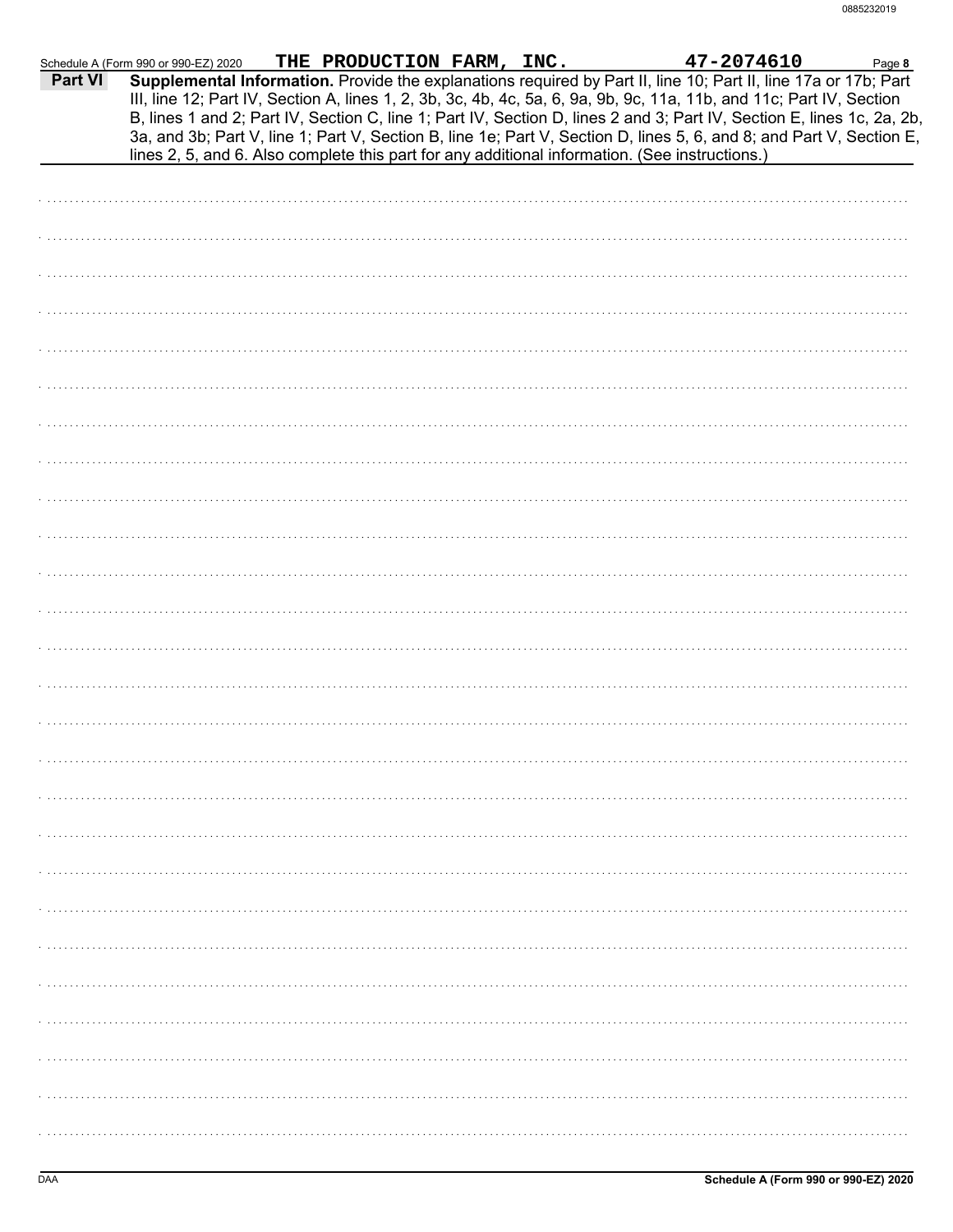|                | Schedule A (Form 990 or 990-EZ) 2020                                                           |  |  |                                                                                                                                                                                                                                                                                                                                                                                                                                          |  |
|----------------|------------------------------------------------------------------------------------------------|--|--|------------------------------------------------------------------------------------------------------------------------------------------------------------------------------------------------------------------------------------------------------------------------------------------------------------------------------------------------------------------------------------------------------------------------------------------|--|
| <b>Part VI</b> |                                                                                                |  |  | m 990 or 990-EZ) 2020 THE PRODUCTION FARM, INC. $47-2074610$ Page 8<br>Supplemental Information. Provide the explanations required by Part II, line 10; Part II, line 17a or 17b; Part<br>III, line 12; Part IV, Section A, lines 1, 2, 3b, 3c, 4b, 4c, 5a, 6, 9a, 9b, 9c, 11a, 11b, and 11c; Part IV, Section<br>B, lines 1 and 2; Part IV, Section C, line 1; Part IV, Section D, lines 2 and 3; Part IV, Section E, lines 1c, 2a, 2b, |  |
|                | lines 2, 5, and 6. Also complete this part for any additional information. (See instructions.) |  |  | 3a, and 3b; Part V, line 1; Part V, Section B, line 1e; Part V, Section D, lines 5, 6, and 8; and Part V, Section E,                                                                                                                                                                                                                                                                                                                     |  |
|                |                                                                                                |  |  |                                                                                                                                                                                                                                                                                                                                                                                                                                          |  |
|                |                                                                                                |  |  |                                                                                                                                                                                                                                                                                                                                                                                                                                          |  |
|                |                                                                                                |  |  |                                                                                                                                                                                                                                                                                                                                                                                                                                          |  |
|                |                                                                                                |  |  |                                                                                                                                                                                                                                                                                                                                                                                                                                          |  |
|                |                                                                                                |  |  |                                                                                                                                                                                                                                                                                                                                                                                                                                          |  |
|                |                                                                                                |  |  |                                                                                                                                                                                                                                                                                                                                                                                                                                          |  |
|                |                                                                                                |  |  |                                                                                                                                                                                                                                                                                                                                                                                                                                          |  |
|                |                                                                                                |  |  |                                                                                                                                                                                                                                                                                                                                                                                                                                          |  |
|                |                                                                                                |  |  |                                                                                                                                                                                                                                                                                                                                                                                                                                          |  |
|                |                                                                                                |  |  |                                                                                                                                                                                                                                                                                                                                                                                                                                          |  |
|                |                                                                                                |  |  |                                                                                                                                                                                                                                                                                                                                                                                                                                          |  |
|                |                                                                                                |  |  |                                                                                                                                                                                                                                                                                                                                                                                                                                          |  |
|                |                                                                                                |  |  |                                                                                                                                                                                                                                                                                                                                                                                                                                          |  |
|                |                                                                                                |  |  |                                                                                                                                                                                                                                                                                                                                                                                                                                          |  |
|                |                                                                                                |  |  |                                                                                                                                                                                                                                                                                                                                                                                                                                          |  |
|                |                                                                                                |  |  |                                                                                                                                                                                                                                                                                                                                                                                                                                          |  |
|                |                                                                                                |  |  |                                                                                                                                                                                                                                                                                                                                                                                                                                          |  |
|                |                                                                                                |  |  |                                                                                                                                                                                                                                                                                                                                                                                                                                          |  |
|                |                                                                                                |  |  |                                                                                                                                                                                                                                                                                                                                                                                                                                          |  |
|                |                                                                                                |  |  |                                                                                                                                                                                                                                                                                                                                                                                                                                          |  |
|                |                                                                                                |  |  |                                                                                                                                                                                                                                                                                                                                                                                                                                          |  |
|                |                                                                                                |  |  |                                                                                                                                                                                                                                                                                                                                                                                                                                          |  |
|                |                                                                                                |  |  |                                                                                                                                                                                                                                                                                                                                                                                                                                          |  |
|                |                                                                                                |  |  |                                                                                                                                                                                                                                                                                                                                                                                                                                          |  |
|                |                                                                                                |  |  |                                                                                                                                                                                                                                                                                                                                                                                                                                          |  |
|                |                                                                                                |  |  |                                                                                                                                                                                                                                                                                                                                                                                                                                          |  |
|                |                                                                                                |  |  |                                                                                                                                                                                                                                                                                                                                                                                                                                          |  |
|                |                                                                                                |  |  |                                                                                                                                                                                                                                                                                                                                                                                                                                          |  |
|                |                                                                                                |  |  |                                                                                                                                                                                                                                                                                                                                                                                                                                          |  |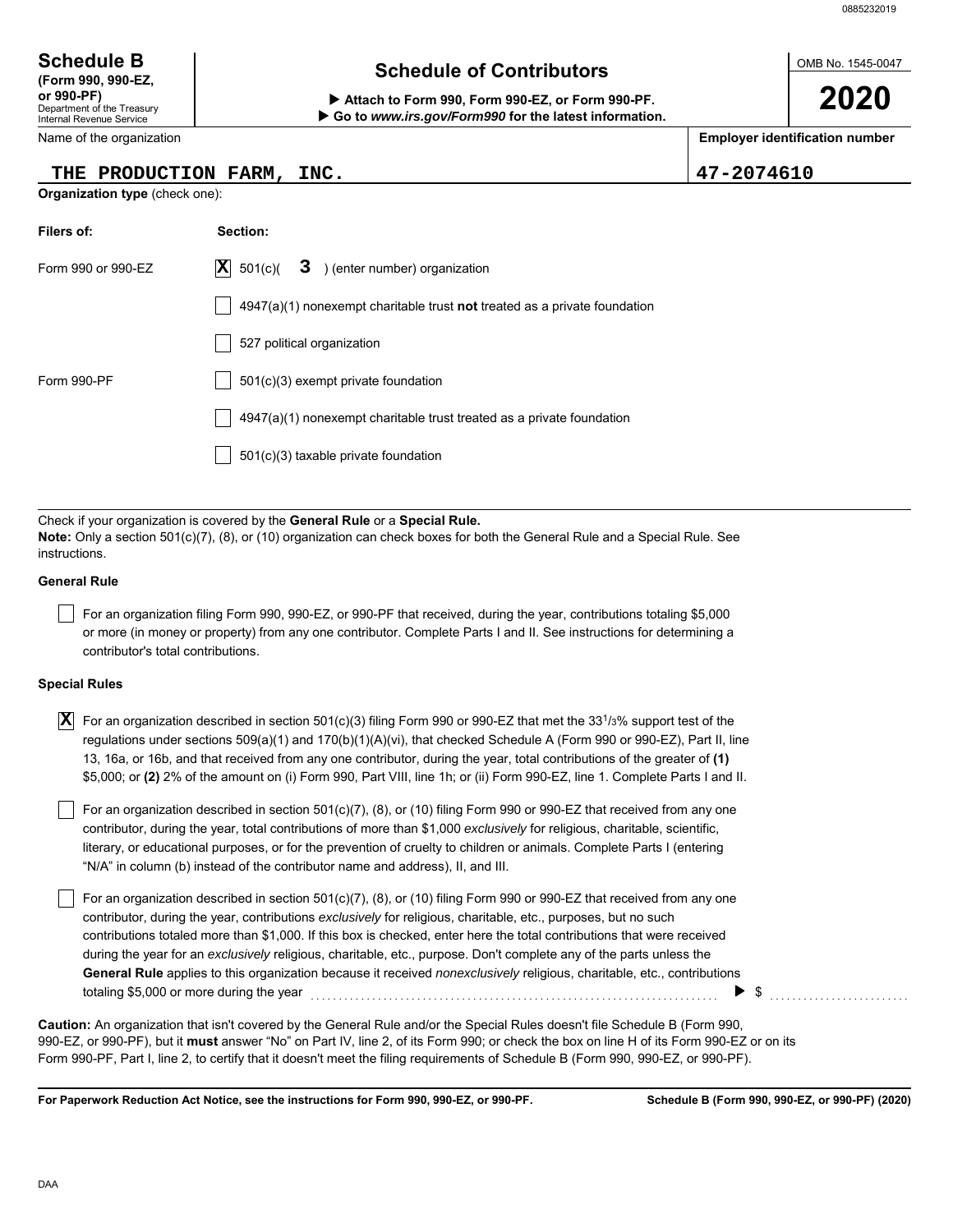OMB No. 1545-0047

**2020**

Department of the Treasury Internal Revenue Service **(Form 990, 990-EZ,**

Name of the organization

### **THE PRODUCTION FARM, INC. 47-2074610**

**Organization type** (check one):

| <b>Schedule B</b>  | <b>Schedule of Contributors</b> |
|--------------------|---------------------------------|
| /Earm 000, 000 EZ. |                                 |

**or 990-PF) Attach to Form 990, Form 990-EZ, or Form 990-PF. Go to** *www.irs.gov/Form990* **for the latest information.**

**Employer identification number**

| Filers of:         | Section:                                                                           |
|--------------------|------------------------------------------------------------------------------------|
| Form 990 or 990-EZ | $ \mathbf{X} $ 501(c)( <b>3</b> ) (enter number) organization                      |
|                    | $4947(a)(1)$ nonexempt charitable trust <b>not</b> treated as a private foundation |
|                    | 527 political organization                                                         |
| Form 990-PF        | 501(c)(3) exempt private foundation                                                |
|                    | 4947(a)(1) nonexempt charitable trust treated as a private foundation              |
|                    | 501(c)(3) taxable private foundation                                               |

Check if your organization is covered by the **General Rule** or a **Special Rule. Note:** Only a section 501(c)(7), (8), or (10) organization can check boxes for both the General Rule and a Special Rule. See instructions.

#### **General Rule**

For an organization filing Form 990, 990-EZ, or 990-PF that received, during the year, contributions totaling \$5,000 or more (in money or property) from any one contributor. Complete Parts I and II. See instructions for determining a contributor's total contributions.

#### **Special Rules**

| $\overline{\textbf{X}}$ For an organization described in section 501(c)(3) filing Form 990 or 990-EZ that met the 33 <sup>1</sup> /3% support test of the |
|-----------------------------------------------------------------------------------------------------------------------------------------------------------|
| regulations under sections 509(a)(1) and 170(b)(1)(A)(vi), that checked Schedule A (Form 990 or 990-EZ), Part II, line                                    |
| 13, 16a, or 16b, and that received from any one contributor, during the year, total contributions of the greater of (1)                                   |
| \$5,000; or (2) 2% of the amount on (i) Form 990, Part VIII, line 1h; or (ii) Form 990-EZ, line 1. Complete Parts I and II.                               |

literary, or educational purposes, or for the prevention of cruelty to children or animals. Complete Parts I (entering For an organization described in section 501(c)(7), (8), or (10) filing Form 990 or 990-EZ that received from any one contributor, during the year, total contributions of more than \$1,000 *exclusively* for religious, charitable, scientific, "N/A" in column (b) instead of the contributor name and address), II, and III.

For an organization described in section 501(c)(7), (8), or (10) filing Form 990 or 990-EZ that received from any one contributor, during the year, contributions *exclusively* for religious, charitable, etc., purposes, but no such contributions totaled more than \$1,000. If this box is checked, enter here the total contributions that were received during the year for an *exclusively* religious, charitable, etc., purpose. Don't complete any of the parts unless the **General Rule** applies to this organization because it received *nonexclusively* religious, charitable, etc., contributions totaling \$5,000 or more during the year  $\ldots$   $\ldots$   $\ldots$   $\ldots$   $\ldots$   $\ldots$   $\ldots$   $\ldots$   $\ldots$   $\ldots$   $\ldots$ 

990-EZ, or 990-PF), but it **must** answer "No" on Part IV, line 2, of its Form 990; or check the box on line H of its Form 990-EZ or on its Form 990-PF, Part I, line 2, to certify that it doesn't meet the filing requirements of Schedule B (Form 990, 990-EZ, or 990-PF). **Caution:** An organization that isn't covered by the General Rule and/or the Special Rules doesn't file Schedule B (Form 990,

**For Paperwork Reduction Act Notice, see the instructions for Form 990, 990-EZ, or 990-PF.**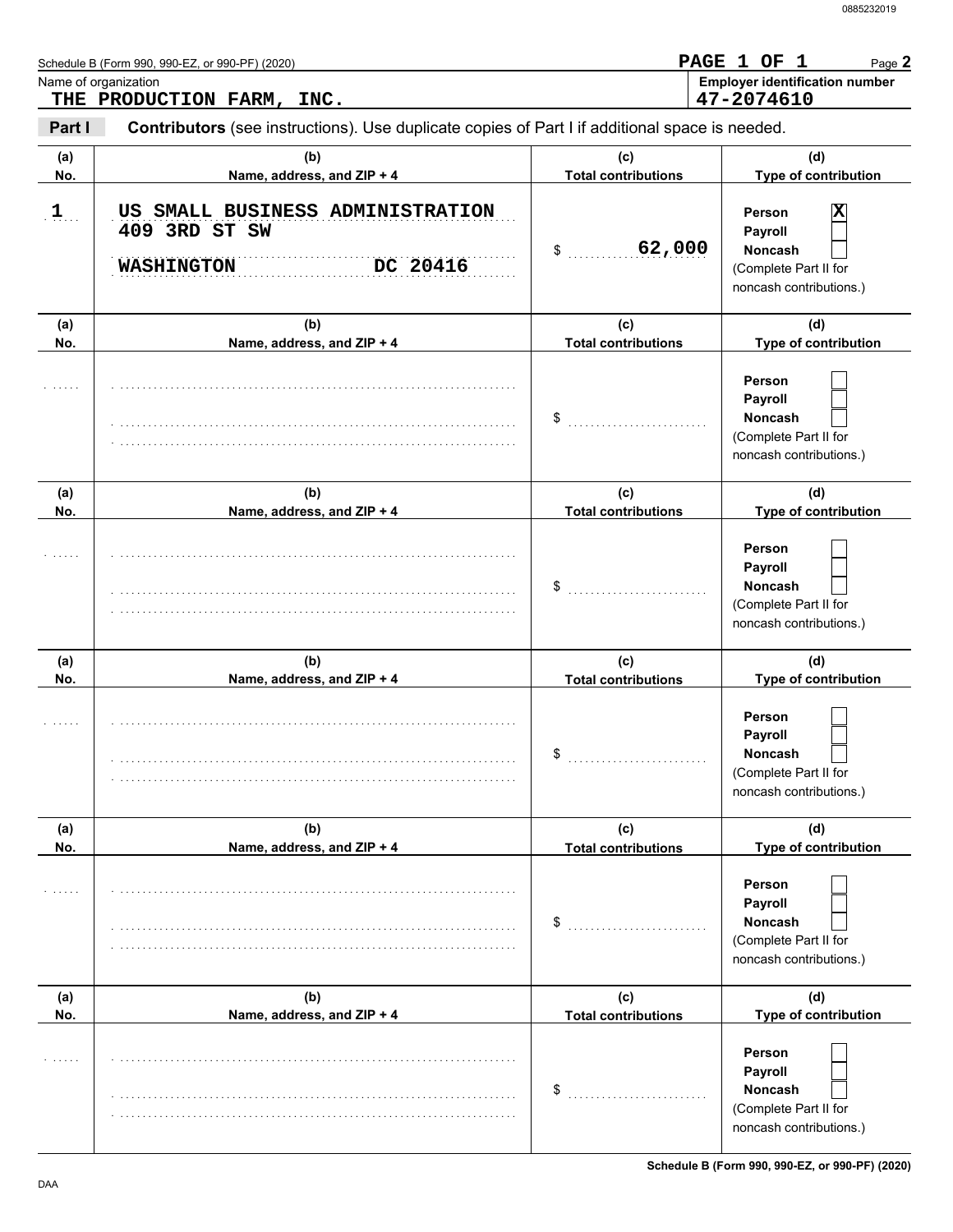|            | Schedule B (Form 990, 990-EZ, or 990-PF) (2020)                                                                  |                                            | PAGE 1 OF 1<br>Page 2                                                                                    |
|------------|------------------------------------------------------------------------------------------------------------------|--------------------------------------------|----------------------------------------------------------------------------------------------------------|
|            | Name of organization<br>THE PRODUCTION FARM, INC.                                                                |                                            | <b>Employer identification number</b><br>47-2074610                                                      |
| Part I     | Contributors (see instructions). Use duplicate copies of Part I if additional space is needed.                   |                                            |                                                                                                          |
| (a)        | (b)                                                                                                              | (c)                                        | (d)                                                                                                      |
| No.<br>$1$ | Name, address, and ZIP + 4<br>US SMALL BUSINESS ADMINISTRATION<br>409 3RD ST SW<br>DC 20416<br><b>WASHINGTON</b> | <b>Total contributions</b><br>62,000<br>\$ | Type of contribution<br>Person<br>Payroll<br>Noncash<br>(Complete Part II for<br>noncash contributions.) |
| (a)        | (b)                                                                                                              | (c)                                        | (d)                                                                                                      |
| No.        | Name, address, and ZIP + 4                                                                                       | <b>Total contributions</b>                 | Type of contribution                                                                                     |
|            |                                                                                                                  | \$                                         | Person<br>Payroll<br>Noncash<br>(Complete Part II for<br>noncash contributions.)                         |
| (a)        | (b)                                                                                                              | (c)                                        | (d)                                                                                                      |
| No.        | Name, address, and ZIP + 4                                                                                       | <b>Total contributions</b>                 | Type of contribution                                                                                     |
|            |                                                                                                                  | \$                                         | Person<br>Payroll<br>Noncash<br>(Complete Part II for<br>noncash contributions.)                         |
| (a)<br>No. | (b)<br>Name, address, and ZIP + 4                                                                                | (c)<br><b>Total contributions</b>          | (d)<br>Type of contribution                                                                              |
|            |                                                                                                                  | \$                                         | Person<br>Payroll<br>Noncash<br>(Complete Part II for<br>noncash contributions.)                         |
| (a)        | (b)                                                                                                              | (c)                                        | (d)                                                                                                      |
| No.        | Name, address, and ZIP + 4                                                                                       | <b>Total contributions</b>                 | Type of contribution                                                                                     |
|            |                                                                                                                  | \$                                         | Person<br>Payroll<br>Noncash<br>(Complete Part II for<br>noncash contributions.)                         |
| (a)        | (b)                                                                                                              | (c)                                        | (d)                                                                                                      |
| No.        | Name, address, and ZIP + 4                                                                                       | <b>Total contributions</b>                 | <b>Type of contribution</b>                                                                              |
|            |                                                                                                                  | \$                                         | Person<br>Payroll<br>Noncash<br>(Complete Part II for<br>noncash contributions.)                         |

**Schedule B (Form 990, 990-EZ, or 990-PF) (2020)**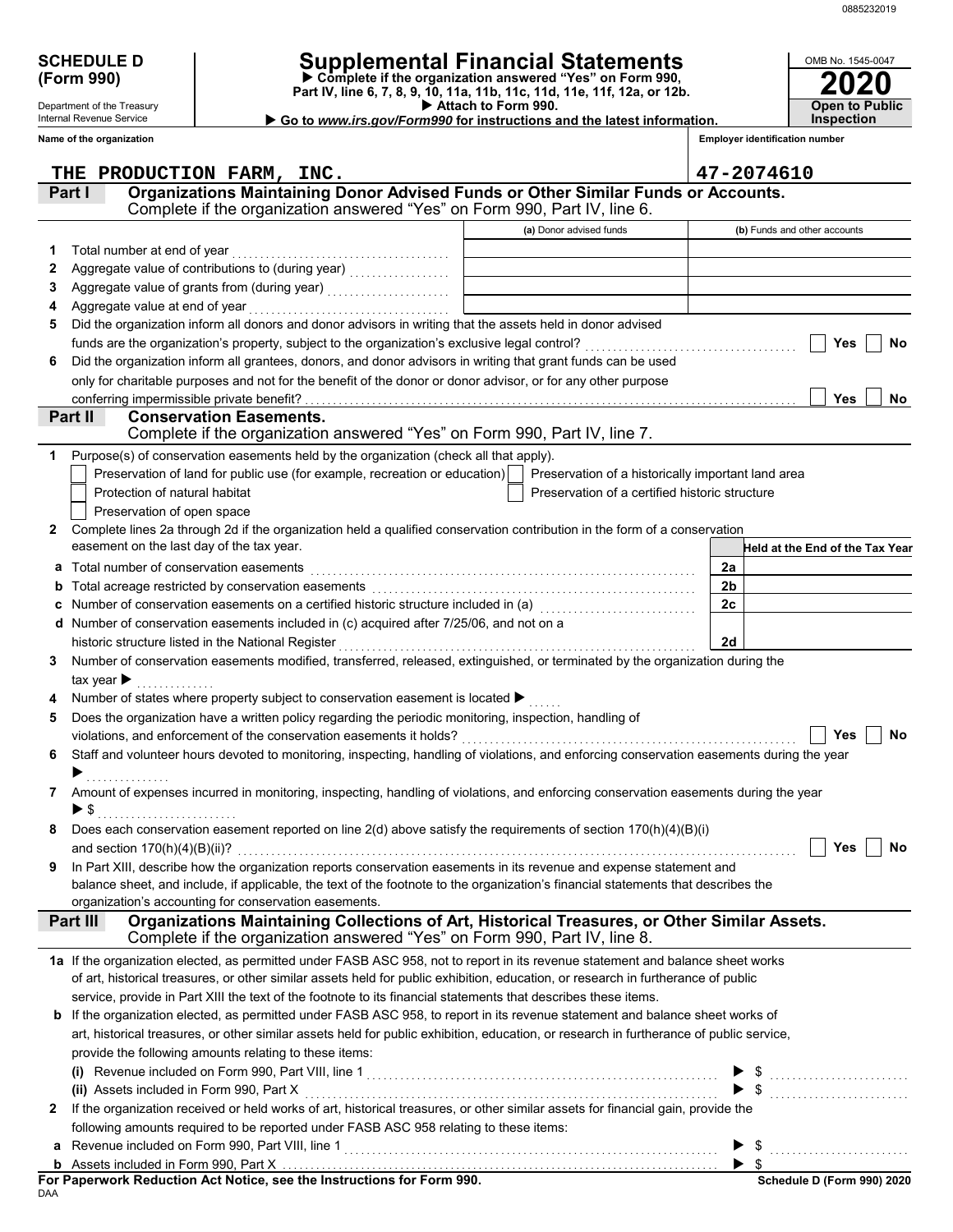**2020**

**Open to Public Inspection**

OMB No. 1545-0047

| <b>SCHEDULE D</b> |  |
|-------------------|--|
| (Form 990)        |  |

Department of the Treasury Internal Revenue Service

## **SCHEDULE D Supplemental Financial Statements**

 **Attach to Form 990. (Form 990) Part IV, line 6, 7, 8, 9, 10, 11a, 11b, 11c, 11d, 11e, 11f, 12a, or 12b. Complete if the organization answered "Yes" on Form 990,**

|  |  | .                                                                      |  |  |
|--|--|------------------------------------------------------------------------|--|--|
|  |  | Go to www.irs.gov/Form990 for instructions and the latest information. |  |  |

|                      | Name of the organization                                                                                                                                                                                                                                 |                                                | <b>Employer identification number</b>                                                                                                                                                                                                                                                                                                                                                                                                                                                                                                                  |
|----------------------|----------------------------------------------------------------------------------------------------------------------------------------------------------------------------------------------------------------------------------------------------------|------------------------------------------------|--------------------------------------------------------------------------------------------------------------------------------------------------------------------------------------------------------------------------------------------------------------------------------------------------------------------------------------------------------------------------------------------------------------------------------------------------------------------------------------------------------------------------------------------------------|
|                      | THE PRODUCTION FARM, INC.                                                                                                                                                                                                                                |                                                | 47-2074610                                                                                                                                                                                                                                                                                                                                                                                                                                                                                                                                             |
|                      | Organizations Maintaining Donor Advised Funds or Other Similar Funds or Accounts.<br>Part I                                                                                                                                                              |                                                |                                                                                                                                                                                                                                                                                                                                                                                                                                                                                                                                                        |
|                      | Complete if the organization answered "Yes" on Form 990, Part IV, line 6.                                                                                                                                                                                |                                                |                                                                                                                                                                                                                                                                                                                                                                                                                                                                                                                                                        |
|                      |                                                                                                                                                                                                                                                          | (a) Donor advised funds                        | (b) Funds and other accounts                                                                                                                                                                                                                                                                                                                                                                                                                                                                                                                           |
| 1                    | Total number at end of year                                                                                                                                                                                                                              |                                                |                                                                                                                                                                                                                                                                                                                                                                                                                                                                                                                                                        |
| 2                    |                                                                                                                                                                                                                                                          |                                                |                                                                                                                                                                                                                                                                                                                                                                                                                                                                                                                                                        |
| З                    | Aggregate value of grants from (during year)                                                                                                                                                                                                             |                                                |                                                                                                                                                                                                                                                                                                                                                                                                                                                                                                                                                        |
| 4                    | Aggregate value at end of year                                                                                                                                                                                                                           |                                                |                                                                                                                                                                                                                                                                                                                                                                                                                                                                                                                                                        |
| 5                    | Did the organization inform all donors and donor advisors in writing that the assets held in donor advised                                                                                                                                               |                                                |                                                                                                                                                                                                                                                                                                                                                                                                                                                                                                                                                        |
|                      |                                                                                                                                                                                                                                                          |                                                | Yes<br>No                                                                                                                                                                                                                                                                                                                                                                                                                                                                                                                                              |
| 6                    | Did the organization inform all grantees, donors, and donor advisors in writing that grant funds can be used                                                                                                                                             |                                                |                                                                                                                                                                                                                                                                                                                                                                                                                                                                                                                                                        |
|                      | only for charitable purposes and not for the benefit of the donor or donor advisor, or for any other purpose                                                                                                                                             |                                                |                                                                                                                                                                                                                                                                                                                                                                                                                                                                                                                                                        |
|                      | conferring impermissible private benefit?                                                                                                                                                                                                                |                                                | Yes<br><b>No</b>                                                                                                                                                                                                                                                                                                                                                                                                                                                                                                                                       |
|                      | Part II<br><b>Conservation Easements.</b><br>Complete if the organization answered "Yes" on Form 990, Part IV, line 7.                                                                                                                                   |                                                |                                                                                                                                                                                                                                                                                                                                                                                                                                                                                                                                                        |
|                      |                                                                                                                                                                                                                                                          |                                                |                                                                                                                                                                                                                                                                                                                                                                                                                                                                                                                                                        |
| 1.                   | Purpose(s) of conservation easements held by the organization (check all that apply).<br>Preservation of land for public use (for example, recreation or education)   Preservation of a historically important land area                                 |                                                |                                                                                                                                                                                                                                                                                                                                                                                                                                                                                                                                                        |
|                      | Protection of natural habitat                                                                                                                                                                                                                            | Preservation of a certified historic structure |                                                                                                                                                                                                                                                                                                                                                                                                                                                                                                                                                        |
|                      | Preservation of open space                                                                                                                                                                                                                               |                                                |                                                                                                                                                                                                                                                                                                                                                                                                                                                                                                                                                        |
| $\mathbf{2}^{\circ}$ | Complete lines 2a through 2d if the organization held a qualified conservation contribution in the form of a conservation                                                                                                                                |                                                |                                                                                                                                                                                                                                                                                                                                                                                                                                                                                                                                                        |
|                      | easement on the last day of the tax year.                                                                                                                                                                                                                |                                                | Held at the End of the Tax Year                                                                                                                                                                                                                                                                                                                                                                                                                                                                                                                        |
| a                    | Total number of conservation easements                                                                                                                                                                                                                   |                                                | 2a                                                                                                                                                                                                                                                                                                                                                                                                                                                                                                                                                     |
| b                    |                                                                                                                                                                                                                                                          |                                                | 2 <sub>b</sub>                                                                                                                                                                                                                                                                                                                                                                                                                                                                                                                                         |
|                      | Number of conservation easements on a certified historic structure included in (a) [[[[[[[[[[[[[[[[[[[[[[[[[]]]]]]]                                                                                                                                      |                                                | 2c                                                                                                                                                                                                                                                                                                                                                                                                                                                                                                                                                     |
|                      | Number of conservation easements included in (c) acquired after 7/25/06, and not on a                                                                                                                                                                    |                                                |                                                                                                                                                                                                                                                                                                                                                                                                                                                                                                                                                        |
|                      | historic structure listed in the National Register                                                                                                                                                                                                       |                                                | 2d                                                                                                                                                                                                                                                                                                                                                                                                                                                                                                                                                     |
| 3                    | Number of conservation easements modified, transferred, released, extinguished, or terminated by the organization during the                                                                                                                             |                                                |                                                                                                                                                                                                                                                                                                                                                                                                                                                                                                                                                        |
|                      | tax year $\blacktriangleright$                                                                                                                                                                                                                           |                                                |                                                                                                                                                                                                                                                                                                                                                                                                                                                                                                                                                        |
|                      | Number of states where property subject to conservation easement is located ▶                                                                                                                                                                            |                                                |                                                                                                                                                                                                                                                                                                                                                                                                                                                                                                                                                        |
| 5                    | Does the organization have a written policy regarding the periodic monitoring, inspection, handling of                                                                                                                                                   |                                                |                                                                                                                                                                                                                                                                                                                                                                                                                                                                                                                                                        |
|                      |                                                                                                                                                                                                                                                          |                                                | No<br>Yes                                                                                                                                                                                                                                                                                                                                                                                                                                                                                                                                              |
| 6                    | Staff and volunteer hours devoted to monitoring, inspecting, handling of violations, and enforcing conservation easements during the year                                                                                                                |                                                |                                                                                                                                                                                                                                                                                                                                                                                                                                                                                                                                                        |
|                      |                                                                                                                                                                                                                                                          |                                                |                                                                                                                                                                                                                                                                                                                                                                                                                                                                                                                                                        |
| 7                    | Amount of expenses incurred in monitoring, inspecting, handling of violations, and enforcing conservation easements during the year                                                                                                                      |                                                |                                                                                                                                                                                                                                                                                                                                                                                                                                                                                                                                                        |
|                      | ▶ \$                                                                                                                                                                                                                                                     |                                                |                                                                                                                                                                                                                                                                                                                                                                                                                                                                                                                                                        |
|                      | Does each conservation easement reported on line $2(d)$ above satisfy the requirements of section $170(h)(4)(B)(i)$                                                                                                                                      |                                                |                                                                                                                                                                                                                                                                                                                                                                                                                                                                                                                                                        |
|                      |                                                                                                                                                                                                                                                          |                                                | Yes<br>No                                                                                                                                                                                                                                                                                                                                                                                                                                                                                                                                              |
| 9                    | In Part XIII, describe how the organization reports conservation easements in its revenue and expense statement and<br>balance sheet, and include, if applicable, the text of the footnote to the organization's financial statements that describes the |                                                |                                                                                                                                                                                                                                                                                                                                                                                                                                                                                                                                                        |
|                      | organization's accounting for conservation easements.                                                                                                                                                                                                    |                                                |                                                                                                                                                                                                                                                                                                                                                                                                                                                                                                                                                        |
|                      | Organizations Maintaining Collections of Art, Historical Treasures, or Other Similar Assets.<br>Part III                                                                                                                                                 |                                                |                                                                                                                                                                                                                                                                                                                                                                                                                                                                                                                                                        |
|                      | Complete if the organization answered "Yes" on Form 990, Part IV, line 8.                                                                                                                                                                                |                                                |                                                                                                                                                                                                                                                                                                                                                                                                                                                                                                                                                        |
|                      | 1a If the organization elected, as permitted under FASB ASC 958, not to report in its revenue statement and balance sheet works                                                                                                                          |                                                |                                                                                                                                                                                                                                                                                                                                                                                                                                                                                                                                                        |
|                      | of art, historical treasures, or other similar assets held for public exhibition, education, or research in furtherance of public                                                                                                                        |                                                |                                                                                                                                                                                                                                                                                                                                                                                                                                                                                                                                                        |
|                      | service, provide in Part XIII the text of the footnote to its financial statements that describes these items.                                                                                                                                           |                                                |                                                                                                                                                                                                                                                                                                                                                                                                                                                                                                                                                        |
|                      | <b>b</b> If the organization elected, as permitted under FASB ASC 958, to report in its revenue statement and balance sheet works of                                                                                                                     |                                                |                                                                                                                                                                                                                                                                                                                                                                                                                                                                                                                                                        |
|                      | art, historical treasures, or other similar assets held for public exhibition, education, or research in furtherance of public service,                                                                                                                  |                                                |                                                                                                                                                                                                                                                                                                                                                                                                                                                                                                                                                        |
|                      | provide the following amounts relating to these items:                                                                                                                                                                                                   |                                                |                                                                                                                                                                                                                                                                                                                                                                                                                                                                                                                                                        |
|                      |                                                                                                                                                                                                                                                          |                                                |                                                                                                                                                                                                                                                                                                                                                                                                                                                                                                                                                        |
|                      |                                                                                                                                                                                                                                                          |                                                | $\begin{array}{c} \mathfrak{s} \\ \mathfrak{s} \end{array} \begin{array}{c} \cdots \\ \cdots \end{array} \begin{array}{c} \cdots \\ \cdots \end{array} \begin{array}{c} \cdots \\ \cdots \end{array} \begin{array}{c} \cdots \\ \cdots \end{array} \begin{array}{c} \cdots \\ \cdots \end{array} \begin{array}{c} \cdots \\ \cdots \end{array} \begin{array}{c} \cdots \\ \cdots \end{array} \begin{array}{c} \cdots \\ \cdots \end{array} \begin{array}{c} \cdots \\ \cdots \end{array} \begin{array}{c} \cdots \\ \cdots \end{array} \begin{array}{$ |
| 2                    | If the organization received or held works of art, historical treasures, or other similar assets for financial gain, provide the                                                                                                                         |                                                |                                                                                                                                                                                                                                                                                                                                                                                                                                                                                                                                                        |
|                      | following amounts required to be reported under FASB ASC 958 relating to these items:                                                                                                                                                                    |                                                |                                                                                                                                                                                                                                                                                                                                                                                                                                                                                                                                                        |
|                      |                                                                                                                                                                                                                                                          |                                                |                                                                                                                                                                                                                                                                                                                                                                                                                                                                                                                                                        |
|                      |                                                                                                                                                                                                                                                          |                                                |                                                                                                                                                                                                                                                                                                                                                                                                                                                                                                                                                        |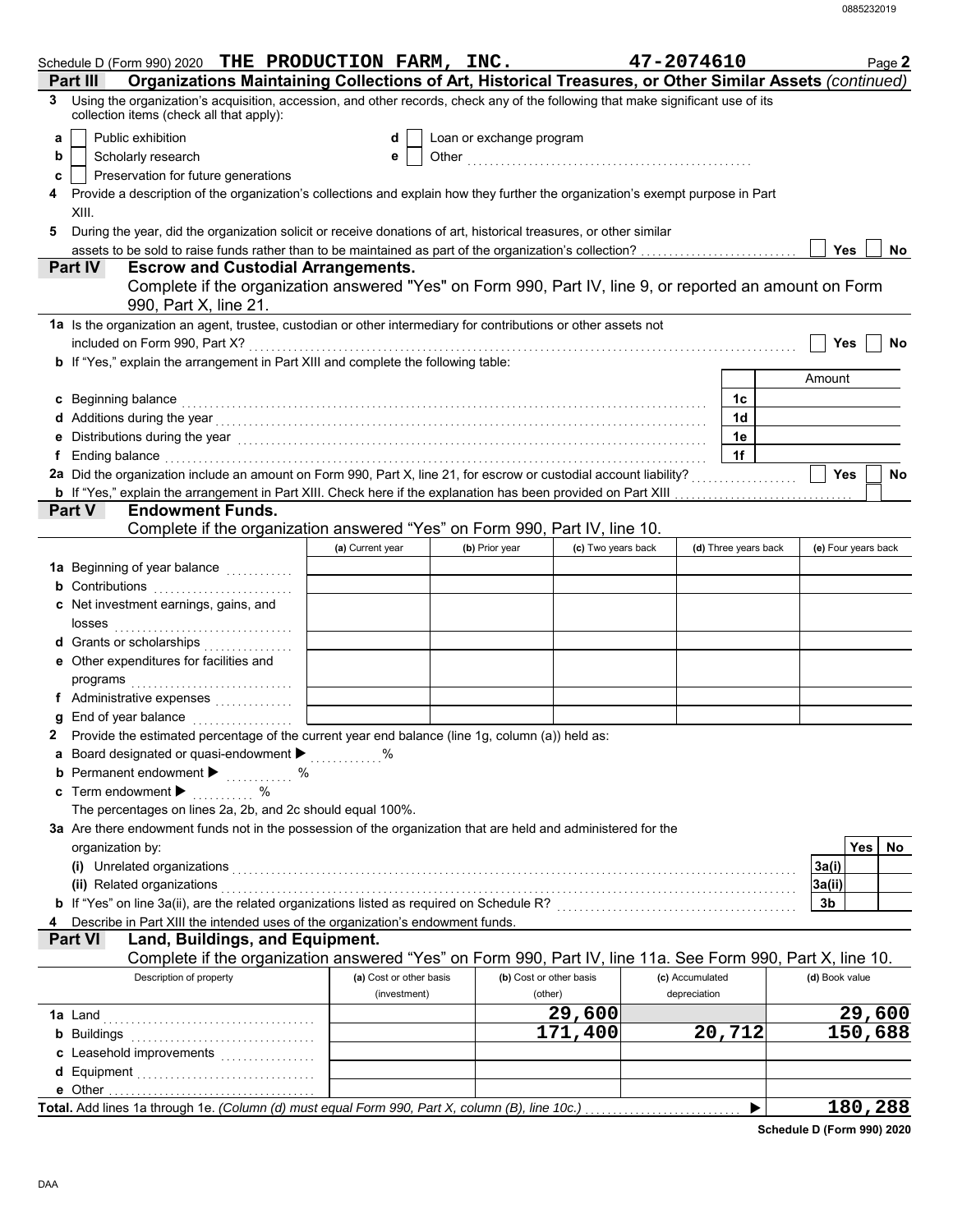| Schedule D (Form 990) 2020 THE PRODUCTION FARM, INC.                                                                                                                                                                                                                                                   |                         |                          |                         | 47-2074610      |                      |                     | Page 2      |
|--------------------------------------------------------------------------------------------------------------------------------------------------------------------------------------------------------------------------------------------------------------------------------------------------------|-------------------------|--------------------------|-------------------------|-----------------|----------------------|---------------------|-------------|
| Organizations Maintaining Collections of Art, Historical Treasures, or Other Similar Assets (continued)<br>Part II<br>Using the organization's acquisition, accession, and other records, check any of the following that make significant use of its<br>3<br>collection items (check all that apply): |                         |                          |                         |                 |                      |                     |             |
| Public exhibition<br>a<br>Scholarly research<br>b<br>Preservation for future generations<br>c                                                                                                                                                                                                          | d<br>e                  | Loan or exchange program |                         |                 |                      |                     |             |
| Provide a description of the organization's collections and explain how they further the organization's exempt purpose in Part<br>4<br>XIII.<br>During the year, did the organization solicit or receive donations of art, historical treasures, or other similar<br>5                                 |                         |                          |                         |                 |                      |                     |             |
|                                                                                                                                                                                                                                                                                                        |                         |                          |                         |                 |                      | <b>Yes</b>          | No          |
| Part IV<br><b>Escrow and Custodial Arrangements.</b><br>Complete if the organization answered "Yes" on Form 990, Part IV, line 9, or reported an amount on Form<br>990, Part X, line 21.                                                                                                               |                         |                          |                         |                 |                      |                     |             |
| 1a Is the organization an agent, trustee, custodian or other intermediary for contributions or other assets not<br>b If "Yes," explain the arrangement in Part XIII and complete the following table:                                                                                                  |                         |                          |                         |                 |                      | <b>Yes</b>          | No          |
|                                                                                                                                                                                                                                                                                                        |                         |                          |                         |                 |                      | Amount              |             |
| c Beginning balance expressions are constant and the balance of the constraint of the constraint of the constant of the constant of the constant of the constant of the constant of the constant of the constant of the consta                                                                         |                         |                          |                         |                 | 1c                   |                     |             |
|                                                                                                                                                                                                                                                                                                        |                         |                          |                         |                 | 1d                   |                     |             |
| e Distributions during the year manufactured contains and the year manufactured with the year manufactured with the set of the set of the set of the set of the set of the set of the set of the set of the set of the set of                                                                          |                         |                          |                         |                 | 1e                   |                     |             |
| f Ending balance <b>constructs</b> and constructs and constructs and constructs are the constructed and constructs are the construction of the construction of the construction of the construction of the construction of the cons                                                                    |                         |                          |                         |                 | 1f                   |                     |             |
|                                                                                                                                                                                                                                                                                                        |                         |                          |                         |                 |                      | <b>Yes</b>          | No          |
| <b>Part V</b><br><b>Endowment Funds.</b>                                                                                                                                                                                                                                                               |                         |                          |                         |                 |                      |                     |             |
| Complete if the organization answered "Yes" on Form 990, Part IV, line 10.                                                                                                                                                                                                                             |                         |                          |                         |                 |                      |                     |             |
|                                                                                                                                                                                                                                                                                                        | (a) Current year        | (b) Prior year           | (c) Two years back      |                 | (d) Three years back | (e) Four years back |             |
| 1a Beginning of year balance                                                                                                                                                                                                                                                                           |                         |                          |                         |                 |                      |                     |             |
| <b>b</b> Contributions <b>contributions</b>                                                                                                                                                                                                                                                            |                         |                          |                         |                 |                      |                     |             |
| c Net investment earnings, gains, and                                                                                                                                                                                                                                                                  |                         |                          |                         |                 |                      |                     |             |
| d Grants or scholarships                                                                                                                                                                                                                                                                               |                         |                          |                         |                 |                      |                     |             |
| e Other expenditures for facilities and                                                                                                                                                                                                                                                                |                         |                          |                         |                 |                      |                     |             |
| programs                                                                                                                                                                                                                                                                                               |                         |                          |                         |                 |                      |                     |             |
|                                                                                                                                                                                                                                                                                                        |                         |                          |                         |                 |                      |                     |             |
| g End of year balance                                                                                                                                                                                                                                                                                  |                         |                          |                         |                 |                      |                     |             |
| Provide the estimated percentage of the current year end balance (line 1g, column (a)) held as:                                                                                                                                                                                                        |                         |                          |                         |                 |                      |                     |             |
| a Board designated or quasi-endowment > %<br><b>b</b> Permanent endowment <b>D</b> %                                                                                                                                                                                                                   |                         |                          |                         |                 |                      |                     |             |
| c Term endowment $\blacktriangleright$<br>$\%$                                                                                                                                                                                                                                                         |                         |                          |                         |                 |                      |                     |             |
| The percentages on lines 2a, 2b, and 2c should equal 100%.                                                                                                                                                                                                                                             |                         |                          |                         |                 |                      |                     |             |
| 3a Are there endowment funds not in the possession of the organization that are held and administered for the                                                                                                                                                                                          |                         |                          |                         |                 |                      |                     |             |
| organization by:                                                                                                                                                                                                                                                                                       |                         |                          |                         |                 |                      |                     | Yes  <br>No |
|                                                                                                                                                                                                                                                                                                        |                         |                          |                         |                 |                      | 3a(i)               |             |
| (ii) Related organizations [11, 12] All and the contract of the contract of the contract of the contract of the contract of the contract of the contract of the contract of the contract of the contract of the contract of th                                                                         |                         |                          |                         |                 |                      | 3a(ii)              |             |
| b If "Yes" on line 3a(ii), are the related organizations listed as required on Schedule R? [[[[[[[[[[[[[[[[[[[                                                                                                                                                                                         |                         |                          |                         |                 |                      | 3b                  |             |
| Describe in Part XIII the intended uses of the organization's endowment funds.<br>Land, Buildings, and Equipment.<br><b>Part VI</b>                                                                                                                                                                    |                         |                          |                         |                 |                      |                     |             |
| Complete if the organization answered "Yes" on Form 990, Part IV, line 11a. See Form 990, Part X, line 10.                                                                                                                                                                                             |                         |                          |                         |                 |                      |                     |             |
| Description of property                                                                                                                                                                                                                                                                                | (a) Cost or other basis |                          | (b) Cost or other basis | (c) Accumulated |                      | (d) Book value      |             |
|                                                                                                                                                                                                                                                                                                        | (investment)            |                          | (other)                 | depreciation    |                      |                     |             |
|                                                                                                                                                                                                                                                                                                        |                         |                          | 29,600                  |                 |                      |                     | 29,600      |
|                                                                                                                                                                                                                                                                                                        |                         |                          | 171,400                 |                 | 20,712               |                     | 150,688     |
| c Leasehold improvements                                                                                                                                                                                                                                                                               |                         |                          |                         |                 |                      |                     |             |
|                                                                                                                                                                                                                                                                                                        |                         |                          |                         |                 |                      |                     |             |
| Total. Add lines 1a through 1e. (Column (d) must equal Form 990, Part X, column (B), line 10c.)                                                                                                                                                                                                        |                         |                          |                         |                 | ▶                    |                     | 180,288     |

**Schedule D (Form 990) 2020**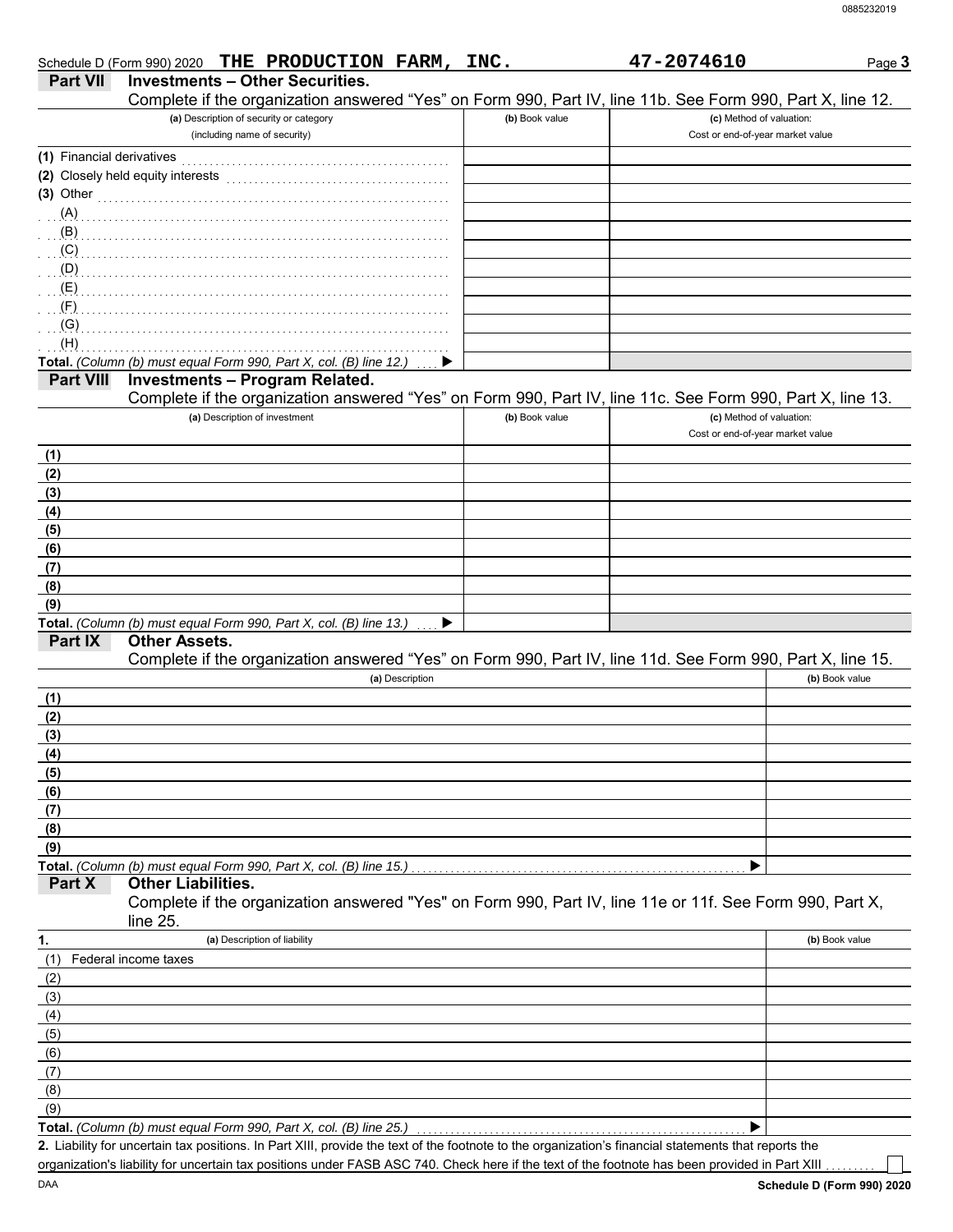|                           | THE PRODUCTION FARM,<br>Schedule D (Form 990) 2020                                                                                                   | INC.           | 47-2074610                       | Page 3         |
|---------------------------|------------------------------------------------------------------------------------------------------------------------------------------------------|----------------|----------------------------------|----------------|
| <b>Part VII</b>           | <b>Investments - Other Securities.</b>                                                                                                               |                |                                  |                |
|                           | Complete if the organization answered "Yes" on Form 990, Part IV, line 11b. See Form 990, Part X, line 12.                                           |                |                                  |                |
|                           | (a) Description of security or category                                                                                                              | (b) Book value | (c) Method of valuation:         |                |
|                           | (including name of security)                                                                                                                         |                | Cost or end-of-year market value |                |
| (1) Financial derivatives |                                                                                                                                                      |                |                                  |                |
|                           | (2) Closely held equity interests                                                                                                                    |                |                                  |                |
| $(3)$ Other               |                                                                                                                                                      |                |                                  |                |
| $(A)$ .                   |                                                                                                                                                      |                |                                  |                |
| (B)                       |                                                                                                                                                      |                |                                  |                |
| (C)                       |                                                                                                                                                      |                |                                  |                |
| (D)                       |                                                                                                                                                      |                |                                  |                |
| (E)                       |                                                                                                                                                      |                |                                  |                |
| (F)                       |                                                                                                                                                      |                |                                  |                |
| (G)                       |                                                                                                                                                      |                |                                  |                |
| (H)                       | Total. (Column (b) must equal Form 990, Part X, col. (B) line 12.)                                                                                   |                |                                  |                |
| <b>Part VIII</b>          | <b>Investments - Program Related.</b>                                                                                                                |                |                                  |                |
|                           | Complete if the organization answered "Yes" on Form 990, Part IV, line 11c. See Form 990, Part X, line 13.                                           |                |                                  |                |
|                           | (a) Description of investment                                                                                                                        | (b) Book value | (c) Method of valuation:         |                |
|                           |                                                                                                                                                      |                | Cost or end-of-year market value |                |
| (1)                       |                                                                                                                                                      |                |                                  |                |
| (2)                       |                                                                                                                                                      |                |                                  |                |
| (3)                       |                                                                                                                                                      |                |                                  |                |
| (4)                       |                                                                                                                                                      |                |                                  |                |
| (5)                       |                                                                                                                                                      |                |                                  |                |
| (6)                       |                                                                                                                                                      |                |                                  |                |
| (7)                       |                                                                                                                                                      |                |                                  |                |
| (8)                       |                                                                                                                                                      |                |                                  |                |
| (9)                       |                                                                                                                                                      |                |                                  |                |
|                           | Total. (Column (b) must equal Form 990, Part X, col. (B) line 13.)                                                                                   |                |                                  |                |
| Part IX                   | <b>Other Assets.</b>                                                                                                                                 |                |                                  |                |
|                           | Complete if the organization answered "Yes" on Form 990, Part IV, line 11d. See Form 990, Part X, line 15.                                           |                |                                  |                |
|                           | (a) Description                                                                                                                                      |                |                                  | (b) Book value |
| (1)                       |                                                                                                                                                      |                |                                  |                |
| (2)                       |                                                                                                                                                      |                |                                  |                |
| (3)                       |                                                                                                                                                      |                |                                  |                |
| (4)                       |                                                                                                                                                      |                |                                  |                |
| (5)                       |                                                                                                                                                      |                |                                  |                |
| (6)                       |                                                                                                                                                      |                |                                  |                |
| (7)                       |                                                                                                                                                      |                |                                  |                |
| (8)                       |                                                                                                                                                      |                |                                  |                |
| (9)                       |                                                                                                                                                      |                |                                  |                |
| Part X                    | Total. (Column (b) must equal Form 990, Part X, col. (B) line 15.)<br><b>Other Liabilities.</b>                                                      |                |                                  |                |
|                           | Complete if the organization answered "Yes" on Form 990, Part IV, line 11e or 11f. See Form 990, Part X,                                             |                |                                  |                |
|                           | line 25.                                                                                                                                             |                |                                  |                |
| 1.                        | (a) Description of liability                                                                                                                         |                |                                  | (b) Book value |
| (1)                       | Federal income taxes                                                                                                                                 |                |                                  |                |
| (2)                       |                                                                                                                                                      |                |                                  |                |
| (3)                       |                                                                                                                                                      |                |                                  |                |
| (4)                       |                                                                                                                                                      |                |                                  |                |
| (5)                       |                                                                                                                                                      |                |                                  |                |
| (6)                       |                                                                                                                                                      |                |                                  |                |
| (7)                       |                                                                                                                                                      |                |                                  |                |
| (8)                       |                                                                                                                                                      |                |                                  |                |
| (9)                       |                                                                                                                                                      |                |                                  |                |
|                           | Total. (Column (b) must equal Form 990, Part X, col. (B) line 25.)                                                                                   |                |                                  |                |
|                           | 2. Liability for uncertain tax positions. In Part XIII, provide the text of the footnote to the organization's financial statements that reports the |                |                                  |                |
|                           | organization's liability for uncertain tax positions under FASB ASC 740. Check here if the text of the footnote has been provided in Part XIII       |                |                                  |                |

**Schedule D (Form 990) 2020**

DAA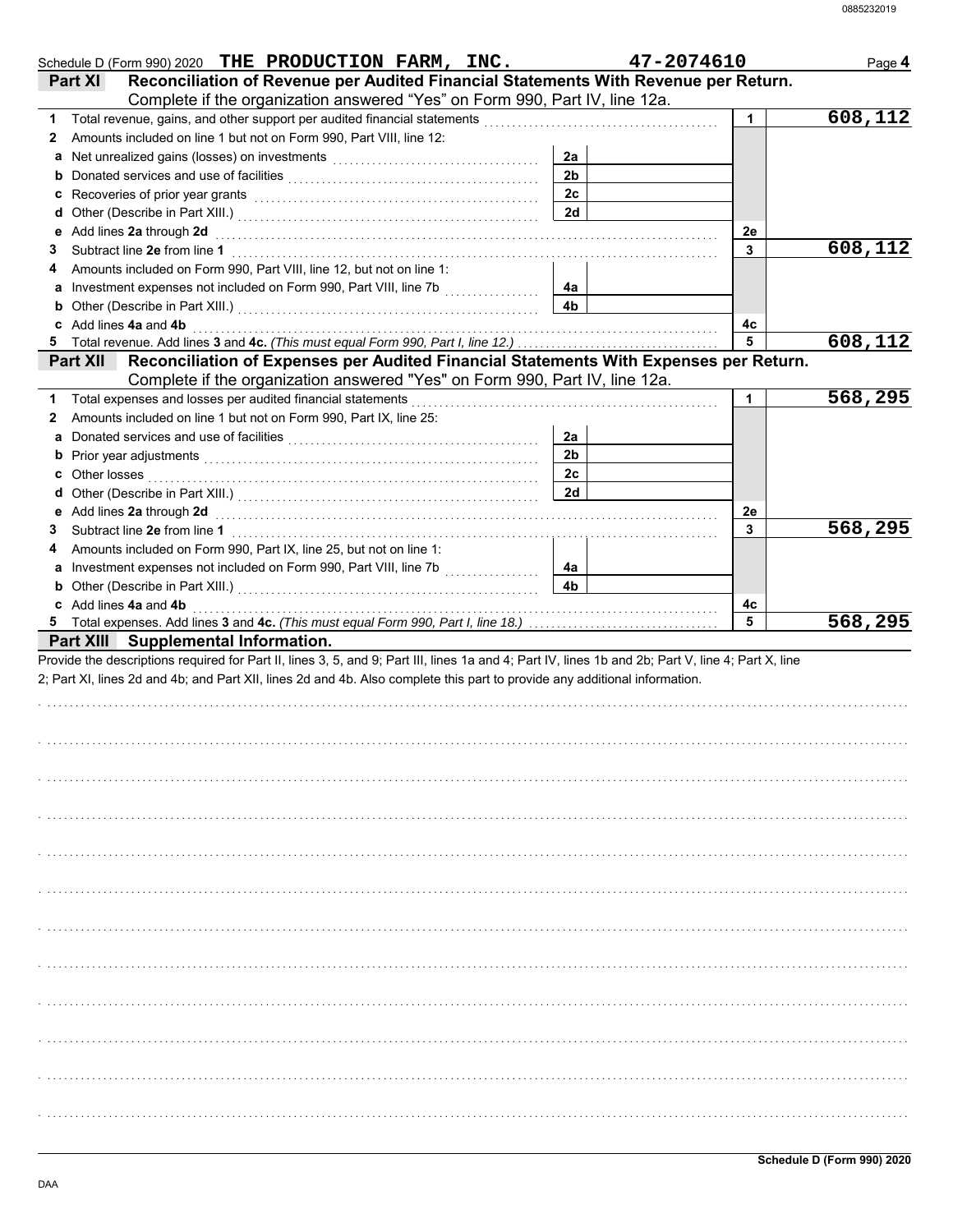| Schedule D (Form 990) 2020 THE PRODUCTION FARM, INC.                                                                                                                                    |                | 47-2074610 | Page 4  |
|-----------------------------------------------------------------------------------------------------------------------------------------------------------------------------------------|----------------|------------|---------|
| Reconciliation of Revenue per Audited Financial Statements With Revenue per Return.<br><b>Part XI</b><br>Complete if the organization answered "Yes" on Form 990, Part IV, line 12a.    |                |            |         |
| 1                                                                                                                                                                                       |                | 1          | 608,112 |
| Amounts included on line 1 but not on Form 990, Part VIII, line 12:<br>2                                                                                                                |                |            |         |
|                                                                                                                                                                                         | 2a             |            |         |
|                                                                                                                                                                                         | 2 <sub>b</sub> |            |         |
|                                                                                                                                                                                         | 2c             |            |         |
|                                                                                                                                                                                         | 2d             |            |         |
|                                                                                                                                                                                         |                | 2e         |         |
| 3.                                                                                                                                                                                      |                | 3          | 608,112 |
| Amounts included on Form 990, Part VIII, line 12, but not on line 1:<br>4                                                                                                               |                |            |         |
|                                                                                                                                                                                         | 4a             |            |         |
|                                                                                                                                                                                         | 4b             |            |         |
| c Add lines 4a and 4b                                                                                                                                                                   |                | 4c         |         |
| Total revenue. Add lines 3 and 4c. (This must equal Form 990, Part I, line 12.)<br>5                                                                                                    |                | 5          | 608,112 |
| Reconciliation of Expenses per Audited Financial Statements With Expenses per Return.<br><b>Part XII</b><br>Complete if the organization answered "Yes" on Form 990, Part IV, line 12a. |                |            |         |
| Total expenses and losses per audited financial statements<br>1                                                                                                                         |                | 1          | 568,295 |
| Amounts included on line 1 but not on Form 990, Part IX, line 25:<br>2                                                                                                                  |                |            |         |
|                                                                                                                                                                                         | 2a             |            |         |
|                                                                                                                                                                                         | 2 <sub>b</sub> |            |         |
|                                                                                                                                                                                         | 2c             |            |         |
|                                                                                                                                                                                         | 2d             |            |         |
|                                                                                                                                                                                         |                | 2e         |         |
| 3.                                                                                                                                                                                      |                | 3          | 568,295 |
| Amounts included on Form 990, Part IX, line 25, but not on line 1:<br>4                                                                                                                 |                |            |         |
|                                                                                                                                                                                         | 4a             |            |         |
|                                                                                                                                                                                         | 4 <sub>b</sub> |            |         |
| c Add lines 4a and 4b                                                                                                                                                                   |                | 4c         |         |
|                                                                                                                                                                                         |                | 5          | 568,295 |
| Part XIII Supplemental Information.                                                                                                                                                     |                |            |         |
| Provide the descriptions required for Part II, lines 3, 5, and 9; Part III, lines 1a and 4; Part IV, lines 1b and 2b; Part V, line 4; Part X, line                                      |                |            |         |
| 2; Part XI, lines 2d and 4b; and Part XII, lines 2d and 4b. Also complete this part to provide any additional information.                                                              |                |            |         |
|                                                                                                                                                                                         |                |            |         |
|                                                                                                                                                                                         |                |            |         |
|                                                                                                                                                                                         |                |            |         |
|                                                                                                                                                                                         |                |            |         |
|                                                                                                                                                                                         |                |            |         |
|                                                                                                                                                                                         |                |            |         |
|                                                                                                                                                                                         |                |            |         |
|                                                                                                                                                                                         |                |            |         |
|                                                                                                                                                                                         |                |            |         |
|                                                                                                                                                                                         |                |            |         |
|                                                                                                                                                                                         |                |            |         |
|                                                                                                                                                                                         |                |            |         |
|                                                                                                                                                                                         |                |            |         |
|                                                                                                                                                                                         |                |            |         |
|                                                                                                                                                                                         |                |            |         |
|                                                                                                                                                                                         |                |            |         |
|                                                                                                                                                                                         |                |            |         |
|                                                                                                                                                                                         |                |            |         |
|                                                                                                                                                                                         |                |            |         |
|                                                                                                                                                                                         |                |            |         |
|                                                                                                                                                                                         |                |            |         |
|                                                                                                                                                                                         |                |            |         |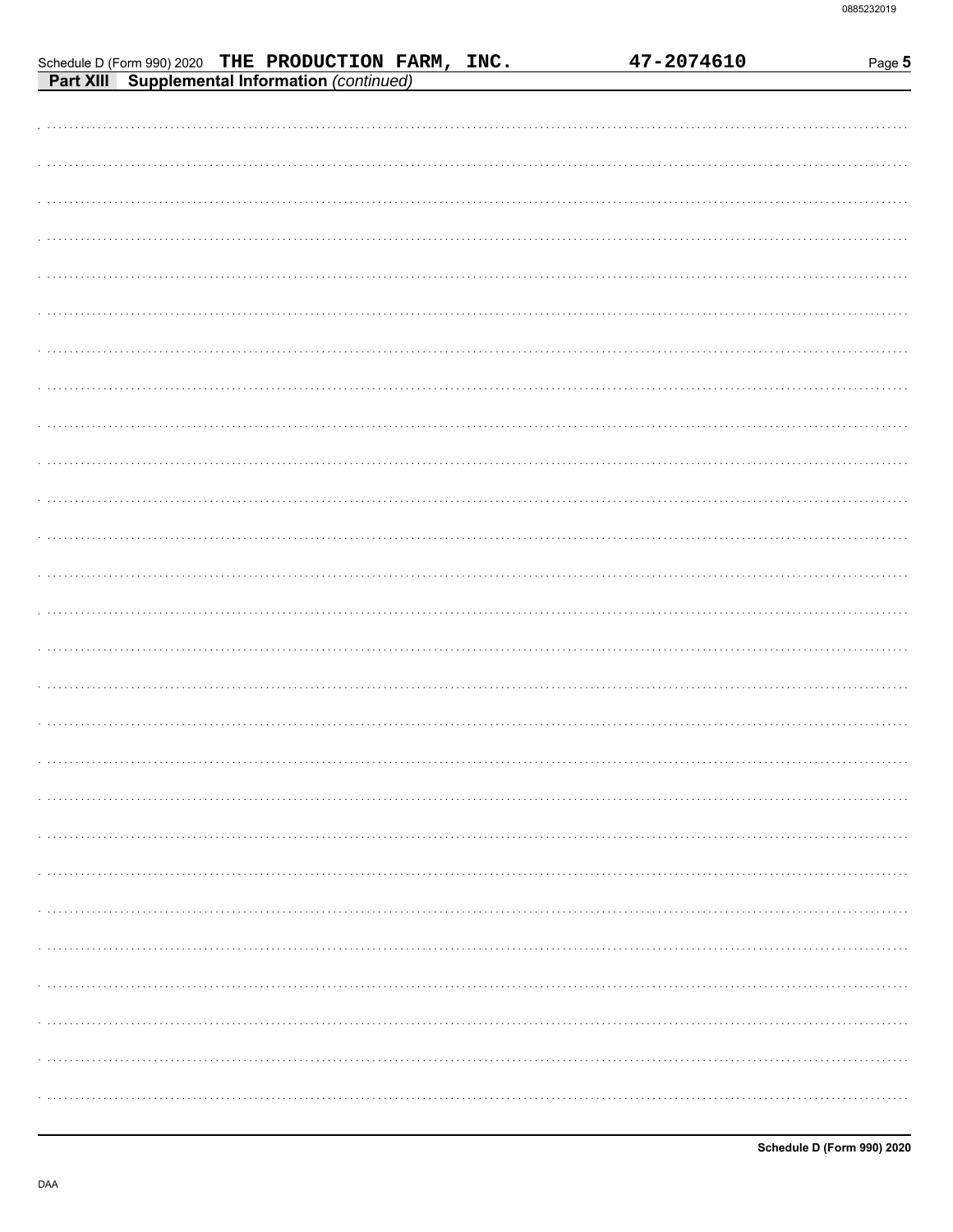|                                                                                                        |  |  |  | 47-2074610 |  | Page 5 |
|--------------------------------------------------------------------------------------------------------|--|--|--|------------|--|--------|
| Schedule D (Form 990) 2020 THE PRODUCTION FARM, INC.<br>Part XIII Supplemental Information (continued) |  |  |  |            |  |        |
|                                                                                                        |  |  |  |            |  |        |
|                                                                                                        |  |  |  |            |  |        |
|                                                                                                        |  |  |  |            |  |        |
|                                                                                                        |  |  |  |            |  |        |
|                                                                                                        |  |  |  |            |  |        |
|                                                                                                        |  |  |  |            |  |        |
|                                                                                                        |  |  |  |            |  |        |
|                                                                                                        |  |  |  |            |  |        |
|                                                                                                        |  |  |  |            |  |        |
|                                                                                                        |  |  |  |            |  |        |
|                                                                                                        |  |  |  |            |  |        |
|                                                                                                        |  |  |  |            |  |        |
|                                                                                                        |  |  |  |            |  |        |
|                                                                                                        |  |  |  |            |  |        |
|                                                                                                        |  |  |  |            |  |        |
|                                                                                                        |  |  |  |            |  |        |
|                                                                                                        |  |  |  |            |  |        |
|                                                                                                        |  |  |  |            |  |        |
|                                                                                                        |  |  |  |            |  |        |
|                                                                                                        |  |  |  |            |  |        |
|                                                                                                        |  |  |  |            |  |        |
|                                                                                                        |  |  |  |            |  |        |
|                                                                                                        |  |  |  |            |  |        |
|                                                                                                        |  |  |  |            |  |        |
|                                                                                                        |  |  |  |            |  |        |
|                                                                                                        |  |  |  |            |  |        |
|                                                                                                        |  |  |  |            |  |        |
|                                                                                                        |  |  |  |            |  |        |
|                                                                                                        |  |  |  |            |  |        |
|                                                                                                        |  |  |  |            |  |        |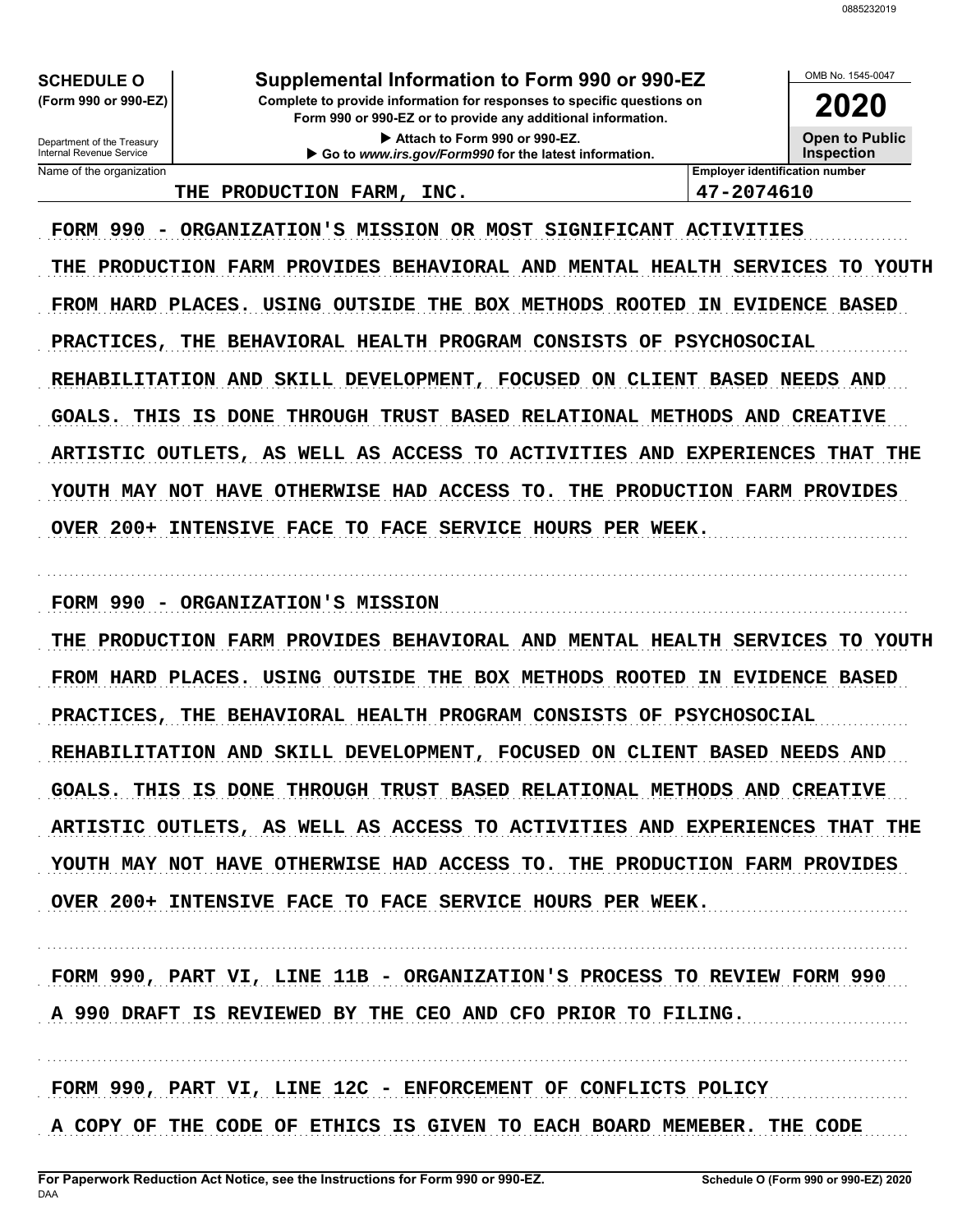OMB No. 1545-0047

**2020**

**Open to Public**

Department of the Treasury<br>Internal Revenue Service

## **SCHEDULE O Supplemental Information to Form 990 or 990-EZ**

**Form 990 or 990-EZ or to provide any additional information. (Form 990 or 990-EZ) Complete to provide information for responses to specific questions on**

> **Attach to Form 990 or 990-EZ. Go to** *www.irs.gov/Form990* **for the latest information.**

Name of the organization **Employer identification number Inspection**

### **THE PRODUCTION FARM, INC. 47-2074610**

FORM 990 - ORGANIZATION'S MISSION OR MOST SIGNIFICANT ACTIVITIES THE PRODUCTION FARM PROVIDES BEHAVIORAL AND MENTAL HEALTH SERVICES TO YOUTH FROM HARD PLACES. USING OUTSIDE THE BOX METHODS ROOTED IN EVIDENCE BASED PRACTICES, THE BEHAVIORAL HEALTH PROGRAM CONSISTS OF PSYCHOSOCIAL REHABILITATION AND SKILL DEVELOPMENT, FOCUSED ON CLIENT BASED NEEDS AND GOALS. THIS IS DONE THROUGH TRUST BASED RELATIONAL METHODS AND CREATIVE ARTISTIC OUTLETS, AS WELL AS ACCESS TO ACTIVITIES AND EXPERIENCES THAT THE YOUTH MAY NOT HAVE OTHERWISE HAD ACCESS TO. THE PRODUCTION FARM PROVIDES OVER 200+ INTENSIVE FACE TO FACE SERVICE HOURS PER WEEK.

FORM 990 - ORGANIZATION'S MISSION

THE PRODUCTION FARM PROVIDES BEHAVIORAL AND MENTAL HEALTH SERVICES TO YOUTH FROM HARD PLACES. USING OUTSIDE THE BOX METHODS ROOTED IN EVIDENCE BASED PRACTICES, THE BEHAVIORAL HEALTH PROGRAM CONSISTS OF PSYCHOSOCIAL REHABILITATION AND SKILL DEVELOPMENT, FOCUSED ON CLIENT BASED NEEDS AND GOALS. THIS IS DONE THROUGH TRUST BASED RELATIONAL METHODS AND CREATIVE ARTISTIC OUTLETS, AS WELL AS ACCESS TO ACTIVITIES AND EXPERIENCES THAT THE YOUTH MAY NOT HAVE OTHERWISE HAD ACCESS TO. THE PRODUCTION FARM PROVIDES OVER 200+ INTENSIVE FACE TO FACE SERVICE HOURS PER WEEK.

. . . . . . . . . . . . . . . . . . . . . . . . . . . . . . . . . . . . . . . . . . . . . . . . . . . . . . . . . . . . . . . . . . . . . . . . . . . . . . . . . . . . . . . . . . . . . . . . . . . . . . . . . . . . . . . . . . . . . . . . . . . . . . . . . . . . . . . . . . . . . . . . . . . . . . . . . . .

FORM 990, PART VI, LINE 11B - ORGANIZATION'S PROCESS TO REVIEW FORM 990 A 990 DRAFT IS REVIEWED BY THE CEO AND CFO PRIOR TO FILING.

. . . . . . . . . . . . . . . . . . . . . . . . . . . . . . . . . . . . . . . . . . . . . . . . . . . . . . . . . . . . . . . . . . . . . . . . . . . . . . . . . . . . . . . . . . . . . . . . . . . . . . . . . . . . . . . . . . . . . . . . . . . . . . . . . . . . . . . . . . . . . . . . . . . . . . . . . . .

FORM 990, PART VI, LINE 12C - ENFORCEMENT OF CONFLICTS POLICY A COPY OF THE CODE OF ETHICS IS GIVEN TO EACH BOARD MEMEBER. THE CODE

. . . . . . . . . . . . . . . . . . . . . . . . . . . . . . . . . . . . . . . . . . . . . . . . . . . . . . . . . . . . . . . . . . . . . . . . . . . . . . . . . . . . . . . . . . . . . . . . . . . . . . . . . . . . . . . . . . . . . . . . . . . . . . . . . . . . . . . . . . . . . . . . . . . . . . . . . . .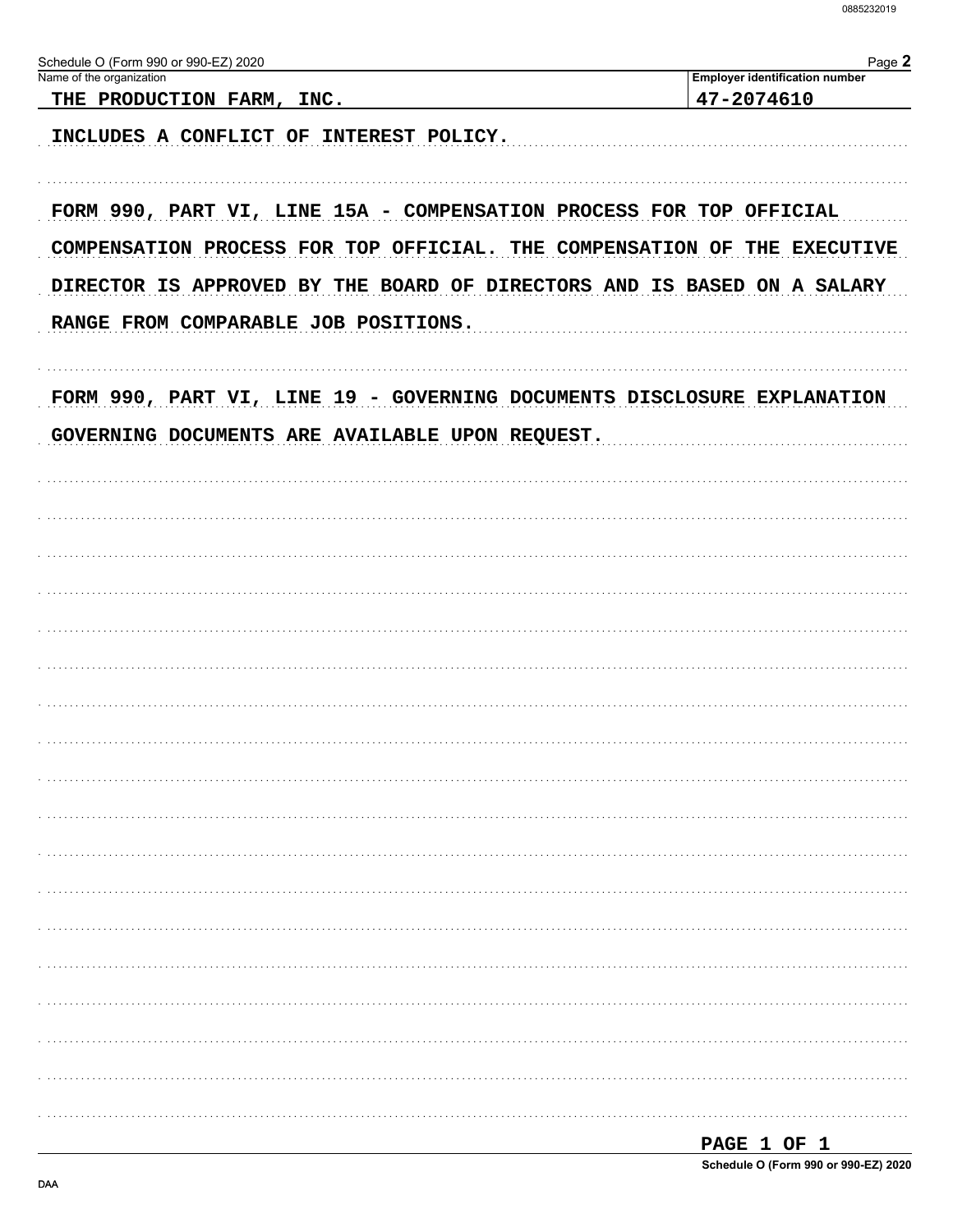| Schedule O (Form 990 or 990-EZ) 2020                                     | Page 2                                              |
|--------------------------------------------------------------------------|-----------------------------------------------------|
| Name of the organization<br>THE PRODUCTION FARM, INC.                    | <b>Employer identification number</b><br>47-2074610 |
| INCLUDES A CONFLICT OF INTEREST POLICY.                                  |                                                     |
| FORM 990, PART VI, LINE 15A - COMPENSATION PROCESS FOR TOP OFFICIAL      |                                                     |
| COMPENSATION PROCESS FOR TOP OFFICIAL. THE COMPENSATION OF THE EXECUTIVE |                                                     |
| DIRECTOR IS APPROVED BY THE BOARD OF DIRECTORS AND IS BASED ON A SALARY  |                                                     |
| RANGE FROM COMPARABLE JOB POSITIONS.                                     |                                                     |
| FORM 990, PART VI, LINE 19 - GOVERNING DOCUMENTS DISCLOSURE EXPLANATION  |                                                     |
| GOVERNING DOCUMENTS ARE AVAILABLE UPON REQUEST.                          |                                                     |
|                                                                          |                                                     |
|                                                                          |                                                     |
|                                                                          |                                                     |
|                                                                          |                                                     |
|                                                                          |                                                     |
|                                                                          |                                                     |
|                                                                          |                                                     |
|                                                                          |                                                     |
|                                                                          |                                                     |
|                                                                          |                                                     |
|                                                                          |                                                     |
|                                                                          |                                                     |
|                                                                          |                                                     |
|                                                                          |                                                     |
|                                                                          |                                                     |
|                                                                          |                                                     |
|                                                                          |                                                     |
|                                                                          |                                                     |

| PAGE 1 OF 1 |  |                                      |
|-------------|--|--------------------------------------|
|             |  | Schedule O (Form 990 or 990-EZ) 2020 |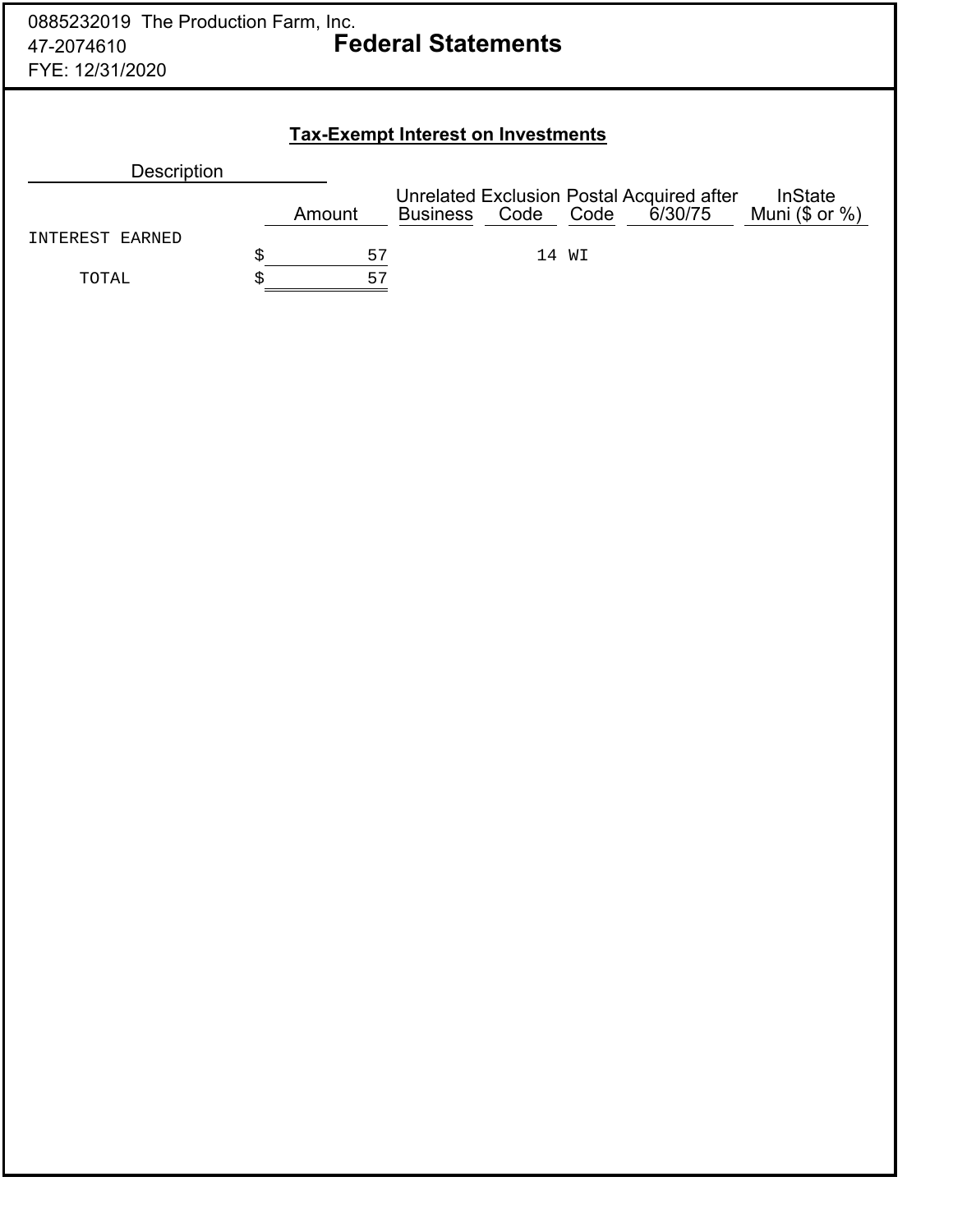## **Tax-Exempt Interest on Investments**

| <b>Description</b> |        |                 |           |                                                      |                                    |
|--------------------|--------|-----------------|-----------|------------------------------------------------------|------------------------------------|
|                    | Amount | <b>Business</b> | Code Code | Unrelated Exclusion Postal Acquired after<br>6/30/75 | <b>InState</b><br>Muni $($ or  %)$ |
| INTEREST EARNED    |        |                 |           |                                                      |                                    |
|                    | 57     |                 | 14 WI     |                                                      |                                    |
| TOTAL              | 57     |                 |           |                                                      |                                    |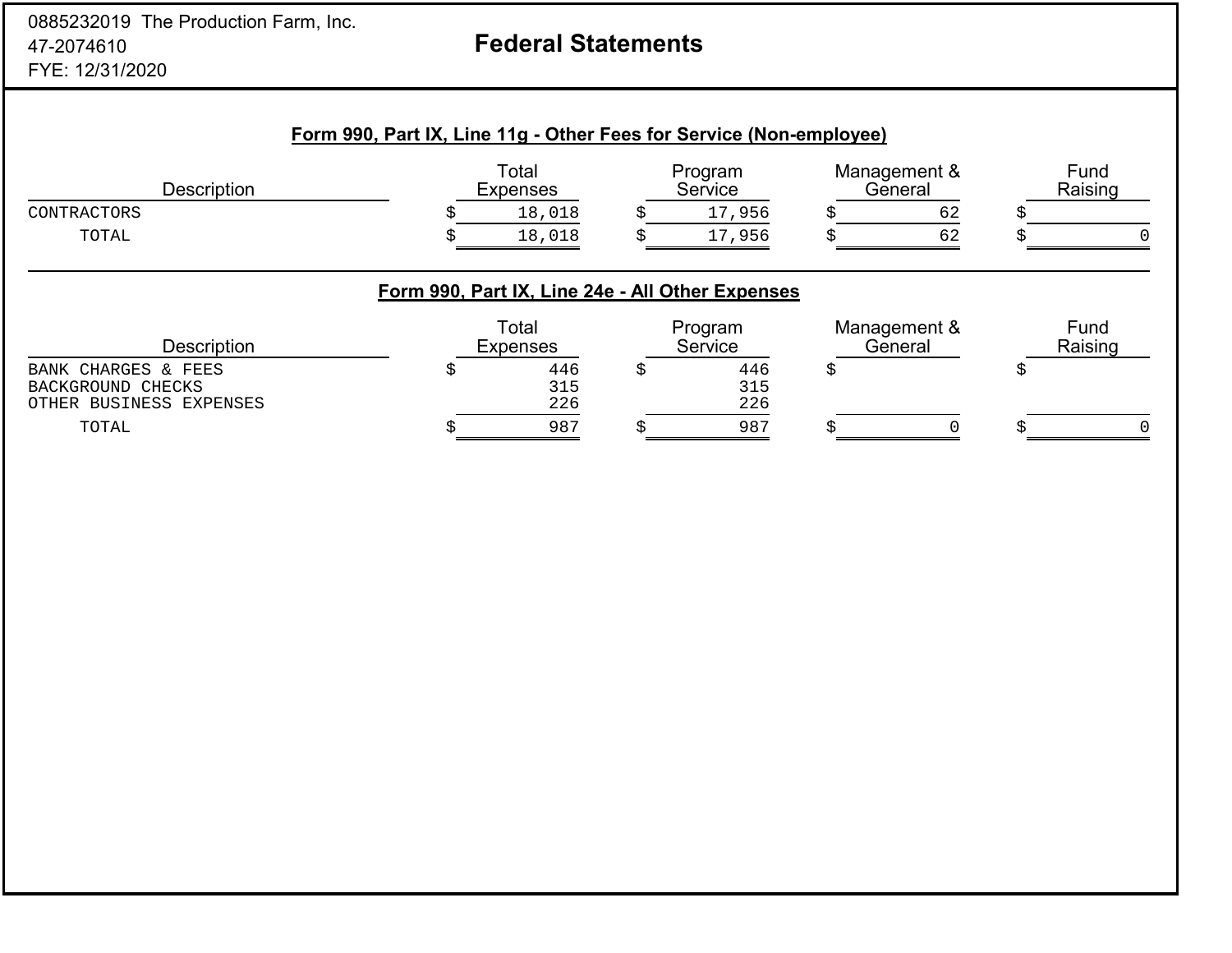# **Federal Statements**

## **Form 990, Part IX, Line 11g - Other Fees for Service (Non-employee)**

| Description                                                         |   | Total<br><b>Expenses</b>                         | Program<br>Service |   | Management &<br>General | Fund<br>Raising |
|---------------------------------------------------------------------|---|--------------------------------------------------|--------------------|---|-------------------------|-----------------|
| CONTRACTORS                                                         |   | 18,018                                           | 17,956             |   | 62                      |                 |
| TOTAL                                                               |   | 18,018                                           | 17,956             |   | 62                      | 0               |
|                                                                     |   | Form 990, Part IX, Line 24e - All Other Expenses |                    |   |                         |                 |
| <b>Description</b>                                                  |   | Total<br><b>Expenses</b>                         | Program<br>Service |   | Management &<br>General | Fund<br>Raising |
| BANK CHARGES & FEES<br>BACKGROUND CHECKS<br>OTHER BUSINESS EXPENSES | S | 446<br>315<br>226                                | 446<br>315<br>226  | S |                         |                 |
| TOTAL                                                               |   | 987                                              | 987                |   |                         | $\Omega$        |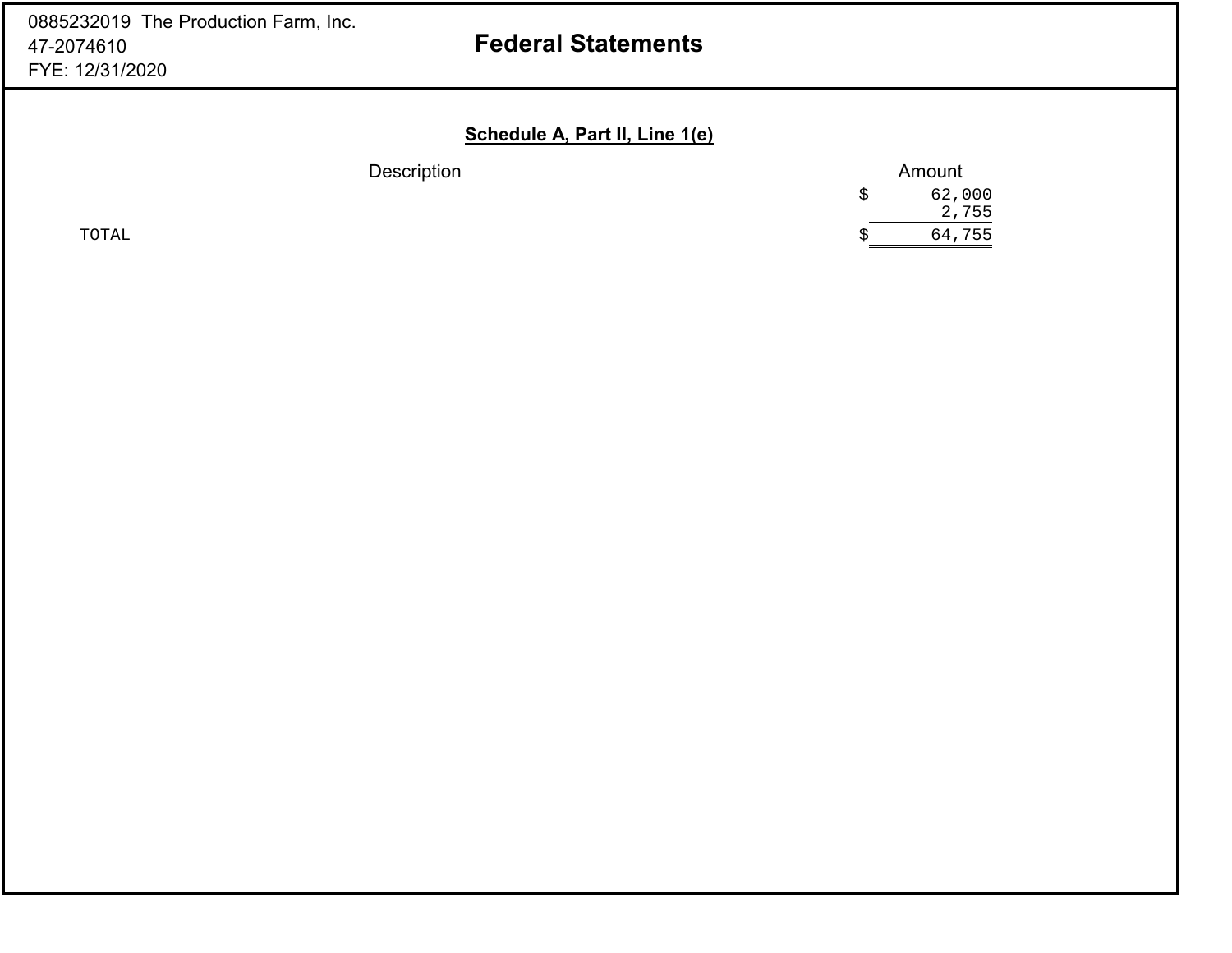# **Federal Statements**

## **Schedule A, Part II, Line 1(e)**

| <b>Description</b> |   | Amount          |
|--------------------|---|-----------------|
|                    | ∼ | 62,000<br>2,755 |
| TOTAL              | ⊾ | 64,755          |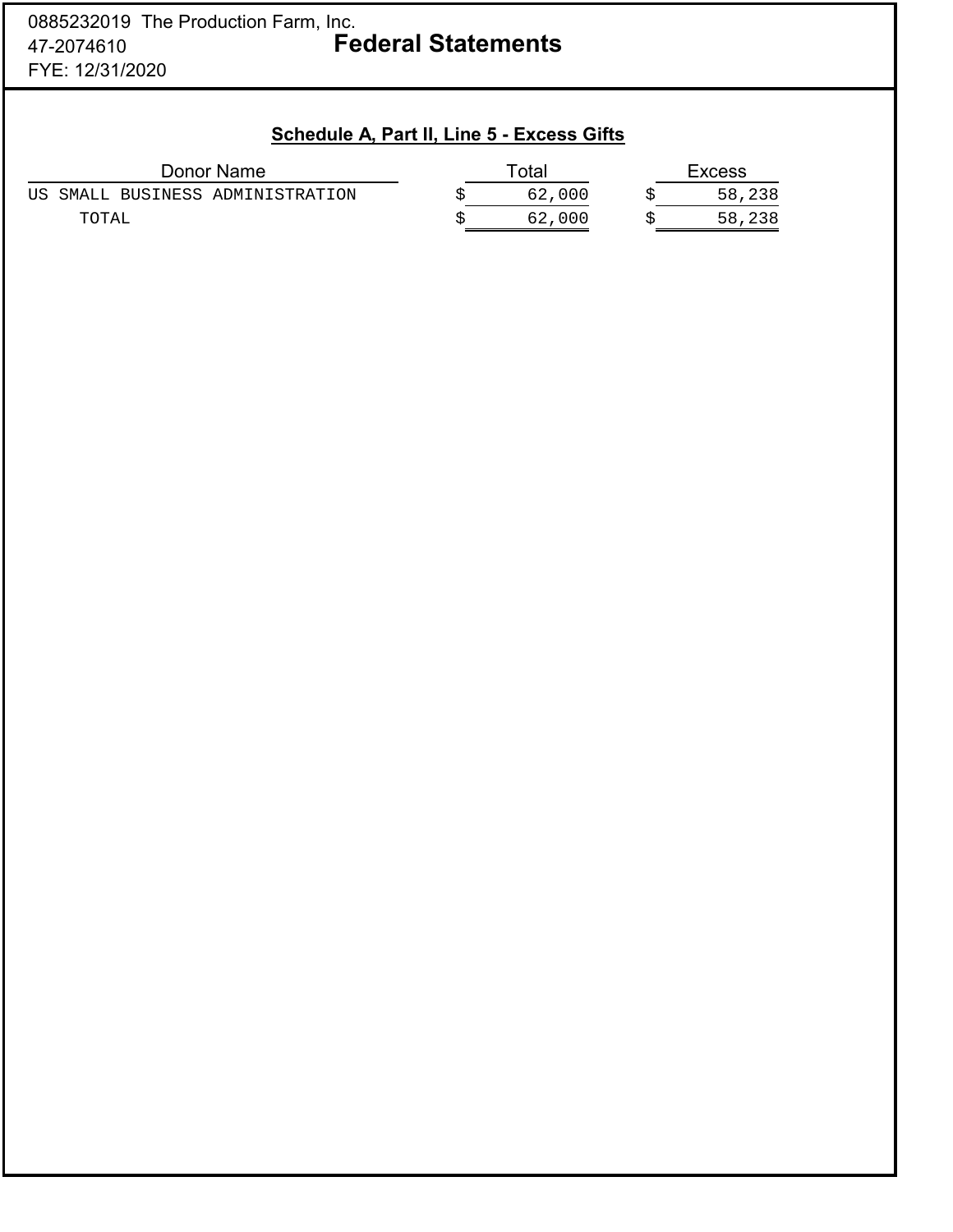| Schedule A, Part II, Line 5 - Excess Gifts |        |               |
|--------------------------------------------|--------|---------------|
| Donor Name                                 | Total  | <b>Excess</b> |
| US SMALL BUSINESS ADMINISTRATION           | 62,000 | 58,238        |
| TOTAL                                      | 62,000 | 58,238        |